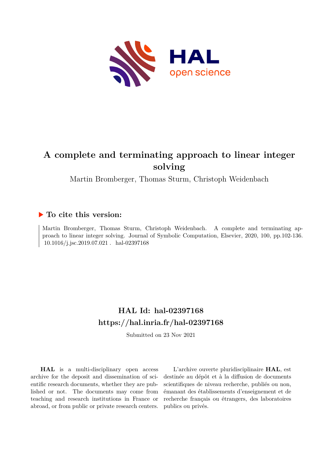

# **A complete and terminating approach to linear integer solving**

Martin Bromberger, Thomas Sturm, Christoph Weidenbach

## **To cite this version:**

Martin Bromberger, Thomas Sturm, Christoph Weidenbach. A complete and terminating approach to linear integer solving. Journal of Symbolic Computation, Elsevier, 2020, 100, pp.102-136.  $10.1016/j.jsc.2019.07.021$ . hal-02397168

# **HAL Id: hal-02397168 <https://hal.inria.fr/hal-02397168>**

Submitted on 23 Nov 2021

**HAL** is a multi-disciplinary open access archive for the deposit and dissemination of scientific research documents, whether they are published or not. The documents may come from teaching and research institutions in France or abroad, or from public or private research centers.

L'archive ouverte pluridisciplinaire **HAL**, est destinée au dépôt et à la diffusion de documents scientifiques de niveau recherche, publiés ou non, émanant des établissements d'enseignement et de recherche français ou étrangers, des laboratoires publics ou privés.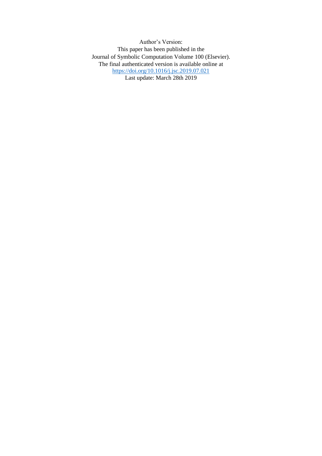Author's Version: This paper has been published in the Journal of Symbolic Computation Volume 100 (Elsevier). The final authenticated version is available online at <https://doi.org/10.1016/j.jsc.2019.07.021> Last update: March 28th 2019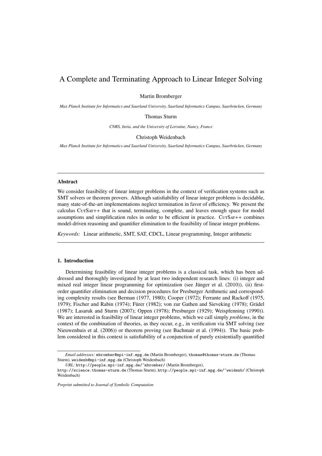## A Complete and Terminating Approach to Linear Integer Solving

Martin Bromberger

*Max Planck Institute for Informatics and Saarland University, Saarland Informatics Campus, Saarbrücken, Germany* 

Thomas Sturm

*CNRS, Inria, and the University of Lorraine, Nancy, France*

## Christoph Weidenbach

*Max Planck Institute for Informatics and Saarland University, Saarland Informatics Campus, Saarbrücken, Germany* 

#### Abstract

We consider feasibility of linear integer problems in the context of verification systems such as SMT solvers or theorem provers. Although satisfiability of linear integer problems is decidable, many state-of-the-art implementations neglect termination in favor of efficiency. We present the calculus CutSat++ that is sound, terminating, complete, and leaves enough space for model assumptions and simplification rules in order to be efficient in practice.  $CUTSAT++$  combines model-driven reasoning and quantifier elimination to the feasibility of linear integer problems.

*Keywords:* Linear arithmetic, SMT, SAT, CDCL, Linear programming, Integer arithmetic

## 1. Introduction

Determining feasibility of linear integer problems is a classical task, which has been addressed and thoroughly investigated by at least two independent research lines: (i) integer and mixed real integer linear programming for optimization (see Jünger et al.  $(2010)$ ), (ii) firstorder quantifier elimination and decision procedures for Presburger Arithmetic and corresponding complexity results (see Berman (1977, 1980); Cooper (1972); Ferrante and Rackoff (1975, 1979); Fischer and Rabin (1974); Fürer (1982); von zur Gathen and Sieveking (1978); Grädel (1987); Lasaruk and Sturm (2007); Oppen (1978); Presburger (1929); Weispfenning (1990)). We are interested in feasibility of linear integer problems, which we call simply *problems*, in the context of the combination of theories, as they occur, e.g., in verification via SMT solving (see Nieuwenhuis et al. (2006)) or theorem proving (see Bachmair et al. (1994)). The basic problem considered in this context is satisfiability of a conjunction of purely existentially quantified

*Email addresses:* mbromber@mpi-inf.mpg.de (Martin Bromberger), thomas@thomas-sturm.de (Thomas Sturm), weidenb@mpi-inf.mpg.de (Christoph Weidenbach)

*URL:* http://people.mpi-inf.mpg.de/~mbromber/ (Martin Bromberger),

http://science.thomas-sturm.de (Thomas Sturm), http://people.mpi-inf.mpg.de/~weidenb/ (Christoph Weidenbach)

*Preprint submitted to Journal of Symbolic Computation*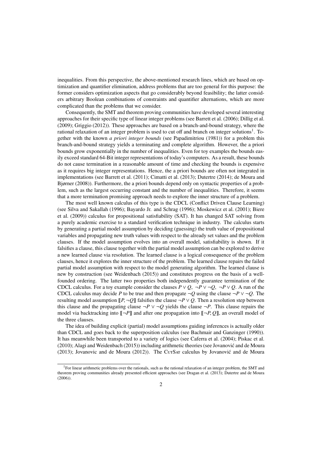inequalities. From this perspective, the above-mentioned research lines, which are based on optimization and quantifier elimination, address problems that are too general for this purpose: the former considers optimization aspects that go considerably beyond feasibility; the latter considers arbitrary Boolean combinations of constraints and quantifier alternations, which are more complicated than the problems that we consider.

Consequently, the SMT and theorem proving communities have developed several interesting approaches for their specific type of linear integer problems (see Barrett et al. (2006); Dillig et al. (2009); Griggio (2012)). These approaches are based on a branch-and-bound strategy, where the rational relaxation of an integer problem is used to cut off and branch on integer solutions<sup>1</sup>. Together with the known *a priori integer bounds* (see Papadimitriou (1981)) for a problem this branch-and-bound strategy yields a terminating and complete algorithm. However, the a priori bounds grow exponentially in the number of inequalities. Even for toy examples the bounds easily exceed standard 64-Bit integer representations of today's computers. As a result, these bounds do not cause termination in a reasonable amount of time and checking the bounds is expensive as it requires big integer representations. Hence, the a priori bounds are often not integrated in implementations (see Barrett et al. (2011); Cimatti et al. (2013); Dutertre (2014); de Moura and Bjørner (2008)). Furthermore, the a priori bounds depend only on syntactic properties of a problem, such as the largest occurring constant and the number of inequalities. Therefore, it seems that a more termination promising approach needs to explore the inner structure of a problem.

The most well known calculus of this type is the CDCL (Conflict Driven Clause Learning) (see Silva and Sakallah (1996); Bayardo Jr. and Schrag (1996); Moskewicz et al. (2001); Biere et al. (2009)) calculus for propositional satisfiability (SAT). It has changed SAT solving from a purely academic exercise to a standard verification technique in industry. The calculus starts by generating a partial model assumption by deciding (guessing) the truth value of propositional variables and propagating new truth values with respect to the already set values and the problem clauses. If the model assumption evolves into an overall model, satisfiability is shown. If it falsifies a clause, this clause together with the partial model assumption can be explored to derive a new learned clause via resolution. The learned clause is a logical consequence of the problem clauses, hence it explores the inner structure of the problem. The learned clause repairs the failed partial model assumption with respect to the model generating algorithm. The learned clause is new by construction (see Weidenbach (2015)) and constitutes progress on the basis of a wellfounded ordering. The latter two properties both independently guarantee termination of the CDCL calculus. For a toy example consider the clauses  $P \vee Q$ ,  $\neg P \vee \neg Q$ ,  $\neg P \vee Q$ . A run of the CDCL calculus may decide *P* to be true and then propagate  $\neg Q$  using the clause  $\neg P$  ∨  $\neg Q$ . The resulting model assumption  $[[P, \neg Q]]$  falsifies the clause  $\neg P \vee Q$ . Then a resolution step between this clause and the propagating clause  $\neg P \lor \neg Q$  yields the clause  $\neg P$ . This clause repairs the model via backtracking into  $[-P]$  and after one propagation into  $[-P, Q]$ , an overall model of the three clauses.

The idea of building explicit (partial) model assumptions guiding inferences is actually older than CDCL and goes back to the superposition calculus (see Bachmair and Ganzinger (1990)). It has meanwhile been transported to a variety of logics (see Caferra et al. (2004); Piskac et al. (2010); Alagi and Weidenbach (2015)) including arithmetic theories (see Jovanovic and de Moura ´ (2013); Jovanovic and de Moura (2012)). The CurSAT calculus by Jovanović and de Moura

<sup>1</sup>For linear arithmetic problems over the rationals, such as the rational relaxation of an integer problem, the SMT and theorem proving communities already presented efficient approaches (see Dragan et al. (2013); Dutertre and de Moura (2006)).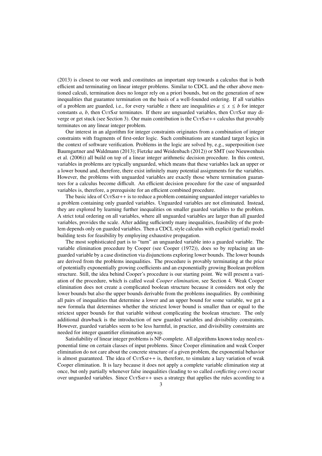(2013) is closest to our work and constitutes an important step towards a calculus that is both efficient and terminating on linear integer problems. Similar to CDCL and the other above mentioned calculi, termination does no longer rely on a priori bounds, but on the generation of new inequalities that guarantee termination on the basis of a well-founded ordering. If all variables of a problem are guarded, i.e., for every variable *x* there are inequalities  $a \le x \le b$  for integer constants *a*, *b*, then CurSar terminates. If there are unguarded variables, then CurSar may diverge or get stuck (see Section 3). Our main contribution is the  $CUTSAT++$  calculus that provably terminates on any linear integer problem.

Our interest in an algorithm for integer constraints originates from a combination of integer constraints with fragments of first-order logic. Such combinations are standard target logics in the context of software verification. Problems in the logic are solved by, e.g., superposition (see Baumgartner and Waldmann (2013); Fietzke and Weidenbach (2012)) or SMT (see Nieuwenhuis et al. (2006)) all build on top of a linear integer arithmetic decision procedure. In this context, variables in problems are typically unguarded, which means that these variables lack an upper or a lower bound and, therefore, there exist infinitely many potential assignments for the variables. However, the problems with unguarded variables are exactly those where termination guarantees for a calculus become difficult. An efficient decision procedure for the case of unguarded variables is, therefore, a prerequisite for an efficient combined procedure.

The basic idea of  $CUTSAT++$  is to reduce a problem containing unguarded integer variables to a problem containing only guarded variables. Unguarded variables are not eliminated. Instead, they are explored by learning further inequalities on smaller guarded variables to the problem. A strict total ordering on all variables, where all unguarded variables are larger than all guarded variables, provides the scale. After adding sufficiently many inequalities, feasibility of the problem depends only on guarded variables. Then a CDCL style calculus with explicit (partial) model building tests for feasibility by employing exhaustive propagation.

The most sophisticated part is to "turn" an unguarded variable into a guarded variable. The variable elimination procedure by Cooper (see Cooper (1972)), does so by replacing an unguarded variable by a case distinction via disjunctions exploring lower bounds. The lower bounds are derived from the problems inequalities. The procedure is provably terminating at the price of potentially exponentially growing coefficients and an exponentially growing Boolean problem structure. Still, the idea behind Cooper's procedure is our starting point. We will present a variation of the procedure, which is called *weak Cooper elimination*, see Section 4. Weak Cooper elimination does not create a complicated boolean structure because it considers not only the lower bounds but also the upper bounds derivable from the problems inequalities. By combining all pairs of inequalities that determine a lower and an upper bound for some variable, we get a new formula that determines whether the strictest lower bound is smaller than or equal to the strictest upper bounds for that variable without complicating the boolean structure. The only additional drawback is the introduction of new guarded variables and divisibility constraints. However, guarded variables seem to be less harmful, in practice, and divisibility constraints are needed for integer quantifier elimination anyway.

Satisfiability of linear integer problems is NP-complete. All algorithms known today need exponential time on certain classes of input problems. Since Cooper elimination and weak Cooper elimination do not care about the concrete structure of a given problem, the exponential behavior is almost guaranteed. The idea of  $CUTSAT++$  is, therefore, to simulate a lazy variation of weak Cooper elimination. It is lazy because it does not apply a complete variable elimination step at once, but only partially whenever false inequalities (leading to so called *conflicting cores*) occur over unguarded variables. Since CutSat++ uses a strategy that applies the rules according to a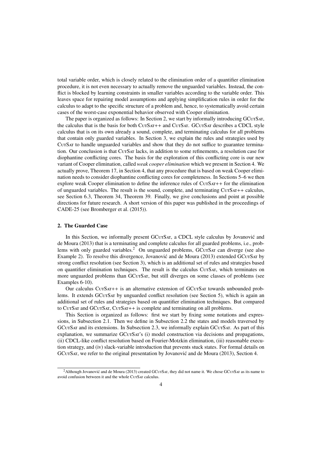total variable order, which is closely related to the elimination order of a quantifier elimination procedure, it is not even necessary to actually remove the unguarded variables. Instead, the conflict is blocked by learning constraints in smaller variables according to the variable order. This leaves space for repairing model assumptions and applying simplification rules in order for the calculus to adapt to the specific structure of a problem and, hence, to systematically avoid certain cases of the worst-case exponential behavior observed with Cooper elimination.

The paper is organized as follows: In Section 2, we start by informally introducing GCurSAT, the calculus that is the basis for both CurSat++ and CurSat. GCurSat describes a CDCL style calculus that is on its own already a sound, complete, and terminating calculus for all problems that contain only guarded variables. In Section 3, we explain the rules and strategies used by CUTSAT to handle unguarded variables and show that they do not suffice to guarantee termination. Our conclusion is that CutSat lacks, in addition to some refinements, a resolution case for diophantine conflicting cores. The basis for the exploration of this conflicting core is our new variant of Cooper elimination, called *weak cooper elimination* which we present in Section 4. We actually prove, Theorem 17, in Section 4, that any procedure that is based on weak Cooper elimination needs to consider diophantine conflicting cores for completeness. In Sections 5–6 we then explore weak Cooper elimination to define the inference rules of  $CUTSAT++$  for the elimination of unguarded variables. The result is the sound, complete, and terminating  $CUTSAT++$  calculus, see Section 6.3, Theorem 34, Theorem 39. Finally, we give conclusions and point at possible directions for future research. A short version of this paper was published in the proceedings of CADE-25 (see Bromberger et al. (2015)).

## 2. The Guarded Case

In this Section, we informally present GCuTSAT, a CDCL style calculus by Jovanovic and de Moura (2013) that is a terminating and complete calculus for all guarded problems, i.e., problems with only guarded variables.<sup>2</sup> On unguarded problems, GCUTSAT can diverge (see also Example 2). To resolve this divergence, Jovanović and de Moura  $(2013)$  extended GC $UTSAT$  by strong conflict resolution (see Section 3), which is an additional set of rules and strategies based on quantifier elimination techniques. The result is the calculus CUTSAT, which terminates on more unguarded problems than GCuTSAT, but still diverges on some classes of problems (see Examples 6-10).

Our calculus CutSAT++ is an alternative extension of GCutSAT towards unbounded problems. It extends GCuTSAT by unguarded conflict resolution (see Section 5), which is again an additional set of rules and strategies based on quantifier elimination techniques. But compared to CurSat and GCurSat, CurSat++ is complete and terminating on all problems.

This Section is organized as follows: first we start by fixing some notations and expressions, in Subsection 2.1. Then we define in Subsection 2.2 the states and models traversed by GCUTSAT and its extensions. In Subsection 2.3, we informally explain GCUTSAT. As part of this explanation, we summarize GCurSAT's (i) model construction via decisions and propagations, (ii) CDCL-like conflict resolution based on Fourier-Motzkin elimination, (iii) reasonable execution strategy, and (iv) slack-variable introduction that prevents stuck states. For formal details on GCUTSAT, we refer to the original presentation by Jovanović and de Moura (2013), Section 4.

<sup>&</sup>lt;sup>2</sup>Although Jovanović and de Moura (2013) created GCUTSAT, they did not name it. We chose GCUTSAT as its name to avoid confusion between it and the whole CurSar calculus.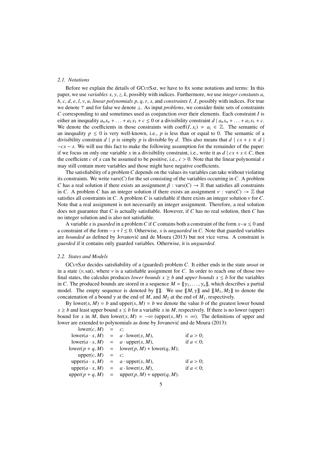## *2.1. Notations*

Before we explain the details of GCuTSAT, we have to fix some notations and terms: In this paper, we use *variables x*, *y*, *z*, *k*, possibly with indices. Furthermore, we use *integer constants a*, *b*, *c*, *d*, *e*, *l*, *v*, *u*, *linear polynomials p*, *q*, *r*, *s*, and *constraints I*, *J*, possibly with indices. For true we denote  $\top$  and for false we denote ⊥. As input *problems*, we consider finite sets of constraints *C* corresponding to and sometimes used as conjunction over their elements. Each constraint *I* is either an inequality  $a_n x_n + \ldots + a_1 x_1 + c \leq 0$  or a divisibility constraint  $d \mid a_n x_n + \ldots + a_1 x_1 + c$ . We denote the coefficients in those constraints with coeff $(I, x_i) = a_i \in \mathbb{Z}$ . The semantic of an inequality  $p \le 0$  is very well-known, i.e., p is less than or equal to 0. The semantic of a divisibility constrain  $d \mid p$  is simply p is divisible by d. This also means that  $d \mid cx + s \equiv d \mid$ −*cx* − *s*. We will use this fact to make the following assumption for the remainder of the paper: if we focus on only one variable *x* in a divisibility constraint, i.e., write it as  $d \mid cx + s \in C$ , then the coefficient *c* of *x* can be assumed to be positive, i.e.,  $c > 0$ . Note that the linear polynomial *s* may still contain more variables and those might have negative coefficients.

The satisfiability of a problem *C* depends on the values its variables can take without violating its constraints. We write vars(*C*) for the set consisting of the variables occurring in *C*. A problem *C* has a real solution if there exists an assignment  $\beta$  : vars(*C*)  $\rightarrow \mathbb{R}$  that satisfies all constraints in *C*. A problem *C* has an integer solution if there exists an assignment  $\nu$  : vars(*C*)  $\rightarrow \mathbb{Z}$  that satisfies all constraints in *C*. A problem *C* is satisfiable if there exists an integer solution  $\nu$  for *C*. Note that a real assignment is not necessarily an integer assignment. Therefore, a real solution does not guarantee that *C* is actually satisfiable. However, if *C* has no real solution, then *C* has no integer solution and is also not satisfiable.

A variable *x* is *guarded* in a problem *C* if *C* contains both a constraint of the form *x*−*u* ≤ 0 and a constraint of the form  $-x + l \le 0$ . Otherwise, *x* is *unguarded* in *C*. Note that guarded variables are *bounded* as defined by Jovanović and de Moura (2013) but not vice versa. A constraint is *guarded* if it contains only guarded variables. Otherwise, it is *unguarded*.

#### *2.2. States and Models*

GCutSat decides satisfiability of a (guarded) problem *C*. It either ends in the state *unsat* or in a state  $\langle v, \text{sat} \rangle$ , where v is a satisfiable assignment for *C*. In order to reach one of those two final states, the calculus produces *lower bounds*  $x \geq b$  and *upper bounds*  $x \leq b$  for the variables in *C*. The produced bounds are stored in a sequence  $M = [\gamma_1, \dots, \gamma_n]$ , which describes a partial model. The empty sequence is denoted by  $[\![\!]$ . We use  $[\![M, \gamma]\!]$  and  $[\![M_1, M_2]\!]$  to denote the concatenation of a bound  $\gamma$  at the end of *M*, and  $M_2$  at the end of  $M_1$ , respectively.

By lower(*x*, *M*) = *b* and upper(*x*, *M*) = *b* we denote the value *b* of the greatest lower bound  $x \ge b$  and least upper bound  $x \le b$  for a variable *x* in *M*, respectively. If there is no lower (upper) bound for *x* in *M*, then lower(*x*, *M*) =  $-\infty$  (upper(*x*, *M*) =  $\infty$ ). The definitions of upper and lower are extended to polynomials as done by Jovanović and de Moura (2013):  $er(c, M)$ 

| $IOWET(C, M) = C$      |           |                                                |              |
|------------------------|-----------|------------------------------------------------|--------------|
|                        |           | $lower(a \cdot x, M) = a \cdot lower(x, M),$   | if $a > 0$ ; |
| $lower(a \cdot x, M)$  |           | $= a \cdot upper(x, M),$                       | if $a < 0$ ; |
| lower $(p+q, M)$       |           | $=$ lower $(p, M)$ + lower $(q, M)$ ;          |              |
| upper $(c, M)$         | $=$ $c$ : |                                                |              |
| upper $(a \cdot x, M)$ |           | $= a \cdot upper(x, M),$                       | if $a > 0$ ; |
| upper $(a \cdot x, M)$ |           | $= a \cdot \text{lower}(x, M)$ ,               | if $a < 0$ ; |
|                        |           | $upper(p+q, M)$ = $upper(p, M) + upper(q, M).$ |              |
|                        |           |                                                |              |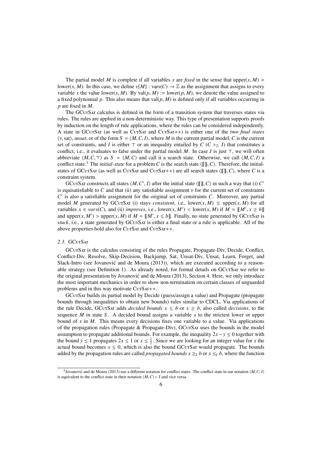The partial model *M* is complete if all variables *x* are *fixed* in the sense that upper(*x*, *M*) = lower(*x*, *M*). In this case, we define  $v[M]$  : vars(*C*)  $\rightarrow \mathbb{Z}$  as the assignment that assigns to every variable x the value lower(x, M). By val(p, M) := lower(p, M), we denote the value assigned to a fixed polynomial p. This also means that  $val(p, M)$  is defined only if all variables occurring in *p* are fixed in *M*.

The GCutSat calculus is defined in the form of a transition system that traverses states via rules. The rules are applied in a non-deterministic way. This type of presentation supports proofs by induction on the length of rule applications, where the rules can be considered independently. A state in GCutSat (as well as CutSat and CutSat++) is either one of the two *final states*  $\langle v, \text{sat} \rangle$ , *unsat*, or of the form  $S = \langle M, C, I \rangle$ , where *M* is the current partial model, *C* is the current set of constraints, and *I* is either  $\top$  or an inequality entailed by *C* (*C*  $\vdash_{\mathbb{Z}}$  *I*) that constitutes a conflict, i.e., it evaluates to false under the partial model  $M$ . In case  $I$  is just  $\top$ , we will often abbreviate  $\langle M, C, \tau \rangle$  as  $S = \langle M, C \rangle$  and call it a search state. Otherwise, we call  $\langle M, C, I \rangle$  a conflict state.<sup>3</sup> The *initial-state* for a problem *C* is the search state  $\langle [\![ \!]$ , *C*). Therefore, the initialstates of GCutSAT (as well as CutSAT and CutSAT++) are all search states  $\langle [\![] , C \rangle$ , where *C* is a constraint system.

GCUTSAT constructs all states  $\langle M, C', I \rangle$  after the initial state  $\langle [[], C \rangle]$  in such a way that (i)  $C'$  and that (ii) any satisfiable assignment  $\nu$  for the current set of constraints is equisatisfiable to *C* and that (ii) any satisfiable assignment  $\nu$  for the current set of constraints  $C'$  is also a satisfiable assignment for the original set of constraints *C*. Moreover, any partial model *M* generated by GCuTSAT (i) stays *consistent*, i.e., lower(*x*, *M*)  $\leq$  upper(*x*, *M*) for all variables  $x \in vars(C)$ , and (ii) *improves*, i.e., lower(*x*, *M'*) < lower(*x*, *M*) if  $M = [[M', x \ge b]]$ <br>and upper(*x*, *M'*)  $\le$  upper(*x*, *M*) if  $M = [[M', x \le b]]$ . Finally, no state generated by GCurSax is and upper(*x*, *M'*) > upper(*x*, *M*) if  $M = [[M', x \le b]]$ . Finally, no state generated by GCuTSAT is stuck i.e., a state generated by GCUTSAT is either a final state or a rule is applicable. All of the stuck, i.e., a state generated by GCUTSAT is either a final state or a rule is applicable. All of the above properties hold also for CutSat and CutSat++.

## 2.3. GCUTSAT

GCutSat is the calculus consisting of the rules Propagate, Propagate-Div, Decide, Conflict, Conflict-Div, Resolve, Skip-Decision, Backjump, Sat, Unsat-Div, Unsat, Learn, Forget, and Slack-Intro (see Jovanović and de Moura (2013)), which are executed according to a reasonable strategy (see Definition 1). As already noted, for formal details on GCUTSAT we refer to the original presentation by Jovanovic and de Moura (2013), Section 4. Here, we only introduce ´ the most important mechanics in order to show non-termination on certain classes of unguarded problems and in this way motivate  $CUTSAT++$ .

GCutSat builds its partial model by Decide (guess/assign a value) and Propagate (propagate bounds through inequalities to obtain new bounds) rules similar to CDCL. Via applications of the rule Decide, GCUTSAT adds *decided bounds*  $x \leq b$  or  $x \geq b$ , also called *decisions*, to the sequence *M* in state *S* . A decided bound assigns a variable *x* to the strictest lower or upper bound of *x* in *M*. This means every decisions fixes one variable to a value. Via applications of the propagation rules (Propagate  $\&$  Propagate-Div), GCuTSAT uses the bounds in the model assumption to propagate additional bounds. For example, the inequality  $2x - y \leq 0$  together with the bound  $y \le 1$  propagates  $2x \le 1$  or  $x \le \frac{1}{2}$ . Since we are looking for an integer value for *x* the actual bound becomes  $x \leq 0$ , which is also the bound GCuTSAT would propagate. The bounds added by the propagation rules are called *propagated bounds*  $x \geq 1$  *b* or  $x \leq 1$  *b*, where the function

<sup>&</sup>lt;sup>3</sup> Jovanović and de Moura (2013) use a different notation for conflict states. The conflict state in our notation  $\langle M, C, I \rangle$  and vice versal provident to the conflict state in their notation  $\langle M, C \rangle \vdash I$  and vice versa is equivalent to the conflict state in their notation  $\langle M, C \rangle \vdash I$  and vice versa.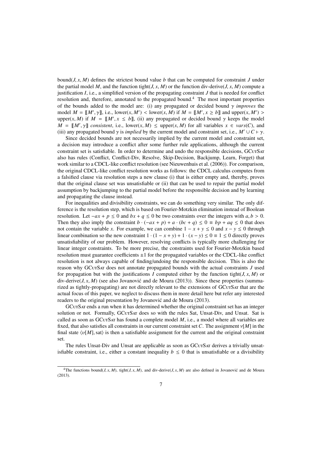bound( $J, x, M$ ) defines the strictest bound value  $b$  that can be computed for constraint  $J$  under the partial model M, and the function tight( $J$ ,  $x$ ,  $M$ ) or the function div-derive( $J$ ,  $x$ ,  $M$ ) compute a justification *I*, i.e., a simplified version of the propagating constraint *J* that is needed for conflict resolution and, therefore, annotated to the propagated bound.<sup>4</sup> The most important properties of the bounds added to the model are: (i) any propagated or decided bound γ *improves* the model  $M = [[M', \gamma]],$  i.e., lower(*x*, *M'*) < lower(*x*, *M*) if  $M = [[M', x \ge b]]$  and upper(*x*, *M'*) > upper(*x*, *M'*) if  $M = [[M', x \ge b]]$  and upper(*x*, *M'*) > upper(*x*, *M*) if  $M = [[M', x \le b]]$ , (ii) any propagated or decided bound  $\gamma$  keeps the model  $M = [[M', x \le b]]$ , (ii) any propagated or decided bound  $\gamma$  keeps the model  $M = [[M', \gamma]]$  *consistent*, i.e., lower(*x*, *M*)  $\leq$  upper(*x*, *M*) for all variables  $x \in \text{vars}(C)$ , and (iii) any propagated bound  $\gamma$  is *innuced* by the current model and constraint set i.e.  $M' \cup C \vdash \gamma$ (iii) any propagated bound  $\gamma$  is *implied* by the current model and constraint set, i.e., *M*<sup> $\prime$ </sup> ∪ *C*  $\vdash \gamma$ .

Since decided bounds are not necessarily implied by the current model and constraint set, a decision may introduce a conflict after some further rule applications, although the current constraint set is satisfiable. In order to determine and undo the responsible decisions, GCuTSAT also has rules (Conflict, Conflict-Div, Resolve, Skip-Decision, Backjump, Learn, Forget) that work similar to a CDCL-like conflict resolution (see Nieuwenhuis et al. (2006)). For comparison, the original CDCL-like conflict resolution works as follows: the CDCL calculus computes from a falsified clause via resolution steps a new clause (i) that is either empty and, thereby, proves that the original clause set was unsatisfiable or (ii) that can be used to repair the partial model assumption by backjumping to the partial model before the responsible decision and by learning and propagating the clause instead.

For inequalities and divisibility constraints, we can do something very similar. The only difference is the resolution step, which is based on Fourier-Motzkin elimination instead of Boolean resolution. Let  $-a\bar{x} + p \leq 0$  and  $bx + q \leq 0$  be two constraints over the integers with  $a, b > 0$ . Then they also imply the constraint  $b \cdot (-ax + p) + a \cdot (bc + q) \leq 0 \equiv bp + aq \leq 0$  that does not contain the variable *x*. For example, we can combine  $1 - x + y \le 0$  and  $x - y \le 0$  through linear combination so the new constraint  $1 \cdot (1 - x + y) + 1 \cdot (x - y) \le 0 \equiv 1 \le 0$  directly proves unsatisfiability of our problem. However, resolving conflicts is typically more challenging for linear integer constraints. To be more precise, the constraints used for Fourier-Motzkin based resolution must guarantee coefficients  $\pm 1$  for the propagated variables or the CDCL-like conflict resolution is not always capable of finding/undoing the responsible decision. This is also the reason why GCutSat does not annotate propagated bounds with the actual constraints *J* used for propagation but with the justifications *I* computed either by the function tight( $J, x, M$ ) or div-derive( $J, x, M$ ) (see also Jovanović and de Moura (2013)). Since these properties (summarized as tightly-propagating) are not directly relevant to the extensions of GCuTSAT that are the actual focus of this paper, we neglect to discuss them in more detail here but refer any interested readers to the original presentation by Jovanović and de Moura (2013).

GCutSat ends a run when it has determined whether the original constraint set has an integer solution or not. Formally, GCUTSAT does so with the rules Sat, Unsat-Div, and Unsat. Sat is called as soon as GCuTSAT has found a complete model *M*, i.e., a model where all variables are fixed, that also satisfies all constraints in our current constraint set C. The assignment  $v[M]$  in the final state  $\langle v[M], \text{sat} \rangle$  is then a satisfiable assignment for the current and the original constraint set.

The rules Unsat-Div and Unsat are applicable as soon as GCuTSAT derives a trivially unsatisfiable constraint, i.e., either a constant inequality  $b \leq 0$  that is unsatisfiable or a divisibility

<sup>&</sup>lt;sup>4</sup>The functions bound(*J*, *x*, *M*), tight(*J*, *x*, *M*), and div-derive(*J*, *x*, *M*) are also defined in Jovanović and de Moura (2013).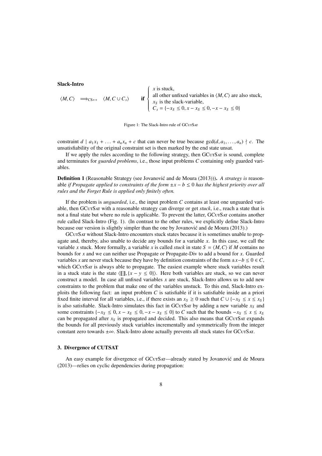## Slack-Intro

$$
\langle M, C \rangle \implies_{CS++} \langle M, C \cup C_s \rangle
$$
 if 
$$
\begin{cases} x \text{ is stuck,} \\ \text{all other unfixed variables in } \langle M, C \rangle \text{ are also stuck,} \\ x_S \text{ is the slack-variable,} \\ C_s = \{-x_S \le 0, x - x_S \le 0, -x - x_S \le 0\} \end{cases}
$$

Figure 1: The Slack-Intro rule of GCuTSAT

constraint  $d \mid a_1x_1 + \ldots + a_nx_n + c$  that can never be true because  $gcd(d, a_1, \ldots, a_n) \nmid c$ . The unsatisfiability of the original constraint set is then marked by the end state unsat.

If we apply the rules according to the following strategy, then GCuTSAT is sound, complete and terminates for *guarded problems*, i.e., those input problems *C* containing only guarded variables.

**Definition 1** (Reasonable Strategy (see Jovanovic and de Moura (2013))). A *strategy is* reasonable *if Propagate applied to constraints of the form* ±*x* − *b* ≤ 0 *has the highest priority over all rules and the Forget Rule is applied only finitely often.*

If the problem is *unguarded*, i.e., the input problem *C* contains at least one unguarded variable, then GCUTSAT with a reasonable strategy can diverge or get *stuck*, i.e., reach a state that is not a final state but where no rule is applicable. To prevent the latter, GCuTSAT contains another rule called Slack-Intro (Fig. 1). (In contrast to the other rules, we explicitly define Slack-Intro because our version is slightly simpler than the one by Jovanovic and de Moura (2013).) ´

GCutSat without Slack-Intro encounters stuck states because it is sometimes unable to propagate and, thereby, also unable to decide any bounds for a variable *x*. In this case, we call the variable *x* stuck. More formally, a variable *x* is called *stuck* in state  $S = \langle M, C \rangle$  if *M* contains no bounds for *x* and we can neither use Propagate or Propagate-Div to add a bound for *x*. Guarded variables *x* are never stuck because they have by definition constraints of the form  $\pm x - b \leq 0 \leq C$ . which GCutSat is always able to propagate. The easiest example where stuck variables result in a stuck state is the state  $\langle \llbracket \rrbracket, {x - y \le 0} \rangle$ . Here both variables are stuck, so we can never construct a model. In case all unfixed variables *x* are stuck, Slack-Intro allows us to add new constraints to the problem that make one of the variables unstuck. To this end, Slack-Intro exploits the following fact: an input problem  $C$  is satisfiable if it is satisfiable inside an a priori fixed finite interval for all variables, i.e., if there exists an  $x_S \ge 0$  such that  $C \cup \{-x_S \le x \le x_S\}$ is also satisfiable. Slack-Intro simulates this fact in GCUTSAT by adding a new variable  $x<sub>S</sub>$  and some constraints  $\{-x_S \leq 0, x - x_S \leq 0, -x - x_S \leq 0\}$  to *C* such that the bounds  $-x_S \leq x \leq x_S$ can be propagated after  $x<sub>S</sub>$  is propagated and decided. This also means that GCuTSAT expands the bounds for all previously stuck variables incrementally and symmetrically from the integer constant zero towards  $\pm \infty$ . Slack-Intro alone actually prevents all stuck states for GCurSAT.

## 3. Divergence of CUTSAT

An easy example for divergence of GCuTSAT—already stated by Jovanović and de Moura (2013)—relies on cyclic dependencies during propagation: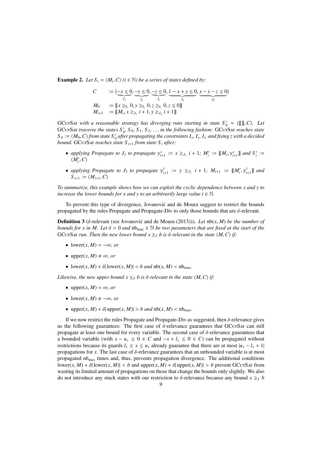**Example 2.** *Let*  $S_i = \langle M_i, C \rangle$  ( $i \in \mathbb{N}$ ) be a series of states defined by:

$$
C := \{ \underbrace{-x \le 0}_{I_x}, \underbrace{-y \le 0}_{I_y}, \underbrace{-z \le 0}_{I_z}, \underbrace{1 - x + y \le 0}_{J_1}, \underbrace{x - y - z \le 0}_{J_2} \}
$$
\n
$$
M_0 := \llbracket x \ge I_x \ 0, y \ge I_y \ 0, z \ge I_z \ 0, z \le 0 \rrbracket
$$
\n
$$
M_{i+1} := \llbracket M_i, x \ge J_1 \ i + 1, y \ge J_2 \ i + 1 \rrbracket
$$

GCUTSAT with a reasonable strategy has diverging runs starting in state  $S'_0 = \langle [\![], C \rangle \rangle$ . Let GCUTSAT traverse the states  $S' \setminus S_0 \subseteq S_1$ , in the following fashion: GCUTSAT reaches state GCUTSAT *traverse the states*  $S'_0$ ,  $S_0$ ,  $S_1$ ,  $S_2$ , ... *in the following fashion:* GCUTSAT *reaches state*<br> $S_0 := (M_0, C)$  from state  $S'$  after propagating the constraints  $I, I, I$  and fixing *z* with a decided  $S_0 := \langle M_0, C \rangle$  *from state*  $S'_0$  *after propagating the constraints I<sub>x</sub>, I<sub>y</sub>, I<sub>z</sub>, and fixing z with a decided*<br>bound. GCuTSAT reaches state  $S_{\perp}$ , from state  $S_{\perp}$  after: *bound.* GCUTSAT *reaches state*  $S_{i+1}$  *from state*  $S_i$  *after:* 

- *applying Propagate to*  $J_1$  *to propagate*  $\gamma_{i+1}^x := x \geq_{J_1} i + 1$ ;  $M_i' := [\![M_i, \gamma_{i+1}^x]\!]$  *and*  $S_i' := \{M_i \cap C\}$  $\langle M'_i, C \rangle$
- *applying Propagate to*  $J_2$  *<i>to propagate*  $\gamma_i^y$  $\sum_{i+1}^{y} := y \geq_{J_2} i + 1; M_{i+1} := [\![M'_i, \gamma]\!]$ *y i*+1 ]] *and*  $S_{i+1} := \langle M_{i+1}, C \rangle$

*To summarize, this example shows how we can exploit the cyclic dependence between x and y to increase the lower bounds for x and y to an arbitrarily large value i*  $\in \mathbb{N}$ *.* 

To prevent this type of divergence, Jovanovic and de Moura suggest to restrict the bounds ´ propagated by the rules Propagate and Propagate-Div to only those bounds that are δ-relevant.

**Definition 3** (δ-relevant (see Jovanović and de Moura (2013))). Let nb(*x*, *M*) be the number of *bounds for x in M. Let*  $\delta > 0$  *and*  $nb_{\text{max}} \in \mathbb{N}$  *be two parameters that are fixed at the start of the* GCUTSAT *run. Then the new lower bound*  $x \geq J$  *b is*  $\delta$ *-relevant in the state*  $\langle M, C \rangle$  *if:* 

- lower( $x, M$ ) =  $-\infty$ *, or*
- upper $(x, M) \neq \infty$ , or
- lower(*x*, *M*) +  $\delta$ | lower(*x*, *M*)| < *b* and  $nb(x, M)$  <  $nb_{\text{max}}$ .

*Likewise, the new upper bound*  $x \leq J$  *b is δ*-relevant in the state  $\langle M, C \rangle$  if:

- upper $(x, M) = \infty$ , *or*
- lower(*x*, *M*)  $\neq -\infty$ , *or*
- upper $(x, M) + \delta$  upper $(x, M)$  > *b* and  $nb(x, M)$  <  $nb_{\text{max}}$ .

If we now restrict the rules Propagate and Propagate-Div as suggested, then δ-relevance gives us the following guarantees: The first case of  $\delta$ -relevance guarantees that GCuTSAT can still propagate at least one bound for every variable. The second case of  $\delta$ -relevance guarantees that a bounded variable (with  $x - u_x \le 0 \in C$  and  $-x + l_x \le 0 \in C$ ) can be propagated without restrictions because its guards  $l_x \le x \le u_x$  already guarantee that there are at most  $|u_x - l_x + 1|$ propagations for  $x$ . The last case of  $\delta$ -relevance guarantees that an unbounded variable is at most propagated nb<sub>max</sub> times and, thus, prevents propagation divergence. The additional conditions  $l(\text{lower}(x, M) + \delta | \text{lower}(x, M)| < b \text{ and upper}(x, M) + \delta | \text{upper}(x, M)| > b \text{ prevent GCUTSAT from}$ wasting its limited amount of propagations on those that change the bounds only slightly. We also do not introduce any stuck states with our restriction to  $\delta$ -relevance because any bound  $x \geq b$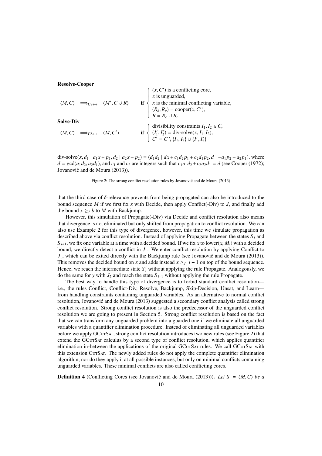Resolve-Cooper

$$
\langle M, C \rangle \implies_{CS++} \langle M', C \cup R \rangle
$$
 if 
$$
\begin{cases} (x, C') \text{ is a conflicting core,} \\ x \text{ is unguarded,} \\ x \text{ is the minimal conflicting variable,} \\ (R_k, R_c) = \text{cooper}(x, C'), \\ R = R_k \cup R_c \end{cases}
$$
  
\nSolve-Div  
\n
$$
\langle M, C \rangle \implies_{CS++} \langle M, C' \rangle
$$
 if 
$$
\begin{cases} \text{divisibility constraints } I_1, I_2 \in C, \\ (I'_1, I'_2) = \text{div-solve}(x, I_1, I_2), \\ C' = C \setminus \{I_1, I_2\} \cup \{I'_1, I'_2\} \end{cases}
$$

div-solve(x, d<sub>1</sub> |  $a_1x + p_1$ , d<sub>2</sub> |  $a_2x + p_2$ ) = (d<sub>1</sub>d<sub>2</sub> |  $dx + c_1d_2p_1 + c_2d_1p_2$ , d |  $-a_1p_2 + a_2p_1$ ), where  $d = \gcd(a_1d_2, a_2d_1)$ , and  $c_1$  and  $c_2$  are integers such that  $c_1a_1d_2 + c_2a_2d_1 = d$  (see Cooper (1972); Jovanović and de Moura (2013)).

Figure 2: The strong conflict resolution rules by Jovanović and de Moura (2013)

that the third case of δ-relevance prevents from being propagated can also be introduced to the bound sequence *M* if we first fix *x* with Decide, then apply Conflict(-Div) to *J*, and finally add the bound  $x \geq J$  *b* to *M* with Backjump.

However, this simulation of Propagate(-Div) via Decide and conflict resolution also means that divergence is not eliminated but only shifted from propagation to conflict resolution. We can also use Example 2 for this type of divergence, however, this time we simulate propagation as described above via conflict resolution. Instead of applying Propagate between the states  $S_i$  and  $S_{i+1}$ , we fix one variable at a time with a decided bound. If we fix *x* to lower(*x*, *M*<sub>*i*</sub>) with a decided bound, we directly detect a conflict in *J*1. We enter conflict resolution by applying Conflict to  $J_1$ , which can be exited directly with the Backjump rule (see Jovanovic and de Moura (2013)). This removes the decided bound on *x* and adds instead  $x \geq_{J_1} i + 1$  on top of the bound sequence. Hence, we reach the intermediate state  $S_i'$  without applying the rule Propagate. Analogously, we do the same for *y* with  $J_2$  and reach the state  $S_{i+1}$  without applying the rule Propagate.

The best way to handle this type of divergence is to forbid standard conflict resolution i.e., the rules Conflict, Conflict-Div, Resolve, Backjump, Skip-Decision, Unsat, and Learn from handling constraints containing unguarded variables. As an alternative to normal conflict resolution, Jovanovic and de Moura (2013) suggested a secondary conflict analysis called strong ´ conflict resolution. Strong conflict resolution is also the predecessor of the unguarded conflict resolution we are going to present in Section 5. Strong conflict resolution is based on the fact that we can transform any unguarded problem into a guarded one if we eliminate all unguarded variables with a quantifier elimination procedure. Instead of eliminating all unguarded variables before we apply GCuTSAT, strong conflict resolution introduces two new rules (see Figure 2) that extend the GCu<sub>TSAT</sub> calculus by a second type of conflict resolution, which applies quantifier elimination in-between the applications of the original GCuTSAT rules. We call GCuTSAT with this extension CurSAT. The newly added rules do not apply the complete quantifier elimination algorithm, nor do they apply it at all possible instances, but only on minimal conflicts containing unguarded variables. These minimal conflicts are also called conflicting cores.

**Definition 4** (Conflicting Cores (see Jovanovic and de Moura (2013))). Let  $S = \langle M, C \rangle$  be a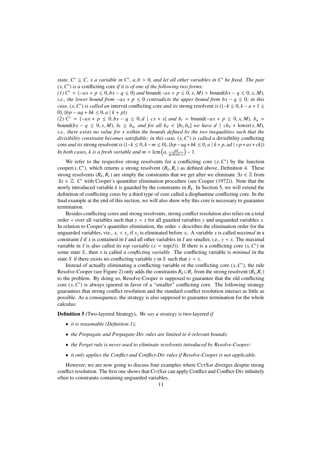*state, C'*  $\subseteq$  *C, x a variable in C', a,b > 0, and let all other variables in C' be fixed. The pair*  $(x, C')$  is a conflicting core if it is of one of the following two forms:  $(x, C')$  *is a* conflicting core *if it is of one of the following two forms:*<br>(1)  $C' = 1 - ax + n \le 0$   $br = a \le 0$  and bound( $-ax + n \le 0$  x M)

*(1)*  $C' = \{-ax + p \le 0, bx - q \le 0\}$  *and* bound( $-ax + p \le 0, x, M$ ) > bound( $bx - q \le 0, x, M$ )*, i.e., the lower bound from*  $-a x + p \le 0$  *contradicts the upper bound from bx* −  $q \le 0$ *; in this case,* (*x, C'*) *is called an* interval conflicting core *and its* strong resolvent *is* ({ $-k \le 0, k - a + 1 \le 0$ } *lhn* − *aa* + *hk* < 0, *a* | *k* + *n*} 0},  ${bp - aq + bk ≤ 0, a | k + p}$ 

*(2)*  $C' = \{-ax + p \le 0, bx - q \le 0, d \mid cx + s\}$  *and*  $b_l = \text{bound}(-ax + p \le 0, x, M)$ ,  $b_u =$ bound(bx -  $q \leq 0$ , x, M),  $b_l \leq b_u$ , and for all  $b_d \in [b_l, b_u]$  we have  $d \nmid cb_d + \text{lower}(s, M)$ ,<br>i.e., there exists no value for x within the bounds defined by the two inequalities such that the *i.e., there exists no value for x within the bounds defined by the two inequalities such that the divisibility constraint becomes satisfiable; in this case,*  $(x, C')$  *is called a divisibility conflicting*<br>core and its strong resolvent is  $(1 - k < 0, k - m < 0)$ ,  $l$ hn – ag + bk < 0, g | k + n, gd | cn + g + ck) core *and its* strong resolvent *is*  $({-k \le 0, k-m \le 0}, {bp-aq+bk \le 0}, a | k+p, ad | cp+as+ck})$ *In both cases, k is a fresh variable and m* =  $\text{lcm}\left(a, \frac{ad}{\text{gcd}(ad,c)}\right)$ **)** − 1.

We refer to the respective strong resolvents for a conflicting core  $(x, C')$  by the function<br>per(*x, C'*) which returns a strong resolvent  $(R, R)$  as defined above. Definition 4. These cooper(*x*,*C*<sup>'</sup>), which returns a strong resolvent ( $R_k$ ,  $R_c$ ) as defined above, Definition 4. These<br>strong resolvents ( $R$ ,  $R$ ) are simply the constraints that we get after we eliminate  $\exists x \in \mathbb{Z}$  from strong resolvents ( $R_k$ ,  $R_c$ ) are simply the constraints that we get after we eliminate  $\exists x \in \mathbb{Z}$  from  $\exists x \in \mathbb{Z}$ . *C'* with Cooper's quantifier elimination procedure (see Cooper (1972)). Note that the newly introduced variable *k* is quanted by the constraints in *R*. In Section 5, we will extend the newly introduced variable *k* is guarded by the constraints in  $R_k$ . In Section 5, we will extend the definition of conflicting cores by a third type of core called a diophantine conflicting core. In the final example at the end of this section, we will also show why this core is necessary to guarantee termination.

Besides conflicting cores and strong resolvents, strong conflict resolution also relies on a total order  $\lt$  over all variables such that  $y \lt x$  for all guarded variables y and unguarded variables x. In relation to Cooper's quantifier elimination, the order ≺ describes the elimination order for the unguarded variables, viz.,  $x_i \lt x_j$  if  $x_j$  is eliminated before  $x_i$ . A variable *x* is called *maximal* in a constraint *I* if *x* is contained in *I* and all other variables in *I* are smaller, i.e.,  $y \prec x$ . The maximal variable in *I* is also called its *top variable*  $(x = top(I))$ . If there is a conflicting core  $(x, C')$  in some state *S*, then *x* is called a *conflicting variable*. The conflicting variable is *minimal* in the some state *S* , then *x* is called a *conflicting variable*. The conflicting variable is *minimal* in the state *S* if there exists no conflicting variable *y* in *S* such that  $y \lt x$ .

Instead of actually eliminating a conflicting variable or the conflicting core  $(x, C')$ , the rule<br>olve-Cooper (see Figure 2) only adds the constraints  $R_1 \cup R$  from the strong resolvent  $(R, R)$ Resolve-Cooper (see Figure 2) only adds the constraints  $R_k \cup R_c$  from the strong resolvent  $(R_k, R_c)$ to the problem. By doing so, Resolve-Cooper is supposed to guarantee that the old conflicting core  $(x, C')$  is always ignored in favor of a "smaller" conflicting core. The following strategy<br>guarantees that strong conflict resolution and the standard conflict resolution interact as little as guarantees that strong conflict resolution and the standard conflict resolution interact as little as possible. As a consequence, the strategy is also supposed to guarantee termination for the whole calculus:

Definition 5 (Two-layered Strategy). *We say a strategy is* two-layered *if*

- *it is reasonable (Definition 1);*
- *the Propagate and Propagate-Div rules are limited to* δ*-relevant bounds;*
- *the Forget rule is never used to eliminate resolvents introduced by Resolve-Cooper;*
- *it only applies the Conflict and Conflict-Div rules if Resolve-Cooper is not applicable.*

However, we are now going to discuss four examples where CutSat diverges despite strong conflict resolution. The first one shows that CurSAT can apply Conflict and Conflict-Div infinitely often to constraints containing unguarded variables.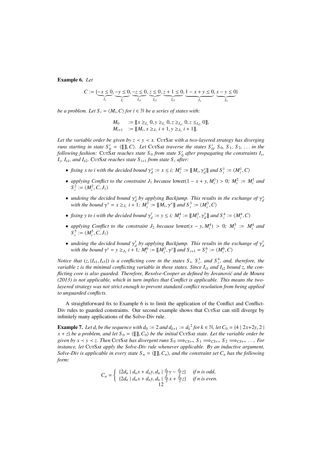Example 6. *Let*

$$
C := \{ \underbrace{-x \leq 0}_{I_x}, \underbrace{-y \leq 0}_{I_y}, \underbrace{-z \leq 0}_{I_{z1}}, \underbrace{z \leq 0}_{I_{z2}}, \underbrace{z + 1 \leq 0}_{I_{z3}}, \underbrace{1 - x + y \leq 0}_{J_1}, \underbrace{x - y \leq 0}_{J_2} \}
$$

*be a problem. Let*  $S_i = \langle M_i, C \rangle$  *for*  $i \in \mathbb{N}$  *be a series of states with:* 

$$
M_0 := [[x \geq_{I_x} 0, y \geq_{I_y} 0, z \geq_{I_{z1}} 0, z \leq_{I_{z2}} 0]],
$$
  
\n
$$
M_{i+1} := [[M_i, x \geq_{J_1} i + 1, y \geq_{J_2} i + 1]].
$$

*Let the variable order be given by*  $z \le y \le x$ . CurSax *with a two-layered strategy has diverging runs starting in state*  $S'_0 = \langle [\![ \!] \!]$ ,*C*). Let CUTSAT *traverse the states*  $S'_0$ ,  $S_0$ ,  $S_1$ ,  $S_2$ , ... *in the*<br>*following fashion:* CUTSAT *reaches* state S<sub>6</sub> from state S', after propagating the constraints I *following fashion:* CutSAt *reaches state*  $S_0$  *from state*  $S'_0$  *after propagating the constraints*  $I_x$ ,  $I_v$ ,  $I_{z1}$ *, and*  $I_{z2}$ *.* CutSat *reaches state*  $S_{i+1}$  *from state*  $S_i$  *after:* 

- *fixing x to i with the decided bound*  $\gamma_d^x := x \leq i$ ;  $M_i^1 := [\![M_i, \gamma_d^x]\!]$  and  $S_i^1 := \langle M_i^1, C \rangle$
- *applying Conflict to the constraint*  $J_1$  *because* lower(1 *x* + *y*,  $M_i^1$ ) > 0*;*  $M_i^2 := M_i^1$  *and*  $S^2 := (M_i^2 \cap I_i)$  $S_i^2 := \langle M_i^2, C, J_1 \rangle$
- *undoing the decided bound*  $\gamma_d^x$  *by applying Backjump. This results in the exchange of*  $\gamma_d^x$  *with the bound*  $\gamma_c^x = r > t$ ,  $d = 1 \cdot M^3$   $\cdot = [M_1 \gamma_c^x]$  *and*  $S^3 = (M^3 \gamma_c^x)$ *with the bound*  $\gamma^x = x \geq_{J_1} i + 1$ ;  $M_i^3 := [[M_i, \gamma^x]]$  *and*  $S_i^3 := \langle M_i^3, C \rangle$
- *fixing* y to *i* with the decided bound  $\gamma_d^y$  $\frac{dy}{dt} := y \le i$ ;  $M_i^4 := [\![M_i^3, \gamma\!]$ *y*  $\mathcal{L}_d^{\mathcal{Y}}$  and  $S_i^4 := \langle M_i^4, C \rangle$
- *applying Conflict to the constraint*  $J_2$  *because* lower( $x y$ ,  $M_i^4$ ) > 0;  $M_i^5 := M_i^4$  and  $S^5 := /M_i^5$   $C$   $I_i$ )  $S_i^5 := \langle M_i^5, C, J_1 \rangle$
- *undoing the decided bound*  $\gamma_d^y$ <br>*with the bound*  $\gamma_d^y y \geq \gamma$ , *i* + *d* by applying Backjump. This results in the exchange of  $\gamma_d^d$ <br>  $\gamma_d^d$  +  $M^6$   $\sim$   $\mathbb{F}M^3$   $\gamma_d^d$  and  $S$   $\gamma_d$  =  $S^6$   $\sim$   $/M^6$   $C$ ) *d with the bound*  $\gamma^{y} = y \geq_{J_2} i + 1$ ;  $M_i^6 := [\![M_i^3, \gamma^{y}]\!]$  *and*  $S_{i+1} = S_i^6 := \langle M_i^6, C \rangle$

*Notice that*  $(z, {I_{z1}, I_{z3}})$  *is a conflicting core in the states*  $S_i$ ,  $S_i^1$ , and  $S_i^4$ , and, therefore, the printing conflicting variable in those states. Since *I*, and *I*<sub>2</sub> hound *z* the con*variable z is the minimal conflicting variable in those states. Since I<sub>21</sub> and I<sub>22</sub> bound z, the conflicting core is also guarded. Therefore, Resolve-Cooper as defined by Jovanović and de Moura (2013) is not applicable, which in turn implies that Conflict is applicable. This means the twolayered strategy was not strict enough to prevent standard conflict resolution from being applied to unguarded conflicts.*

A straightforward fix to Example 6 is to limit the application of the Conflict and Conflict-Div rules to guarded constraints. Our second example shows that CutSat can still diverge by infinitely many applications of the Solve-Div rule.

**Example 7.** Let  $d_i$  be the sequence with  $d_0 := 2$  and  $d_{k+1} := d_k^2$  for  $k \in \mathbb{N}$ , let  $C_0 = \{4 \mid 2x+2y, 2 \mid x + z\}$  be a problem, and let  $S_0 = \langle \text{III } C_0 \rangle$  be the initial CurSar state. Let the variable order he  $x + z$  *be a problem, and let*  $S_0 = \langle \llbracket \rrbracket, C_0 \rangle$  *be the initial* CurSat *state. Let the variable order be given by x*  $\lt$  *y*  $\lt$  *z. Then* CutSat *has divergent runs*  $S_0 \implies_{CS++} S_1 \implies_{CS++} S_2 \implies_{CS++} \ldots$  *For instance, let* CurSar *apply the Solve-Div rule whenever applicable. By an inductive argument, Solve-Div is applicable in every state*  $S_n = \langle \llbracket \rrbracket, C_n \rangle$ *, and the constraint set*  $C_n$  *has the following form:*

$$
C_n = \begin{cases} \{2d_n \mid d_n x + d_n y, d_n \mid \frac{d_n}{2} y - \frac{d_n}{2} z\} & \text{if } n \text{ is odd,} \\ \{2d_n \mid d_n x + d_n y, d_n \mid \frac{d_n}{2} x + \frac{d_n}{2} z\} & \text{if } n \text{ is even.} \end{cases}
$$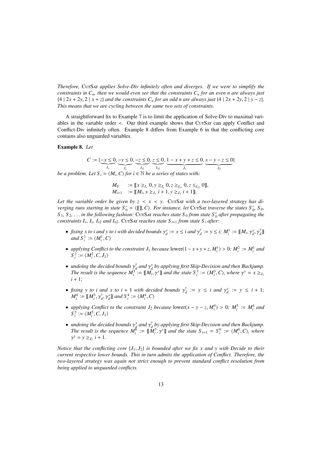*Therefore,* CutSat *applies Solve-Div infinitely often and diverges. If we were to simplify the constraints in Cn, then we would even see that the constraints C<sup>n</sup> for an even n are always just* {4 |  $2x + 2y$ ,  $2 | x + z$ } *and the constraints*  $C_n$  *for an odd n are always just* {4 |  $2x + 2y$ ,  $2 | y - z$ }*. This means that we are cycling between the same two sets of constraints.*

A straightforward fix to Example 7 is to limit the application of Solve-Div to maximal variables in the variable order  $\lt$ . Our third example shows that CurSAT can apply Conflict and Conflict-Div infinitely often. Example 8 differs from Example 6 in that the conflicting core contains also unguarded variables.

## Example 8. *Let*

*C* := {−*x* ≤ 0}  $\underbrace{-x \leq 0}_{I_x}, \underbrace{-y \leq 0}_{I_y}, \underbrace{-z \leq 0}_{I_{z1}}, \underbrace{z \leq 0}_{I_{z2}}, \underbrace{1-x+y+z \leq 0}_{J_1}, \underbrace{x-y-z \leq 0}_{J_2}$ } *be a problem. Let*  $S_i = \langle M_i, C \rangle$  *for*  $i \in \mathbb{N}$  *be a series of states with:* 

$$
M_0 := [[x \geq_{I_x} 0, y \geq_{I_y} 0, z \geq_{I_{z1}} 0, z \leq_{I_{z2}} 0]],
$$
  
\n
$$
M_{i+1} := [[M_i, x \geq_{J_1} i + 1, y \geq_{J_2} i + 1]].
$$

Let the variable order be given by  $z \leq x \leq y$ . CurSAr with a two-layered strategy has di*verging runs starting in state*  $S'_0 = \langle \mathbb{I}, \mathbb{I}, C \rangle$ *. For instance, let* CurSat *traverse the states*  $S'_0$ ,  $S_0$ ,  $S_1$ ,  $S_2$ ,  $S_3$ ,  $S_4$ ,  $S_5$ ,  $S_6$ ,  $S_7$ ,  $S_8$ ,  $S_9$ ,  $S_9$ ,  $S_1$ ,  $S_2$ ,  $S_4$ ,  $S_5$ ,  $S$  $S_1, S_2, \ldots$  *in the following fashion:* CutSat *reaches state*  $S_0$  *from state*  $S'_0$  *after propagating the*<br>constraints  $I, I, I$  a and  $I_2$ . CutSat reaches state  $S_1$ , from state  $S_2$  after: *constraints I<sub>x</sub></sub>, I<sub>y</sub>, I<sub>z2</sub> <i>and I<sub>z2</sub>*. CutSat *reaches state S<sub>i+1</sub> from state S<sub>i</sub> after:* 

- *fixing x to i and y to i with decided bounds*  $\gamma_d^x := x \le i$  *and*  $\gamma_d^y$  *and*  $S^1 := \Lambda M^1 C$  $\mathcal{Y}_d := y \leq i$ ;  $M_i^1 := [\![M_i, \gamma_d^x, \gamma_d^x]$ *y*  $\int_{d}^{y}$ *and*  $S_i^1 := \langle M_i^1, C \rangle$
- *applying Conflict to the constraint*  $J_1$  *because* lower(1 *x* + *y* + *z*,  $M_i^1$ ) > 0*;*  $M_i^2 := M_i^1$  *and*  $S^2 := /M_i^2$   $C = I_i$ .  $S_i^2 := \langle M_i^2, C, J_1 \rangle$
- *undoing the decided bounds*  $\gamma_d^y$ <br>The result is the sequence  $M^3$ *d*<sub>*d*</sub> *d*  $\gamma_d^x$  *by applying first Skip-Decision and then Backjump.*<br>  $d = M_d \gamma_d^x$  and the state  $S^3 = (M^3 \ G)$  where  $\gamma_x^x = x > a$ . *The result is the sequence*  $M_i^3 := [\![M_i, \gamma^x]\!]$  *and the state*  $S_i^3 := \langle M_i^3, C \rangle$ , where  $\gamma^x = x \geq_{J_1}$ <br>*i* + 1. *i* + 1*;*
- *fixing y to i and x to i* + 1 *with decided bounds*  $\gamma_a^y$ <br> $M^4 := \mathbb{I}M^3$   $\gamma_a^y$   $\gamma_b^x$  and  $S^4 := /M^4$  C)  $\gamma_d^y := y \le i$  and  $\gamma_d^x := y \le i + 1;$  $M_i^4 := [\![M_i^3, \gamma\!]$ *y*  $\mathcal{L}_d^y$ ,  $\gamma_d^x$  and  $S_i^4 := \langle M_i^4, C \rangle$
- *applying Conflict to the constraint*  $J_2$  *because* lower( $x y z$ ,  $M_i^4$ ) > 0*;*  $M_i^5 := M_i^4$  *and*  $S^5 := /M_i^5$  *C L*)  $S_i^5 := \langle M_i^5, C, J_1 \rangle$
- *undoing the decided bounds*  $\gamma_d^x$  *and*  $\gamma_d^y$  *by applying first Skip-Decision and then Backjump.*<br>*The result is the sequence*  $M^6 := M^3 \gamma_d^y$  *and the state*  $S_{d,d} = S^6 := /M^6$  *C*), where *diable declared bounds*  $\gamma_d$  *dial*  $\gamma_d$  *by applying first skip-bectsion and then backjamp.*<br>*The result is the sequence*  $M_i^6 := [\![M_i^3, \gamma^y]\!]$  *and the state*  $S_{i+1} = S_i^6 := \langle M_i^6, C \rangle$ , where  $\gamma^y = y \geq_{J_2} i + 1.$

*Notice that the conflicting core*  $\{J_1, J_2\}$  *is bounded after we fix x and y with Decide to their current respective lower bounds. This in turn admits the application of Conflict. Therefore, the two-layered strategy was again not strict enough to prevent standard conflict resolution from being applied to unguarded conflicts.*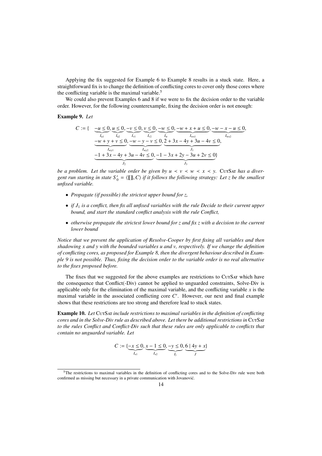Applying the fix suggested for Example 6 to Example 8 results in a stuck state. Here, a straightforward fix is to change the definition of conflicting cores to cover only those cores where the conflicting variable is the maximal variable.<sup>5</sup>

We could also prevent Examples 6 and 8 if we were to fix the decision order to the variable order. However, for the following counterexample, fixing the decision order is not enough:

## Example 9. *Let*

$$
C := \left\{ \begin{array}{cc} -u \leq 0, u \leq 0, -v \leq 0, v \leq 0, -w \leq 0, -w+x+u \leq 0, -w-x-u \leq 0, -w+y+v \leq 0, -w-y-v \leq 0, 2+3x-4y+3u-4v \leq 0, -w-y-v \leq 0, 2+3x-4y+3u-4v \leq 0, -1+3x-4y+3u-4v \leq 0, -1-3x+2y-3u+2v \leq 0 \end{array} \right\}
$$

*be a problem. Let the variable order be given by*  $u \le v \le w \le x \le v$ *. Curs a diver*gent run starting in state  $S'_0 = \langle [\![ \! \, ] \! ] \! ]$ , *C*) if it follows the following strategy: Let *z* be the smallest<br>unfixed variable *unfixed variable.*

- *Propagate (if possible) the strictest upper bound for z,*
- *if J*<sup>1</sup> *is a conflict, then fix all unfixed variables with the rule Decide to their current upper bound, and start the standard conflict analysis with the rule Conflict,*
- *otherwise propagate the strictest lower bound for z and fix z with a decision to the current lower bound*

*Notice that we prevent the application of Resolve-Cooper by first fixing all variables and then shadowing x and y with the bounded variables u and v, respectively. If we change the definition of conflicting cores, as proposed for Example 8, then the divergent behaviour described in Example 9 is not possible. Thus, fixing the decision order to the variable order is no real alternative to the fixes proposed before.*

The fixes that we suggested for the above examples are restrictions to CurSAT which have the consequence that Conflict(-Div) cannot be applied to unguarded constraints, Solve-Div is applicable only for the elimination of the maximal variable, and the conflicting variable  $x$  is the maximal variable in the associated conflicting core C'. However, our next and final example shows that these restrictions are too strong and therefore lead to stuck states.

Example 10. *Let* CutSat *include restrictions to maximal variables in the definition of conflicting cores and in the Solve-Div rule as described above. Let there be additional restrictions in* CutSat *to the rules Conflict and Conflict-Div such that these rules are only applicable to conflicts that contain no unguarded variable. Let*

$$
C := \{ \underbrace{-x \leq 0}_{I_{x1}}, \underbrace{x-1 \leq 0}_{I_{x2}}, \underbrace{-y \leq 0}_{I_{y}}, \underbrace{6 \mid 4y + x}_{J} \}
$$

<sup>&</sup>lt;sup>5</sup>The restrictions to maximal variables in the definition of conflicting cores and to the Solve-Div rule were both confirmed as missing but necessary in a private communication with Jovanović.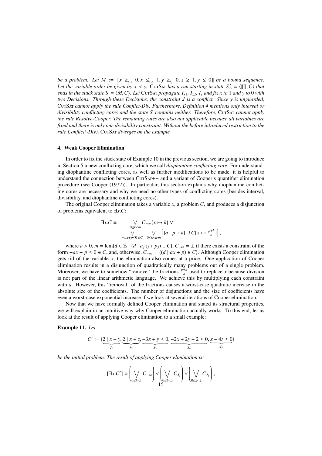*be a problem. Let M* :=  $\llbracket x \geq_{I_{x}} 0, x \leq_{I_{x}} 0, x \geq 1, y \geq 0 \rrbracket$  *be a bound sequence.*<br>Let the variable order be given by  $x \leq y$ . Curs as a run starting in state  $S' = \sqrt{\llbracket x \rrbracket}$  C) that *Let the variable order be given by*  $x \prec y$ *.* CurSat *has a run starting in state*  $S'_0 = \langle [[], C \rangle$  *that* ends in the stuck state  $S = \langle M, C \rangle$ . Let CurSat propagate  $I : J \circ J$  and fix x to 1 and y to 0 with *ends in the stuck state S =*  $\langle M, C \rangle$ *. Let* CutSat *propagate I<sub>x1</sub>, I<sub>x2</sub>, I<sub>y</sub> and fix x to 1 <i>and y to* 0 *with two Decisions. Through these Decisions, the constraint J is a conflict. Since y is unguarded,* CutSat *cannot apply the rule Conflict-Div. Furthermore, Definition 4 mentions only interval or* divisibility conflicting cores and the state S contains neither. Therefore, CUTSAT cannot apply *the rule Resolve-Cooper. The remaining rules are also not applicable because all variables are fixed and there is only one divisibility constraint. Without the before introduced restriction to the rule Conflict(-Div),* CutSat *diverges on the example.*

## 4. Weak Cooper Elimination

In order to fix the stuck state of Example 10 in the previous section, we are going to introduce in Section 5 a new conflicting core, which we call *diophantine conflicting core*. For understanding diophantine conflicting cores, as well as further modifications to be made, it is helpful to understand the connection between CutSat + and a variant of Cooper's quantifier elimination procedure (see Cooper (1972)). In particular, this section explains why diophantine conflicting cores are necessary and why we need no other types of conflicting cores (besides interval, divisibility, and diophantine conflicting cores).

The original Cooper elimination takes a variable *x*, a problem *C*, and produces a disjunction of problems equivalent to <sup>∃</sup>*x*.*C*:

$$
\exists x.C \equiv \bigvee_{\substack{0 \le k < m \\ \sqrt{C_{-\infty}\{x \mapsto k\}}} C_{-\infty}\{x \mapsto k\} \vee \left[\left\{a \mid p+k\right\} \cup C\{x \mapsto \frac{p+k}{a}\}\right],
$$

where  $a > 0$ ,  $m = \text{lcm}\{d \in \mathbb{Z} : (d \mid a_j x_j + p_j) \in C\}$ ,  $C_{-\infty} = \bot$  if there exists a constraint of the form  $-a x + p \le 0 \in C$ , and, otherwise,  $C_{-\infty} = \{(d \mid ax + p) \in C\}$ . Although Cooper elimination gets rid of the variable *x*, the elimination also comes at a price. One application of Cooper elimination results in a disjunction of quadratically many problems out of a single problem. Moreover, we have to somehow "remove" the fractions  $\frac{p+k}{a}$  used to replace *x* because division is not part of the linear arithmetic language. We achieve this by multiplying each constraint with *a*. However, this "removal" of the fractions causes a worst-case quadratic increase in the absolute size of the coefficients. The number of disjunctions and the size of coefficients have even a worst-case exponential increase if we look at several iterations of Cooper elimination.

Now that we have formally defined Cooper elimination and stated its structural properties, we will explain in an intuitive way why Cooper elimination actually works. To this end, let us look at the result of applying Cooper elimination to a small example:

## Example 11. *Let*

$$
C' := \{ \underbrace{2 \mid x + y}_{J_1}, \underbrace{2 \mid x + z}_{J_2}, \underbrace{-3x + y \le 0}_{J_3}, \underbrace{-2x + 2y - 2 \le 0}_{J_4}, \underbrace{x - 4z \le 0}_{J_5} \}
$$

*be the initial problem. The result of applying Cooper elimination is:*

$$
[\exists x.C'] \equiv \left(\bigvee_{0 \le k < 1} C_{-\infty}\right) \vee \left(\bigvee_{0 \le k < 3} C_{J_3}\right) \vee \left(\bigvee_{0 \le k < 2} C_{J_4}\right),\,
$$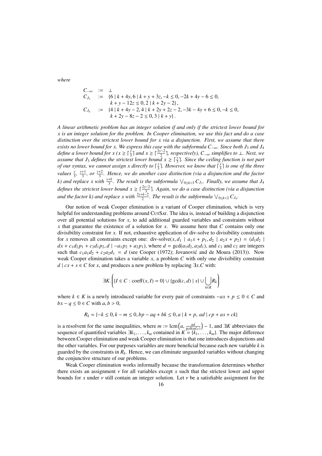*where*

$$
C_{-\infty} := \perp
$$
  
\n
$$
C_{J_3} := \{6 \mid k + 4y, 6 \mid k + y + 3z, -k \le 0, -2k + 4y - 6 \le 0, \n k + y - 12z \le 0, 2 \mid k + 2y - 2\},
$$
  
\n
$$
C_{J_4} := \{4 \mid k + 4y - 2, 4 \mid k + 2y + 2z - 2, -3k - 4y + 6 \le 0, -k \le 0, \n k + 2y - 8z - 2 \le 0, 3 \mid k + y\}.
$$

*A linear arithmetic problem has an integer solution if and only if the strictest lower bound for x is an integer solution for the problem. In Cooper elimination, we use this fact and do a case distinction over the strictest lower bound for x via a disjunction. First, we assume that there exists no lower bound for x. We express this case with the subformula C<sub>−∞</sub>. Since both J<sub>3</sub> and J<sub>4</sub> define a lower bound for x* ( $x \ge \lceil \frac{y}{3} \rceil$  *and*  $x \ge \lceil \frac{2y-2}{2} \rceil$ , *respectively*),  $C_{-\infty}$  *simplifies to* ⊥*. Next, we* assume that  $J_3$  defines the strictest lower bound  $x \geq \lceil \frac{y}{3} \rceil$ . Since the ceiling function is not part *of our syntax, we cannot assign x directly to*  $\lceil \frac{y}{3} \rceil$  $\frac{y}{3}$ ]. However, we know that  $\lceil \frac{y}{3} \rceil$  $\frac{y}{3}$ ] is one of the three *values*  $\frac{y}{3}$ ,  $\frac{y+1}{3}$  $\frac{+1}{3}$ *, or*  $\frac{y+2}{3}$  $\frac{+2}{3}$ . Hence, we do another case distinction (via a disjunction and the factor *k*) and replace x with  $\frac{y+k}{3}$ . The result is the subformula  $\bigvee_{0 \leq k \leq 3} C_{J_3}$ . Finally, we assume that  $J_4$ *defines the strictest lower bound*  $x \ge \lceil \frac{2y-2}{3} \rceil$ . Again, we do a case distinction (via a disjunction and the factor k) and replace x with  $\frac{2y+k-2}{2}$ . The result is the subformula  $\vee_{0\leq k<2} C_{J_4}$ .

Our notion of weak Cooper elimination is a variant of Cooper elimination, which is very helpful for understanding problems around CutSat. The idea is, instead of building a disjunction over all potential solutions for *x*, to add additional guarded variables and constraints without *x* that guarantee the existence of a solution for *x*. We assume here that *C* contains only one divisibility constraint for *x*. If not, exhaustive application of div-solve to divisibility constraints for *x* removes all constraints except one: div-solve( $x$ ,  $d_1$  |  $a_1x + p_1$ ,  $d_2$  |  $a_2x + p_2$ ) = ( $d_1d_2$  |  $dx + c_1d_2p_1 + c_2d_1p_2$ ,  $d \mid -a_1p_2 + a_2p_1$ , where  $d = \gcd(a_1d_2, a_2d_1)$ , and  $c_1$  and  $c_2$  are integers such that  $c_1a_1d_2 + c_2a_2d_1 = d$  (see Cooper (1972); Jovanović and de Moura (2013)). Now weak Cooper elimination takes a variable *x*, a problem *C* with only one divisibility constraint *d*  $| c x + s \in C$  for *x*, and produces a new problem by replacing  $\exists x.C$  with:

$$
\exists K. \left( \{ I \in C : \mathrm{coeff}(x, I) = 0 \} \cup \{ \mathrm{gcd}(c, d) \mid s \} \cup \bigcup_{k \in K} R_k \right)
$$

where  $k \in K$  is a newly introduced variable for every pair of constraints  $-a x + p \le 0 \in C$  and *bx* −  $q$  ≤ 0 ∈ *C* with  $a, b > 0$ ,

$$
R_k = \{ -k \le 0, k - m \le 0, bp - aq + bk \le 0, a \mid k + p, ad \mid cp + as + ck \}
$$

is a resolvent for the same inequalities, where  $m := \text{lcm}\left(a, \frac{ad}{\text{gcd}(ad, c)}\right) - 1$ , and ∃*K* abbreviates the sequence of quantified variables ∃*k*, becontained in  $K = Ik$ . sequence of quantified variables  $\exists k_1, \ldots, k_m$  contained in  $K = \{k_1, \ldots, k_m\}$ . The major difference between Cooper elimination and weak Cooper elimination is that one introduces disjunctions and between Cooper elimination and weak Cooper elimination is that one introduces disjunctions and the other variables. For our purposes variables are more beneficial because each new variable *k* is guarded by the constraints in  $R_k$ . Hence, we can eliminate unguarded variables without changing the conjunctive structure of our problems.

Weak Cooper elimination works informally because the transformation determines whether there exists an assignment  $\nu$  for all variables except  $x$  such that the strictest lower and upper bounds for x under  $\nu$  still contain an integer solution. Let  $\nu$  be a satisfiable assignment for the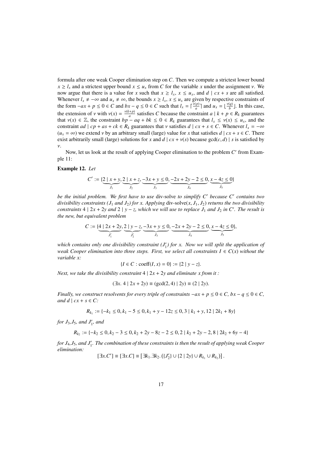formula after one weak Cooper elimination step on *C*. Then we compute a strictest lower bound  $x \ge l$ <sup>*x*</sup> and a strictest upper bound  $x \le u$ <sup>*x*</sup> from *C* for the variable *x* under the assignment *v*. We now argue that there is a value for *x* such that  $x \ge l_x$ ,  $x \le u_x$ , and  $d \mid cx + s$  are all satisfied. Whenever  $l_x \neq -\infty$  and  $u_x \neq \infty$ , the bounds  $x \geq l_x$ ,  $x \leq u_x$  are given by respective constraints of the form  $-a x + p \le 0 \in C$  and  $bx - q \le 0 \in C$  such that  $l_x = \lceil \frac{v(p)}{a} \rceil$  and  $u_x = \lfloor \frac{v(q)}{b} \rfloor$ . In this case, the extension of *v* with  $v(x) = \frac{v(k+p)}{a}$  satisfies *C* because the constraint  $a \mid k+p \in R_k$  guarantees that  $v(x) \in \mathbb{Z}$  the constraint  $b \mid n-a \mid a+bk < 0 \in R$ , guarantees that  $l < v(x) < u$  and the that  $v(x) \in \mathbb{Z}$ , the constraint  $bp - aq + bk \leq 0 \in R_k$  guarantees that  $l_x \leq v(x) \leq u_x$ , and the constraint *ad*  $| cp + as + ck \in R_k$  guarantees that v satisfies  $d | cx + s \in C$ . Whenever  $l_x = -\infty$  $(u_x = \infty)$  we extend *v* by an arbitrary small (large) value for *x* that satisfies  $d \mid cx + s \in C$ . There exist arbitrarily small (large) solutions for *x* and  $d \mid cx + v(s)$  because gcd(*c*, *d*) | *s* is satisfied by ν.

Now, let us look at the result of applying Cooper elimination to the problem C' from Example 11:

## Example 12. *Let*

$$
C' := \{ \underbrace{2 \mid x + y}_{J_1}, \underbrace{2 \mid x + z}_{J_2}, \underbrace{-3x + y \le 0}_{J_3}, \underbrace{-2x + 2y - 2 \le 0}_{J_4}, \underbrace{x - 4z \le 0}_{J_5} \}
$$

be the initial problem. We first have to use div-solve to simplify C' because C' contains two *divisibility constraints (J<sub>1</sub> and J<sub>2</sub>) for x. Applying div-solve(* $x$ *,*  $J_1$ *,*  $J_2$ *) returns the two divisibility constraints* 4 |  $2x + 2y$  *and*  $2 \mid y - z$ *, which we will use to replace*  $J_1$  *and*  $J_2$  *in C'. The result is the new, but equivalent problem*

$$
C := \{ \underbrace{4 \mid 2x + 2y}_{J'_1}, \underbrace{2 \mid y - z}_{J'_2}, \underbrace{-3x + y \le 0}_{J_3}, \underbrace{-2x + 2y - 2 \le 0}_{J_4}, \underbrace{x - 4z \le 0}_{J_5} \},
$$

which contains only one divisibility constraint  $(J'_1)$  for x. Now we will split the application of *weak Cooper elimination into three steps. First, we select all constraints*  $I \in C(x)$  *without the variable x:*

$$
\{I \in C : \text{coeff}(I, x) = 0\} := \{2 \mid y - z\}.
$$

*Next, we take the divisibility constraint*  $4 \mid 2x + 2y$  *and eliminate x from it :* 

$$
(\exists x. 4 \mid 2x + 2y) \equiv (\gcd(2, 4) \mid 2y) \equiv (2 \mid 2y).
$$

*Finally, we construct resolvents for every triple of constraints*  $-ax + p \le 0 \in C$ ,  $bx - q \le 0 \in C$ , *and d*  $| cx + s \in C$ :

$$
R_{k_1} := \{-k_1 \le 0, k_1 - 5 \le 0, k_1 + y - 12z \le 0, 3 \mid k_1 + y, 12 \mid 2k_1 + 8y\}
$$

*for*  $J_3$ ,  $J_5$ *, and*  $J'_1$ *, and* 

$$
R_{k_2} := \{-k_2 \le 0, k_2 - 3 \le 0, k_2 + 2y - 8z - 2 \le 0, 2 \mid k_2 + 2y - 2, 8 \mid 2k_2 + 6y - 4\}
$$

*for J<sub>4</sub>, J<sub>5</sub>, and J'<sub>1</sub>. The combination of these constraints is then the result of applying weak Cooper elimination:*

$$
[\exists x.C'] \equiv [\exists x.C] \equiv [\exists k_1.\exists k_2.\left(\{J'_2\} \cup \{2 \mid 2y\} \cup R_{k_1} \cup R_{k_2}\right)].
$$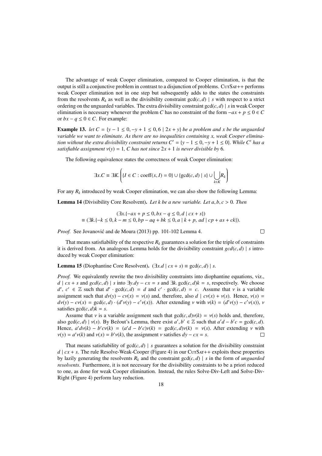The advantage of weak Cooper elimination, compared to Cooper elimination, is that the output is still a conjunctive problem in contrast to a disjunction of problems. CutSat++ performs weak Cooper elimination not in one step but subsequently adds to the states the constraints from the resolvents  $R_k$  as well as the divisibility constraint  $gcd(c, d) \mid s$  with respect to a strict ordering on the unguarded variables. The extra divisibility constraint  $gcd(c, d)$  | *s* in weak Cooper elimination is necessary whenever the problem *C* has no constraint of the form  $-a x + p \le 0 \in C$ or  $bx - q \le 0$  ∈ *C*. For example:

**Example 13.** *let*  $C = \{y - 1 \le 0, -y + 1 \le 0, 6 \mid 2x + y\}$  *be a problem and x be the unguarded variable we want to eliminate. As there are no inequalities containing x, weak Cooper elimination without the extra divisibility constraint returns*  $C' = \{y - 1 \le 0, -y + 1 \le 0\}$ *. While C' has a satisfiable assignment*  $v(y) = 1$ , *C* has not since  $2x + 1$  is never divisible by 6.

The following equivalence states the correctness of weak Cooper elimination:

$$
\exists x.C \equiv \exists K. \left( \{ I \in C : \text{coeff}(x, I) = 0 \} \cup \{ \text{gcd}(c, d) \mid s \} \cup \bigcup_{k \in K} R_k \right)
$$

For any  $R_k$  introduced by weak Cooper elimination, we can also show the following Lemma:

Lemma 14 (Divisibility Core Resolvent). *Let k be a new variable. Let a*, *<sup>b</sup>*, *<sup>c</sup>* > <sup>0</sup>*. Then*

$$
(\exists x.\{-ax + p \le 0, bx - q \le 0, d \mid cx + s\})
$$
  

$$
\equiv (\exists k.\{-k \le 0, k - m \le 0, bp - aq + bk \le 0, a \mid k + p, ad \mid cp + as + ck\}).
$$

 $\Box$ 

*Proof.* See Jovanović and de Moura (2013) pp. 101-102 Lemma 4.

That means satisfiability of the respective  $R_k$  guarantees a solution for the triple of constraints it is derived from. An analogous Lemma holds for the divisibility constraint  $gcd(c, d)$  | *s* introduced by weak Cooper elimination:

**Lemma 15** (Diophantine Core Resolvent).  $(\exists x.d \mid cx + s) \equiv \gcd(c,d) \mid s$ .

*Proof.* We equivalently rewrite the two divisibility constraints into diophantine equations, viz., *d* |  $cx + s$  and  $gcd(c, d)$  | *s* into ∃*y*.*dy* −  $cx = s$  and ∃*k*. gcd(*c*, *d*)*k* = *s*, respectively. We choose *d'*,  $c' \in \mathbb{Z}$  such that  $d' \cdot \gcd(c, d) = d$  and  $c' \cdot \gcd(c, d) = c$ . Assume that  $\nu$  is a variable<br>assignment such that  $d\nu(\nu) = c\nu(x) = \nu(s)$  and therefore also  $d \mid c\nu(x) + \nu(s)$ . Hence  $\nu(s) = c$ assignment such that  $d\nu(y) - cv(x) = \nu(s)$  and, therefore, also  $d \mid cv(x) + \nu(s)$ . Hence,  $\nu(s) =$  $d\nu(y) - cv(x) = \gcd(c, d) \cdot (d'\nu(y) - c'\nu(x))$ . After extending  $\nu$  with  $\nu(k) = (d'\nu(y) - c'\nu(x))$ ,  $\nu$ satisfies  $gcd(c, d)k = s$ .

Assume that  $\nu$  is a variable assignment such that  $gcd(c, d)\nu(k) = \nu(s)$  holds and, therefore, also gcd(*c*, *d*) |  $v(s)$ . By Bezout's Lemma, there exist  $a', b' \in \mathbb{Z}$  such that  $a'd - b'c = \text{gcd}(c, d)$ .<br>Hence  $a'dv(b) - b'cv(b) = (a'd - b'c)v(b) = \text{gcd}(c, d)v(b) = v(s)$ . After extending v with Hence,  $a'dv(k) - b'cv(k) = (a'd - b'c)v(k) = \text{gcd}(c, d)v(k) = v(s)$ . After extending v with  $v(v) = a'v(k)$  and  $v(r) = b'v(k)$  the assignment v satisfies  $dv = cv = s$  $v(y) = a'v(k)$  and  $v(x) = b'v(k)$ , the assignment v satisfies  $dy - cx = s$ .

That means satisfiability of  $gcd(c, d)$  | *s* guarantees a solution for the divisibility constraint  $d \mid cx + s$ . The rule Resolve-Weak-Cooper (Figure 4) in our CutSat++ exploits these properties by lazily generating the resolvents  $R_k$  and the constraint  $gcd(c, d) \mid s$  in the form of *unguarded resolvents*. Furthermore, it is not necessary for the divisibility constraints to be a priori reduced to one, as done for weak Cooper elimination. Instead, the rules Solve-Div-Left and Solve-Div-Right (Figure 4) perform lazy reduction.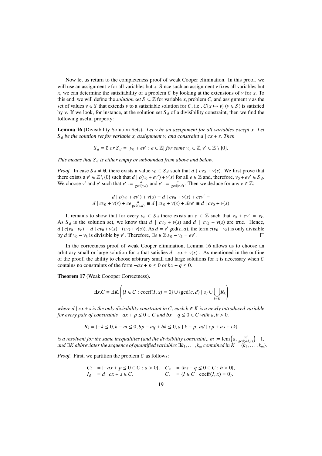Now let us return to the completeness proof of weak Cooper elimination. In this proof, we will use an assignment ν for all variables but *<sup>x</sup>*. Since such an assignment ν fixes all variables but *x*, we can determine the satisfiability of a problem *C* by looking at the extensions of  $\nu$  for *x*. To this end, we will define the *solution set*  $S \subseteq \mathbb{Z}$  for variable *x*, problem *C*, and assignment *v* as the set of values  $v \in S$  that extends  $v$  to a satisfiable solution for *C*, i.e.,  $C\{x \mapsto v\}$  ( $v \in S$ ) is satisfied by *v*. If we look, for instance, at the solution set  $S_d$  of a divisibility constraint, then we find the following useful property:

Lemma 16 (Divisibility Solution Sets). *Let* ν *be an assignment for all variables except x. Let <sup>S</sup> <sup>d</sup> be the solution set for variable x, assignment* <sup>ν</sup>*, and constraint d* <sup>|</sup> *cx* <sup>+</sup> *s. Then*

$$
S_d = \emptyset \text{ or } S_d = \{v_0 + ev' : e \in \mathbb{Z}\} \text{ for some } v_0 \in \mathbb{Z}, v' \in \mathbb{Z} \setminus \{0\}.
$$

*This means that S <sup>d</sup> is either empty or unbounded from above and below.*

*Proof.* In case  $S_d \neq \emptyset$ , there exists a value  $v_0 \in S_d$  such that  $d \mid cv_0 + v(s)$ . We first prove that there exists a  $v' \in \mathbb{Z} \setminus \{0\}$  such that  $d \mid c(v_0 + ev') + v(s)$  for all  $e \in \mathbb{Z}$  and, therefore,  $v_0 + ev' \in S_d$ .<br>We choose v' and e' such that  $v' := \frac{d}{gcd(c,d)}$  and  $e' := \frac{c}{gcd(c,d)}$ . Then we deduce for any  $e \in \mathbb{Z}$ :

$$
d \mid c(v_0 + ev') + v(s) \equiv d \mid cv_0 + v(s) + cev' \equiv
$$
  

$$
d \mid cv_0 + v(s) + ce \frac{d}{gcd(c,d)} \equiv d \mid cv_0 + v(s) + dee' \equiv d \mid cv_0 + v(s)
$$

It remains to show that for every  $v_k \in S_d$  there exists an  $e \in \mathbb{Z}$  such that  $v_0 + ev' = v_k$ . As  $S_d$  is the solution set, we know that  $d \mid cv_0 + v(s)$  and  $d \mid cv_k + v(s)$  are true. Hence,  $d | c(v_0 - v_k) \equiv d | cv_0 + v(s) - (cv_k + v(s))$ . As  $d = v' \gcd(c, d)$ , the term  $c(v_0 - v_k)$  is only divisible<br>by d if  $v_0 = v_k$  is divisible by v'. Therefore,  $\exists e \in \mathbb{Z}$   $v_0 = v_k = ev'$ . by *d* if  $v_0 - v_k$  is divisible by *v'*. Therefore,  $\exists e \in \mathbb{Z}.v_0 - v_k = ev'.$ 

In the correctness proof of weak Cooper elimination, Lemma 16 allows us to choose an arbitrary small or large solution for *x* that satisfies  $d \mid cx + v(s)$ . As mentioned in the outline of the proof, the ability to choose arbitrary small and large solutions for *x* is necessary when *C* contains no constraints of the form  $-a x + p \leq 0$  or  $bx - q \leq 0$ .

Theorem 17 (Weak Coooper Correctness).

$$
\exists x.C \equiv \exists K. \left( \{ I \in C : \text{coeff}(I, x) = 0 \} \cup \{ \text{gcd}(c, d) \mid s \} \cup \bigcup_{k \in K} R_k \right)
$$

*where d*  $\vert$  *cx* + *s is the only divisibility constraint in C, each k*  $\in$  *K is a newly introduced variable for every pair of constraints*  $-a x + p \le 0 \in C$  *and*  $bx - q \le 0 \in C$  *with a, b* > 0*,* 

$$
R_k = \{ -k \le 0, k - m \le 0, bp - aq + bk \le 0, a \mid k + p, ad \mid cp + as + ck \}
$$

*is a resolvent for the same inequalities (and the divisibility constraint),*  $m := \text{lcm}\left(a, \frac{ad}{\text{gcd}(a,c)}\right)$ *<br>and*  $\exists K$  *abbreviates the sequence of quantified variables*  $\exists k$ *,*  $k$  *contained in*  $K = \{k\}$ *.*  −1*, and* ∃*K* abbreviates the sequence of quantified variables  $\exists k_1, \ldots, k_m$  contained in  $K = \{k_1, \ldots, k_m\}$ .

*Proof.* First, we partition the problem *C* as follows:

$$
C_l = \{-ax + p \le 0 \in C : a > 0\}, \quad C_u = \{bx - q \le 0 \in C : b > 0\},
$$
  
\n
$$
I_d = d \mid cx + s \in C, \quad C_r = \{I \in C : \text{coeff}(I, x) = 0\}.
$$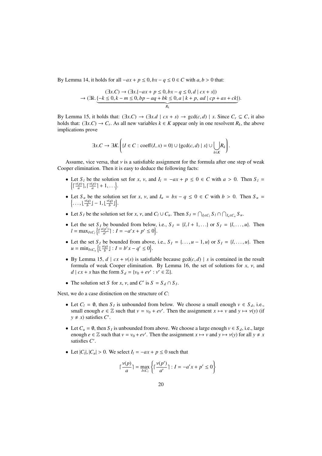By Lemma 14, it holds for all  $-a x + p \le 0$ ,  $bx - q \le 0 \in C$  with  $a, b > 0$  that:

$$
(\exists x.C) \rightarrow (\exists x.\{-ax + p \le 0, bx - q \le 0, d \mid cx + s\})
$$
  

$$
\rightarrow (\exists k.\underbrace{\{-k \le 0, k - m \le 0, bp - aq + bk \le 0, a \mid k + p, ad \mid cp + as + ck\}})
$$
.

By Lemma 15, it holds that:  $(\exists x.C) \rightarrow (\exists x.d \mid cx + s) \rightarrow \gcd(c,d) \mid s$ . Since  $C_r \subseteq C$ , it also holds that:  $(\exists x.C) \rightarrow C_r$ . As all new variables  $k \in K$  appear only in one resolvent  $R_k$ , the above implications prove implications prove

$$
\exists x.C \to \exists K. \left( \{ I \in C : \text{coeff}(I, x) = 0 \} \cup \{ \text{gcd}(c, d) \mid s \} \cup \bigcup_{k \in K} R_k \right).
$$

Assume, vice versa, that  $\nu$  is a satisfiable assignment for the formula after one step of weak Cooper elimination. Then it is easy to deduce the following facts:

- Let  $S_l$  be the solution set for *x*, *v*, and  $I_l = -ax + p \le 0 \in C$  with  $a > 0$ . Then  $S_l = \int_{\Gamma} \frac{y(p)}{p} \cdot \frac{y(p)}{p} + 1$  $\Big\{\big\lceil \frac{\nu(p)}{a}\big\rceil, \big\lceil \frac{\nu(p)}{a}\big\rceil + 1, \ldots\Big\}.$
- Let  $S_u$  be the solution set for *x*, *v*, and  $I_u = bx q \le 0 \in C$  with  $b > 0$ . Then  $S_u = \int \frac{y(q)}{1 1 + \frac{y(q)}{1}}$  $\left\{\ldots,\lfloor\frac{\nu(q)}{b}\rfloor-1,\lfloor\frac{\nu(q)}{b}\rfloor\right\}.$
- Let  $S_I$  be the solution set for  $x, y$ , and  $C_I \cup C_u$ . Then  $S_I = \bigcap_{I_I \in C_I} S_I \cap \bigcap_{I_u \in C_u} S_u$ .
- Let the set  $S_I$  be bounded from below, i.e.,  $S_I = \{l, l+1, \ldots\}$  or  $S_I = \{l, \ldots, u\}$ . Then  $l = \max_{I \in C_l} \left\{ \int_0^1 \frac{v(p')}{a'} \right\}$  $\frac{(p')}{a'}$ ] :  $I = -a'x + p' \le 0$ .
- Let the set  $S_I$  be bounded from above, i.e.,  $S_I = \{..., u-1, u\}$  or  $S_I = \{l, ..., u\}$ . Then  $u = \min_{I \in C_u} \left\{ \left\lfloor \frac{v(q)}{b} \right\rfloor : I = b'x - q' \le 0 \right\}.$
- By Lemma 15,  $d \mid cx + v(s)$  is satisfiable because  $gcd(c, d) \mid s$  is contained in the result formula of weak Cooper elimination. By Lemma 16, the set of solutions for  $x$ ,  $y$ , and *d* | *cx* + *s* has the form  $S_d = \{v_0 + ev' : v' \in \mathbb{Z}\}.$
- The solution set *S* for *x*, *v*, and *C'* is  $S = S_d \cap S_l$ .

Next, we do a case distinction on the structure of *C*:

- Let  $C_l = \emptyset$ , then  $S_l$  is unbounded from below. We choose a small enough  $v \in S_d$ , i.e., small enough  $e \in \mathbb{Z}$  such that  $v = v_0 + ev'$ . Then the assignment  $x \mapsto v$  and  $y \mapsto v(y)$  (if  $y \neq x$ ) satisfies  $C'$  $y \neq x$ ) satisfies *C'*.
- Let  $C_u = \emptyset$ , then  $S_l$  is unbounded from above. We choose a large enough  $v \in S_d$ , i.e., large enough  $e \in \mathbb{Z}$  such that  $v = v_0 + ev'$ . Then the assignment  $x \mapsto v$  and  $y \mapsto v(y)$  for all  $y \neq x$ satisfies C'.
- Let  $|C_l|$ ,  $|C_u| > 0$ . We select  $I_l = -ax + p \le 0$  such that

$$
\lceil \frac{v(p)}{a} \rceil = \max_{I \in C_l} \left\{ \lceil \frac{v(p')}{a'} \rceil : I = -a'x + p' \le 0 \right\}
$$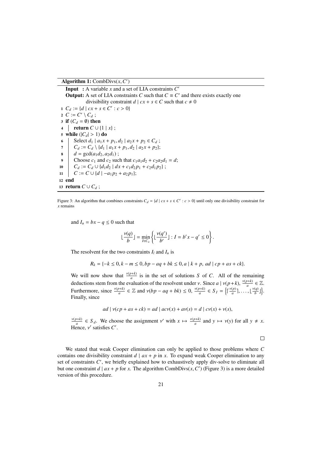Algorithm 1: CombDivs $(x, C')$ 

**Input** : A variable  $x$  and a set of LIA constraints  $C'$ **Output:** A set of LIA constraints *C* such that  $C \equiv C'$  and there exists exactly one divisibility constraint  $d \mid cx + s \in C$  such that  $c \neq 0$ 1  $C_d := \{d \mid cx + s \in C' : c > 0\}$ <br>2  $C := C' \setminus C$ . 2  $C := C' \setminus C_d$ ; 3 if  $(C_d = \emptyset)$  then <sup>4</sup> return *C* ∪ {1 | *x*} ; 5 while  $(|C_d| > 1)$  do 6 Select  $d_1 | a_1 x + p_1, d_2 | a_2 x + p_2 \in C_d$ ;<br>  $d_1 | a_2 x + p_1, d_2 | a_3 x + p_3 \}$ ;  $\begin{array}{c} 7 \\ 8 \end{array}$   $\begin{array}{c} C_d := C_d \setminus \{d_1 \mid a_1x + p_1, d_2 \mid a_2x + p_2\}; \\ d = \text{gcd}(a_1d_2, a_2d_1): \end{array}$ 8  $d = \gcd(a_1d_2, a_2d_1);$ <br>Choose  $c_1$  and  $c_2$  suc Choose  $c_1$  and  $c_2$  such that  $c_1a_1d_2 + c_2a_2d_1 = d$ ; 10  $C_d := C_d \cup \{d_1d_2 \mid dx + c_1d_2p_1 + c_2d_1p_2\};$ 11  $\mid C := C \cup \{d \mid -a_1p_2 + a_2p_1\};$ <sup>12</sup> end 13 return  $C \cup C_d$ ;

Figure 3: An algorithm that combines constraints  $C_d = \{d \mid cx + s \in C' : c > 0\}$  until only one divisibility constraint for remains *x* remains

and  $I_u = bx - q \leq 0$  such that

$$
\lfloor\frac{v(q)}{b}\rfloor=\min_{I\in C_u}\left\{\lfloor\frac{v(q')}{b'}\rfloor:I=b'x-q'\leq 0\right\}.
$$

The resolvent for the two constraints  $I_l$  and  $I_u$  is

 $R_k = \{-k \leq 0, k - m \leq 0, bp - aq + bk \leq 0, a \mid k + p, ad \mid cp + as + ck\}.$ 

We will now show that  $\frac{v(p+k)}{q}$  is in the set of solutions *S* of *C*. All of the remaining deductions stem from the evaluation of the resolvent under *v*. Since *a* | *v*(*p*+*k*),  $\frac{v(p+k)}{a} \in \mathbb{Z}$ .<br>Exchange the  $\frac{v(p+k)}{a} = \mathbb{Z}$  and  $\frac{d}{dx}$  and  $\frac{d}{dx}$  and  $\frac{d}{dx}$  and  $\frac{d}{dx}$  and  $\frac{d}{dx}$  and  $\$ Furthermore, since  $\frac{v(p+k)}{a} \in \mathbb{Z}$  and  $v(bp - aq + bk) \le 0$ ,  $\frac{v(p+k)}{a} \in S_I = \left\{ \left\lceil \frac{v(p)}{a} \right\rceil, \ldots, \left\lfloor \frac{v(q)}{b} \right\rfloor \right\}$ . Finally, since

$$
ad \mid v(cp + as + ck) = ad \mid acv(x) + av(s) = d \mid cv(x) + v(s),
$$

 $\frac{v(p+k)}{a} \in S_d$ . We choose the assignment v' with  $x \mapsto \frac{v(p+k)}{a}$  and  $y \mapsto v(y)$  for all  $y \neq x$ . Hence,  $v'$  satisfies  $C'$ .

 $\Box$ 

We stated that weak Cooper elimination can only be applied to those problems where *C* contains one divisibility constraint  $d \mid ax + p$  in x. To expand weak Cooper elimination to any set of constraints C', we briefly explained how to exhaustively apply div-solve to eliminate all but one constraint  $d \mid ax + p$  for *x*. The algorithm CombDivs(*x*, *C*<sup> $\prime$ </sup>) (Figure 3) is a more detailed version of this procedure version of this procedure.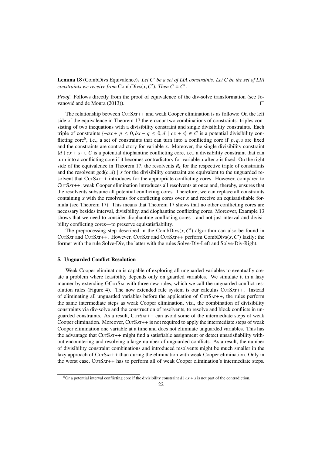Lemma 18 (CombDivs Equivalence). *Let C*<sup>0</sup> *be a set of LIA constraints. Let C be the set of LIA constraints we receive from*  $CombDivs(x, C')$ *. Then*  $C \equiv C'$ 

*Proof.* Follows directly from the proof of equivalence of the div-solve transformation (see Jovanović and de Moura (2013)).  $\Box$ 

The relationship between CurSAT++ and weak Cooper elimination is as follows: On the left side of the equivalence in Theorem 17 there occur two combinations of constraints: triples consisting of two inequations with a divisibility constraint and single divisibility constraints. Each triple of constraints  $\{-ax + p \leq 0, bx - q \leq 0, d \mid cx + s\} \in C$  is a potential divisibility conflicting core<sup>6</sup>, i.e., a set of constraints that can turn into a conflicting core if  $p$ ,  $q$ ,  $s$  are fixed and the constraints are contradictory for variable  $r$ . Moreover, the single divisibility constraint and the constraints are contradictory for variable *x*. Moreover, the single divisibility constraint  ${d \mid cx + s} \in C$  is a potential diophantine conflicting core, i.e., a divisibility constraint that can turn into a conflicting core if it becomes contradictory for variable *x* after *s* is fixed. On the right side of the equivalence in Theorem 17, the resolvents  $R_k$  for the respective triple of constraints and the resolvent  $gcd(c, d)$  | *s* for the divisibility constraint are equivalent to the unguarded resolvent that CutSat++ introduces for the appropriate conflicting cores. However, compared to CutSat++, weak Cooper elimination introduces all resolvents at once and, thereby, ensures that the resolvents subsume all potential conflicting cores. Therefore, we can replace all constraints containing  $x$  with the resolvents for conflicting cores over  $x$  and receive an equisatisfiable formula (see Theorem 17). This means that Theorem 17 shows that no other conflicting cores are necessary besides interval, divisibility, and diophantine conflicting cores. Moreover, Example 13 shows that we need to consider diophantine conflicting cores—and not just interval and divisibility conflicting cores—to preserve equisatisfiability.

The preprocessing step described in the CombDivs $(x, C')$  algorithm can also be found in<br>SAT and CUTSAT++. However, CUTSAT and CUTSAT++, perform CombDivs $(x, C')$  lazily; the CUTSAT and CUTSAT++. However, CUTSAT and CUTSAT++ perform CombDivs $(x, C')$  lazily; the former with the rule Solve-Div the latter with the rules Solve-Div-L eft and Solve-Div-Right former with the rule Solve-Div, the latter with the rules Solve-Div-Left and Solve-Div-Right.

## 5. Unguarded Conflict Resolution

Weak Cooper elimination is capable of exploring all unguarded variables to eventually create a problem where feasibility depends only on guarded variables. We simulate it in a lazy manner by extending GCUTSAT with three new rules, which we call the unguarded conflict resolution rules (Figure 4). The now extended rule system is our calculus  $CUTSAT++$ . Instead of eliminating all unguarded variables before the application of CutSat++, the rules perform the same intermediate steps as weak Cooper elimination, viz., the combination of divisibility constraints via div-solve and the construction of resolvents, to resolve and block conflicts in unguarded constraints. As a result, CurSAT++ can avoid some of the intermediate steps of weak Cooper elimination. Moreover,  $CUTSAT++$  is not required to apply the intermediate steps of weak Cooper elimination one variable at a time and does not eliminate unguarded variables. This has the advantage that  $CUTSAT++$  might find a satisfiable assignment or detect unsatisfiability without encountering and resolving a large number of unguarded conflicts. As a result, the number of divisibility constraint combinations and introduced resolvents might be much smaller in the lazy approach of CurSAT++ than during the elimination with weak Cooper elimination. Only in the worst case, CutSAT++ has to perform all of weak Cooper elimination's intermediate steps.

<sup>&</sup>lt;sup>6</sup>Or a potential interval conflicting core if the divisibility constraint  $d \mid cx + s$  is not part of the contradiction.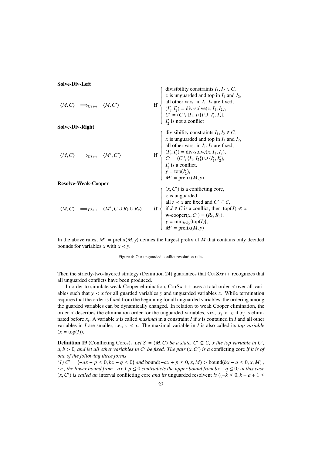## Solve-Div-Left

$$
\langle M, C \rangle \implies_{CS++} \langle M, C' \rangle
$$
 if  
\n
$$
\langle M, C \rangle \implies_{CS++} \langle M', C' \rangle
$$
 if  
\n
$$
\langle M, C \rangle \implies_{CS++} \langle M', C' \rangle
$$
 if  
\n
$$
\langle M, C \rangle \implies_{CS++} \langle M', C' \rangle
$$
 if  
\n
$$
\langle M, C \rangle \implies_{CS++} \langle M', C' \rangle
$$
 if  
\n
$$
\langle M, C \rangle \implies_{CS++} \langle M', C' \rangle
$$
 if  
\n
$$
\langle M, C \rangle \implies_{CS++} \langle M', C' \rangle
$$
 if  
\n
$$
\langle M, C \rangle \implies_{CS++} \langle M', C' \rangle
$$
 if  
\n
$$
\langle M, C \rangle \implies_{CS++} \langle M', C' \rangle
$$
 if  
\n
$$
\langle M, C \rangle \implies_{CS++} \langle M', C' \rangle
$$
 if  
\n
$$
\langle M, C \rangle \implies_{CS++} \langle M', C \cup R_k \cup R_c \rangle
$$
 if  
\n
$$
\langle X, C' \rangle
$$
 is a conflicting core,  
\n
$$
\langle M, C \rangle \implies_{CS++} \langle M', C \cup R_k \cup R_c \rangle
$$
 if  
\n
$$
\langle M, C \rangle \implies_{CS++} \langle M', C \cup R_k \cup R_c \rangle
$$
 if  
\n
$$
\langle M, C \rangle \implies_{CS++} \langle M', C \cup R_k \cup R_c \rangle
$$
 if  
\n
$$
\langle M, C \rangle \implies_{CS++} \langle M', C \cup R_k \cup R_c \rangle
$$
 if  
\n
$$
\langle M, C \rangle \implies_{CS++} \langle M', C \cup R_k \cup R_c \rangle
$$
 if  
\n
$$
\langle M, C \rangle \implies_{CS++} \langle M', C \cup R_k \cup R_c \rangle
$$
 if  
\n
$$
\langle M, C \rangle \implies_{CS++} \langle M', C \cup R_k \cup R_c \rangle
$$
 if  
\n
$$
\langle M, C \rangle \implies_{CS++} \langle M', C \cup R_k \cup R_c \rangle
$$
 if  
\n
$$
\langle M, C \rangle \implies_{CS++} \langle M', C \cup R_k \cup R_c
$$

In the above rules,  $M' = \text{prefix}(M, y)$  defines the largest prefix of *M* that contains only decided bounds for variables *x* with  $x \leq y$ .

Figure 4: Our unguarded conflict resolution rules

Then the strictly-two-layered strategy (Definition 24) guarantees that  $CUTSAT++$  recognizes that all unguarded conflicts have been produced.

In order to simulate weak Cooper elimination, CutSat++ uses a total order ≺ over all variables such that  $y \lt x$  for all guarded variables *y* and unguarded variables *x*. While termination requires that the order is fixed from the beginning for all unguarded variables, the ordering among the guarded variables can be dynamically changed. In relation to weak Cooper elimination, the order  $\prec$  describes the elimination order for the unguarded variables, viz.,  $x_j > x_i$  if  $x_j$  is eliminated before *x<sup>i</sup>* . A variable *x* is called *maximal* in a constraint *I* if *x* is contained in *I* and all other variables in *I* are smaller, i.e.,  $y \le x$ . The maximal variable in *I* is also called its *top variable*  $(x = \text{top}(I)).$ 

**Definition 19** (Conflicting Cores). Let  $S = \langle M, C \rangle$  be a state,  $C' \subseteq C$ , x the top variable in C', a h > 0, and let all other variables in C' be fixed. The pair  $(x, C')$  is a conflicting core if it is of  $a, b > 0$ , and let all other variables in C<sup>'</sup> be fixed. The pair  $(x, C')$  is a conflicting core *if it is of* one of the following three forms *one of the following three forms*

*(1)*  $C' = \{-ax + p \le 0, bx - q \le 0\}$  *and* bound( $-ax + p \le 0, x, M$ ) > bound( $bx - q \le 0, x, M$ ), *i.e., the lower bound from*  $-a x + p \le 0$  *contradicts the upper bound from bx* −  $q \le 0$ *; in this case* (*x*,*C*<sup> $\prime$ </sup>) *is called an* interval conflicting core *and its* unguarded resolvent *is* ({−*k* ≤ 0, *k* − *a* + 1 ≤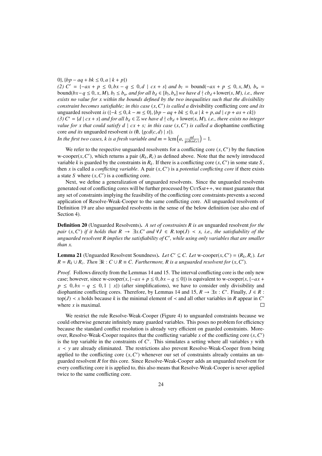0},  ${bp - aq + bk ≤ 0, a | k + p}$ 

*(2)*  $C' = \{-ax + p \le 0, bx - q \le 0, d \mid cx + s\}$  *and b<sub>l</sub>* = bound( $-ax + p \le 0, x, M$ )*, b<sub>u</sub>* = bound( $bx-q \le 0$ , x, M),  $b_l \le b_u$ , and for all  $b_d \in [b_l, b_u]$  we have  $d \nmid cb_d + \text{lower}(s, M)$ , i.e., there exists no value for x within the hounds defined by the two inequalities such that the divisibility *exists no value for x within the bounds defined by the two inequalities such that the divisibility constraint becomes satisfiable; in this case*  $(x, C')$  *is called a divisibility conflicting core and its*<br>unguarded resolvent *is*  $(1-k < 0, k-m < 0)$ ,  $\{hn - aa + bk < 0, a \mid k+n, ad \mid cn + as + ck\}$ unguarded resolvent *is* ({−*<sup>k</sup>* <sup>≤</sup> <sup>0</sup>, *<sup>k</sup>* <sup>−</sup> *<sup>m</sup>* <sup>≤</sup> <sup>0</sup>}, {*bp* <sup>−</sup> *aq* <sup>+</sup> *bk* <sup>≤</sup> <sup>0</sup>, *<sup>a</sup>* <sup>|</sup> *<sup>k</sup>* <sup>+</sup> *<sup>p</sup>*, *ad* <sup>|</sup> *cp* <sup>+</sup> *as* <sup>+</sup> *ck*}) *(3)*  $C' = \{d \mid cx + s\}$  *and for all b<sub>d</sub>* ∈  $\mathbb Z$  *we have d*  $\}$  *cb<sub>d</sub>* + lower(*s, M*)*, i.e., there exists no integer value for x that could satisfy d*  $\mid cx + s$ ; *in this case*  $(x, C')$  *is called a* diophantine conflicting core and its unquarded resolvent is  $(\emptyset, \text{Jgcd}(c, d) \mid s)$ core *and its* unguarded resolvent *is*  $(\emptyset, \{gcd(c, d) | s\})$ . **)** − 1.

In the first two cases, k is a fresh variable and  $m = \text{lcm}\left(a, \frac{ad}{\text{gcd}(ad,c)}\right)$ 

We refer to the respective unguarded resolvents for a conflicting core  $(x, C')$  by the function<br>oper(*x, C'*) which returns a pair  $(R, R)$  as defined above. Note that the newly introduced w-cooper(*x*, *C'*), which returns a pair  $(R_k, R_c)$  as defined above. Note that the newly introduced<br>variable *k* is quarded by the constraints in *R*<sub>*c*</sub>. If there is a conflicting core (*x C'*) in some state *S* variable *k* is guarded by the constraints in  $R_k$ . If there is a conflicting core  $(x, C')$  in some state *S*, then *x* is called a *conflicting variable* A pair  $(x, C')$  is a *notential conflicting core* if there exists then *x* is called a *conflicting variable*. A pair  $(x, C')$  is a *potential conflicting core* if there exists a state *S* where  $(x, C')$  is a conflicting core a state *S* where  $(x, C')$  is a conflicting core.<br>Next, we define a generalization of un

Next, we define a generalization of unguarded resolvents. Since the unguarded resolvents generated out of conflicting cores will be further processed by CutSat++, we must guarantee that any set of constraints implying the feasibility of the conflicting core constraints prevents a second application of Resolve-Weak-Cooper to the same conflicting core. All unguarded resolvents of Definition 19 are also unguarded resolvents in the sense of the below definition (see also end of Section 4).

Definition 20 (Unguarded Resolvents). *A set of constraints R is an* unguarded resolvent *for the pair*  $(x, C')$  *if it holds that*  $R \to \exists x.C'$  *and*  $\forall J \in R$ . top(*J*)  $\prec x$ , *i.e., the satisfiability of the*<br>*unquarded resolvent*  $R$  *implies the satisfiability of*  $C'$ *, while using only variables that are smaller* unguarded resolvent R implies the satisfiability of C', while using only variables that are smaller *than x.*

**Lemma 21** (Unguarded Resolvent Soundness). *Let*  $C' \subseteq C$ . *Let* w-cooper(*x*,  $C'$ ) = ( $R_k$ ,  $R_c$ ). *Let*  $R - R_i + R$ . Then  $\exists k : C + R = C$ . *Eurthermore*, *R* is a unguarded resolvent for (*x*,  $C'$ )  $R = R_k \cup R_c$ . Then  $\exists k : C \cup R \equiv C$ . Furthermore, R is a unguarded resolvent for  $(x, C')$ .

*Proof.* Follows directly from the Lemmas 14 and 15. The interval conflicting core is the only new case; however, since w-cooper $(x, \{-ax + p \le 0, bx - q \le 0\})$  is equivalent to w-cooper $(x, \{-ax + p \le 0, bx - q \le 0\})$  $p \leq 0, bx - q \leq 0, 1 | x$  (after simplifications), we have to consider only divisibility and diophantine conflicting cores. Therefore, by Lemmas 14 and 15,  $R \to \exists x : C'$ . Finally,  $J \in R$ :  $top(J) \lt x$  holds because *k* is the minimal element of  $\lt$  and all other variables in *R* appear in *C* where *x* is maximal.  $\Box$ 

We restrict the rule Resolve-Weak-Cooper (Figure 4) to unguarded constraints because we could otherwise generate infinitely many guarded variables. This poses no problem for efficiency because the standard conflict resolution is already very efficient on guarded constraints. Moreover, Resolve-Weak-Cooper requires that the conflicting variable *x* of the conflicting core  $(x, C')$ <br>is the top variable in the constraints of  $C'$ . This simulates a setting where all variables *y* with is the top variable in the constraints of  $C'$ . This simulates a setting where all variables  $y$  with *x* ≺ *y* are already eliminated. The restrictions also prevent Resolve-Weak-Cooper from being applied to the conflicting core  $(x, C')$  whenever our set of constraints already contains an un-<br>guarded resolvent R for this core. Since Resolve-Weak-Cooper adds an unquarded resolvent for guarded resolvent *R* for this core. Since Resolve-Weak-Cooper adds an unguarded resolvent for every conflicting core it is applied to, this also means that Resolve-Weak-Cooper is never applied twice to the same conflicting core.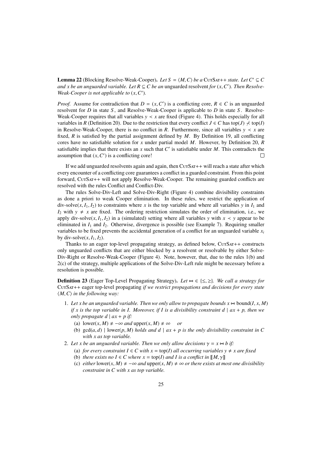**Lemma 22** (Blocking Resolve-Weak-Cooper). *Let*  $S = \langle M, C \rangle$  *be a* CutSat++ *state. Let*  $C' \subseteq C$ *and x be an unguarded variable. Let*  $R \subseteq C$  *be an unguarded resolvent <i>for*  $(x, C')$ *. Then Resolve-Weak-Cooper is not annicable to*  $(x, C')$ *Weak-Cooper is not applicable to*  $(x, C')$ *.* 

*Proof.* Assume for contradiction that  $D = (x, C')$  is a conflicting core,  $R \in C$  is an unguarded resolvent for *D* in state *S*, and *Resolve-Weak-Cooper* is annihizable to *D* in state *S*. *Resolve*resolvent for *D* in state *S* , and Resolve-Weak-Cooper is applicable to *D* in state *S* . Resolve-Weak-Cooper requires that all variables  $y \lt x$  are fixed (Figure 4). This holds especially for all variables in *R* (Definition 20). Due to the restriction that every conflict  $J \in C$  has top(*J*)  $\not\prec$  top(*I*) in Resolve-Weak-Cooper, there is no conflict in *R*. Furthermore, since all variables  $y \prec x$  are fixed, *R* is satisfied by the partial assignment defined by *M*. By Definition 19, all conflicting cores have no satisfiable solution for *x* under partial model *M*. However, by Definition 20, *R* satisfiable implies that there exists an  $x$  such that  $C'$  is satisfiable under  $M$ . This contradicts the assumption that  $(x, C')$  is a conflicting core!  $\Box$ 

If we add unguarded resolvents again and again, then  $CUTSAT +$  will reach a state after which every encounter of a conflicting core guarantees a conflict in a guarded constraint. From this point forward, CutSat++ will not apply Resolve-Weak-Cooper. The remaining guarded conflicts are resolved with the rules Conflict and Conflict-Div.

The rules Solve-Div-Left and Solve-Div-Right (Figure 4) combine divisibility constraints as done a priori to weak Cooper elimination. In these rules, we restrict the application of div-solve( $x$ ,  $I_1$ ,  $I_2$ ) to constraints where  $x$  is the top variable and where all variables  $y$  in  $I_1$  and  $I_2$  with  $y \neq x$  are fixed. The ordering restriction simulates the order of elimination, i.e., we apply div-solve( $x$ ,  $I_1$ ,  $I_2$ ) in a (simulated) setting where all variables *y* with  $x \prec y$  appear to be eliminated in  $I_1$  and  $I_2$ . Otherwise, divergence is possible (see Example 7). Requiring smaller variables to be fixed prevents the accidental generation of a conflict for an unguarded variable  $x_i$ by div-solve $(x, I_1, I_2)$ .

Thanks to an eager top-level propagating strategy, as defined below,  $CUTSAT++$  constructs only unguarded conflicts that are either blocked by a resolvent or resolvable by either Solve-Div-Right or Resolve-Weak-Cooper (Figure 4). Note, however, that, due to the rules 1(b) and 2(c) of the strategy, multiple applications of the Solve-Div-Left rule might be necessary before a resolution is possible.

**Definition 23** (Eager Top-Level Propagating Strategy). Let  $\bowtie \in \{\leq, \geq\}$ . We call a strategy for CutSat++ eager top-level propagating *if we restrict propagations and decisions for every state*  $\langle M, C \rangle$  *in the following way:* 

- 1. Let x be an unguarded variable. Then we only allow to propagate bounds  $x \rightarrow \text{bound}(I, x, M)$ *if x is the top variable in I. Moreover, if I is a divisibility constraint d*  $|ax + p$ , then we *only propagate d*  $| ax + p$  *if:* 
	- (a)  $lower(x, M) \neq -\infty$  *and* upper $(x, M) \neq \infty$  *or*
	- (b)  $gcd(a, d)$  |  $lower(p, M)$  *holds and d* |  $ax + p$  *is the only divisibility constraint in C with x as top variable.*
- 2. Let x be an unguarded variable. Then we only allow decisions  $\gamma = x \Join b$  if:
	- (a) *for every constraint*  $I \in C$  *with*  $x = \text{top}(I)$  *all occurring variables*  $y \neq x$  *are fixed*
	- (b) *there exists no*  $I \in C$  *where*  $x = \text{top}(I)$  *and*  $I$  *is a conflict in*  $[[M, \gamma]]$
	- (c) *either* lower(*x*, *M*)  $\neq -\infty$  *and* upper(*x*, *M*)  $\neq \infty$  *or there exists at most one divisibility constraint in C with x as top variable.*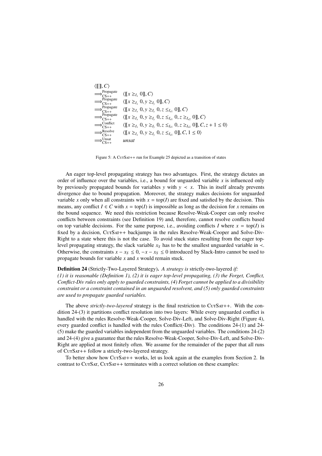| $\langle \llbracket \rrbracket, C \rangle$ |                                                                                                                     |
|--------------------------------------------|---------------------------------------------------------------------------------------------------------------------|
| Propagate<br>$CS++$                        | $\langle [x \geq_L 0], C \rangle$                                                                                   |
| Propagate<br>$\Rightarrow_{CS++}$          | $\langle [\![x \geq_{I_x} 0, y \geq_{I_y} 0 ]\!], C \rangle$                                                        |
| Propagate<br>$\Rightarrow_{CS++}$          | $\langle [x \geq_{I_x} 0, y \geq_{I_y} 0, z \leq_{I_{z1}} 0], C \rangle$                                            |
| Propagate<br>$\gamma$ <sub>CS++</sub>      | $\langle [x \geq_{I_x} 0, y \geq_{I_y} 0, z \leq_{I_{z1}} 0, z \geq_{I_{z2}} 0,] \rangle, C \rangle$                |
| Conflict<br>$\overline{CS_{++}}$           | $\langle [x \geq_{I_x} 0, y \geq_{I_y} 0, z \leq_{I_{z1}} 0, z \geq_{I_{z2}} 0, \leq_{I_z} 0, \leq_{I_z} 0 \rangle$ |
| Resolve<br>$\overline{CS_{++}}$            | $\langle [x \geq_{I_x} 0, y \geq_{I_y} 0, z \leq_{I_{z1}} 0], C, 1 \leq 0 \rangle$                                  |
| Unsat                                      | unsat                                                                                                               |

Figure 5: A CurSar++ run for Example 25 depicted as a transition of states

An eager top-level propagating strategy has two advantages. First, the strategy dictates an order of influence over the variables, i.e., a bound for unguarded variable *x* is influenced only by previously propagated bounds for variables *y* with  $y \leq x$ . This in itself already prevents divergence due to bound propagation. Moreover, the strategy makes decisions for unguarded variable *x* only when all constraints with  $x = \text{top}(I)$  are fixed and satisfied by the decision. This means, any conflict  $I \in C$  with  $x = \text{top}(I)$  is impossible as long as the decision for x remains on the bound sequence. We need this restriction because Resolve-Weak-Cooper can only resolve conflicts between constraints (see Definition 19) and, therefore, cannot resolve conflicts based on top variable decisions. For the same purpose, i.e., avoiding conflicts *I* where  $x = \text{top}(I)$  is fixed by a decision, CurSAT++ backjumps in the rules Resolve-Weak-Cooper and Solve-Div-Right to a state where this is not the case. To avoid stuck states resulting from the eager toplevel propagating strategy, the slack variable  $x<sub>S</sub>$  has to be the smallest unguarded variable in  $\prec$ . Otherwise, the constraints  $x - x_S \leq 0$ ,  $-x - x_S \leq 0$  introduced by Slack-Intro cannot be used to propagate bounds for variable *x* and *x* would remain stuck.

## Definition 24 (Strictly-Two-Layered Strategy). *A strategy is* strictly-two-layered *if:*

*(1) it is reasonable (Definition 1), (2) it is eager top-level propagating, (3) the Forget, Conflict, Conflict-Div rules only apply to guarded constraints, (4) Forget cannot be applied to a divisibility constraint or a constraint contained in an unguarded resolvent, and (5) only guarded constraints are used to propagate guarded variables.*

The above *strictly-two-layered* strategy is the final restriction to CurSAT++. With the condition 24-(3) it partitions conflict resolution into two layers: While every unguarded conflict is handled with the rules Resolve-Weak-Cooper, Solve-Div-Left, and Solve-Div-Right (Figure 4), every guarded conflict is handled with the rules Conflict(-Div). The conditions 24-(1) and 24- (5) make the guarded variables independent from the unguarded variables. The conditions 24-(2) and 24-(4) give a guarantee that the rules Resolve-Weak-Cooper, Solve-Div-Left, and Solve-Div-Right are applied at most finitely often. We assume for the remainder of the paper that all runs of CutSat++ follow a strictly-two-layered strategy.

To better show how  $CUTSAT++$  works, let us look again at the examples from Section 2. In contrast to CurSAT, CurSAT++ terminates with a correct solution on these examples: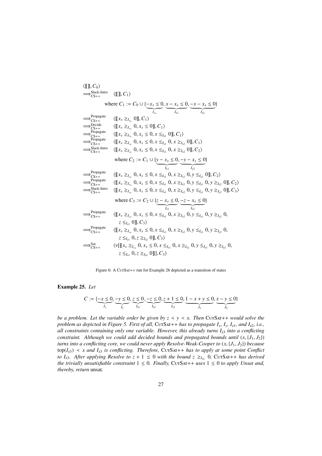

Figure 6: A CurSAT++ run for Example 26 depicted as a transition of states

## Example 25. *Let*

$$
C := \{ \underbrace{-x \leq 0}_{I_x}, \underbrace{-y \leq 0}_{I_y}, \underbrace{z \leq 0}_{I_{z1}}, \underbrace{-z \leq 0}_{I_{z2}}, \underbrace{z + 1 \leq 0}_{I_{z3}}, \underbrace{1 - x + y \leq 0}_{J_1}, \underbrace{x - y \leq 0}_{J_2} \}
$$

*be a problem. Let the variable order be given by*  $z \le y \le x$ *. Then CurSar++ would solve the problem as depicted in Figure 5. First of all,* CurSAT++ *has to propagate*  $I_x$ *,*  $I_y$ *,*  $I_{z1}$ *, and*  $I_{z2}$ *, i.e., all constraints containing only one variable. However, this already turns I*z3 *into a conflicting constraint. Although we could add decided bounds and propagated bounds until*  $(x, {J_1, J_2})$ *turns into a conflicting core, we could never apply Resolve-Weak-Cooper to* (*x*, {*J*<sup>1</sup>, *<sup>J</sup>*2}) *because*  $top(I_{z3}) \prec x$  and  $I_{z3}$  is conflicting. Therefore, CurSAT++ has to apply at some point Conflict *to I<sub>z3</sub>. After applying Resolve to*  $z + 1 \le 0$  *with the bound*  $z \geq_{I_2} 0$ , CurSAT++ *has derived the trivially unsatisfiable constraint*  $1 \le 0$ *. Finally, CurSAT++ uses*  $1 \le 0$  *to apply Unsat and, thereby, return* unsat*.*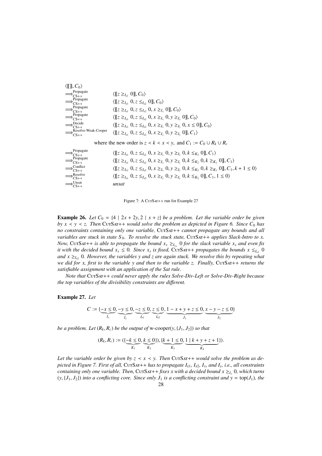

Figure 7: A CurSar++ run for Example 27

**Example 26.** Let  $C_0 = \{4 \mid 2x + 2y, 2 \mid x + z\}$  be a problem. Let the variable order be given *by x*  $\lt$  *y*  $\lt$  *z. Then* CurSAT++ *would solve the problem as depicted in Figure 6. Since C*<sub>0</sub> *has no constraints containing only one variable,* CutSat++ *cannot propagate any bounds and all variables are stuck in state*  $S_0$ *. To resolve the stuck state,* CUTSAT++ *applies Slack-Intro to x. Now,* CurSar++ *is able to propagate the bound*  $x_s \geq_{I_{x_s}} 0$  *for the slack variable*  $x_s$  *and even fix it with the decided bound*  $x_s \leq 0$ . Since  $x_s$  is fixed, CUTSAT++ *propagates the bounds*  $x \leq_{I_{x1}} 0$ *and*  $x \geq I_{12}$  *0. However, the variables y and z are again stuck. We resolve this by repeating what we did for x, first to the variable y and then to the variable z. Finally,* CutSat++ *returns the satisfiable assignment with an application of the Sat rule.*

*Note that* CutSat++ *could never apply the rules Solve-Div-Left or Solve-Div-Right because the top variables of the divisibility constraints are di*ff*erent.*

### Example 27. *Let*

$$
C := \{ \underbrace{-x \leq 0}_{I_x}, \underbrace{-y \leq 0}_{I_y}, \underbrace{-z \leq 0}_{I_{z1}}, \underbrace{z \leq 0}_{I_{z2}}, \underbrace{1 - x + y + z \leq 0}_{J_1}, \underbrace{x - y - z \leq 0}_{J_2} \}
$$

*be a problem. Let*  $(R_k, R_c)$  *be the output of* w-cooper $(y, \{J_1, J_2\})$  *so that* 

$$
(R_k, R_c) := (\{\underbrace{-k \leq 0}_{K_1}, \underbrace{k \leq 0}_{K_2}\}), \{\underbrace{k+1 \leq 0}_{K_3}, \underbrace{1 \mid k+y+z+1}_{K_4}\}).
$$

Let the variable order be given by  $z \leq x \leq y$ . Then CurSAT++ *would solve the problem as depicted in Figure 7. First of all,* CurSAT++ *has to propagate*  $I_{z1}$ *,*  $I_{z2}$ *,*  $I_x$ *, and*  $I_y$ *, i.e., all constraints containing only one variable. Then,* CUTSAT++ *fixes x with a decided bound*  $x \geq_{I_x} 0$ *, which turns*  $(y, {J_1, J_2})$  *into a conflicting core. Since only*  $J_1$  *is a conflicting constraint and y* = top $(J_1)$ *, the*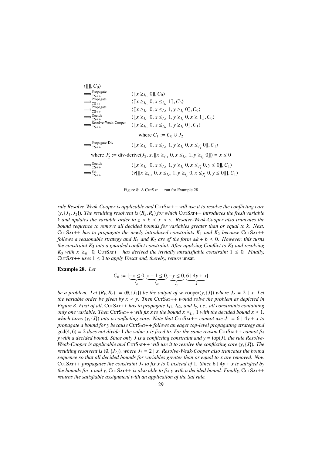| $\langle \llbracket \rrbracket, C_0 \rangle$                                                                 |                                                                                                                 |  |  |
|--------------------------------------------------------------------------------------------------------------|-----------------------------------------------------------------------------------------------------------------|--|--|
| $\Rightarrow$ Propagate<br>$CS++$                                                                            | $\langle \llbracket x \geq I_{x_1} 0 \rrbracket, C_0 \rangle$                                                   |  |  |
| Propagate<br>$CS++$                                                                                          | $\langle [x \geq_{I_{x1}} 0, x \leq_{I_{x2}} 1], C_0 \rangle$                                                   |  |  |
| Propagate<br>$CS++$                                                                                          | $\langle [x \geq_{I_{x1}} 0, x \leq_{I_{x2}} 1, y \geq_{I_{y}} 0], C_0 \rangle$                                 |  |  |
| Decide<br>$C_{S++}$                                                                                          | $\langle [x \geq_{I_{x1}} 0, x \leq_{I_{x2}} 1, y \geq_{I_{y}} 0, x \geq 1], C_0 \rangle$                       |  |  |
| Resolve-Weak-Cooper<br>$CS++$                                                                                | $\langle [x \geq_{I_{x1}} 0, x \leq_{I_{x2}} 1, y \geq_{I_{y}} 0], C_1 \rangle$                                 |  |  |
| where $C_1 := C_0 \cup J_2$                                                                                  |                                                                                                                 |  |  |
| Propagate-Div<br>$CS++$                                                                                      | $\langle [x \geq_{I_{x1}} 0, x \leq_{I_{x2}} 1, y \geq_{I_{y}} 0, x \leq_{J'_{y}} 0], C_1 \rangle$              |  |  |
| where $J'_2 :=$ div-derive( $J_2, x, [[x \geq_{I_{x1}} 0, x \leq_{I_{x2}} 1, y \geq_{I_{y}} 0]]) = x \leq 0$ |                                                                                                                 |  |  |
| Decide<br>$CS++$                                                                                             | $\langle [x \geq_{I_{x1}} 0, x \leq_{I_{x2}} 1, y \geq_{I_{y}} 0, x \leq_{J'_{y}} 0, y \leq 0], C_1 \rangle$    |  |  |
|                                                                                                              | $\langle v[[x \geq_{I_{x1}} 0, x \leq_{I_{x2}} 1, y \geq_{I_{y}} 0, x \leq_{J'_{x}} 0, y \leq 0]], C_1 \rangle$ |  |  |
|                                                                                                              |                                                                                                                 |  |  |

Figure 8: A CurSAT++ run for Example 28

*rule Resolve-Weak-Cooper is applicable and* CutSat++ *will use it to resolve the conflicting core*  $(y, {J_1, J_2})$ *. The resulting resolvent is*  $(R_k, R_c)$  *for which* Cu<sub>TSAT++</sub> *introduces the fresh variable k* and updates the variable order to  $z \le k \le x \le y$ . Resolve-Weak-Cooper also truncates the *bound sequence to remove all decided bounds for variables greater than or equal to k. Next,* CUTSAT++ has to propagate the newly introduced constraints  $K_1$  and  $K_2$  because CUTSAT++ *follows a reasonable strategy and*  $K_1$  *and*  $K_2$  *are of the form*  $\pm k + b \leq 0$ *. However, this turns the constraint K*<sup>3</sup> *into a guarded conflict constraint. After applying Conflict to K*<sup>3</sup> *and resolving*  $K_3$  *with*  $x \geq_{K_1} 0$ , CutSat++ *has derived the trivially unsatisfiable constraint*  $1 \leq 0$ *. Finally,* CUTSAT++ *uses*  $1 \leq 0$  *to apply Unsat and, thereby, return* unsat.

## Example 28. *Let*

$$
C_0 := \{ \underbrace{-x \leq 0}_{I_{x1}}, \underbrace{x-1 \leq 0}_{I_{x2}}, \underbrace{-y \leq 0}_{I_y}, \underbrace{6 \mid 4y + x}_{J} \}
$$

*be a problem. Let*  $(R_k, R_c) := (0, \{J_2\})$  *be the output of* w-cooper(*y*,  $\{J\}$ ) *where*  $J_2 = 2 \mid x$ *. Let the variable order be given by*  $x \le y$ *. Then* CurSAT++ *would solve the problem as depicted in Figure 8. First of all,* CutSat++ *has to propagate I*x1*, I*x2*, and Iy, i.e., all constraints containing only one variable. Then* CUTSAT++ *will fix x to the bound*  $x \leq I_{x}$  1 *with the decided bound*  $x \geq 1$ *, which turns*  $(y, {J})$  *into a conflicting core. Note that* CurSar++ *cannot use*  $J_1 = 6 | 4y + x$  *to propagate a bound for y because* CutSat++ *follows an eager top-level propagating strategy and*  $gcd(4, 6) = 2$  *does not divide* 1 *the value x is fixed to. For the same reason* CurSAT++ *cannot fix y with a decided bound. Since only J is a conflicting constraint and y* = top(*J*)*, the rule Resolve-Weak-Cooper is applicable and* CutSat++ *will use it to resolve the conflicting core*  $(y, \{J\})$ *. The resulting resolvent is*  $(\emptyset, \{J_2\})$ *, where*  $J_2 = 2 | x$ *. Resolve-Weak-Cooper also truncates the bound sequence so that all decided bounds for variables greater than or equal to x are removed. Now* CUTSAT++ *propagates the constraint*  $J_2$  *to fix x to* 0 *instead of* 1*. Since* 6 | 4*y* + *x is satisfied by the bounds for x and y,*  $CUTSAT++$  *is also able to fix y with a decided bound. Finally,*  $CUTSAT++$ *returns the satisfiable assignment with an application of the Sat rule.*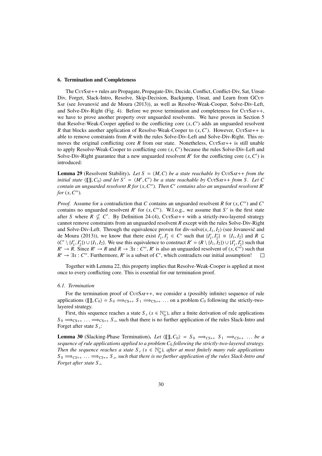#### 6. Termination and Completeness

The CurSar++ rules are Propagate, Propagate-Div, Decide, Conflict, Conflict-Div, Sat, Unsat-Div, Forget, Slack-Intro, Resolve, Skip-Decision, Backjump, Unsat, and Learn from GCUT-Sat (see Jovanovic and de Moura (2013)), as well as Resolve-Weak-Cooper, Solve-Div-Left, ´ and Solve-Div-Right (Fig. 4). Before we prove termination and completeness for  $CUTSAT++$ , we have to prove another property over unguarded resolvents. We have proven in Section 5 that Resolve-Weak-Cooper applied to the conflicting core  $(x, C')$  adds an unguarded resolvent  $R$  that blocks another application of Resolve-Weak-Cooper to  $(x, C')$ . However,  $C(x, S(x) + 1)$  is *R* that blocks another application of Resolve-Weak-Cooper to  $(x, C')$ . However, CurSar++ is able to remove constraints from *R* with the rules Solve-Div-Left and Solve-Div-Right. This reable to remove constraints from *R* with the rules Solve-Div-Left and Solve-Div-Right. This removes the original conflicting core  $R$  from our state. Nonetheless, CurSAT++ is still unable to apply Resolve-Weak-Cooper to conflicting core  $(x, C')$  because the rules Solve-Div-Left and<br>Solve-Div-Right guarantee that a new unguarded resolvent  $R'$  for the conflicting core  $(x, C')$  is Solve-Div-Right guarantee that a new unguarded resolvent *R*<sup>*r*</sup> for the conflicting core  $(x, C')$  is introduced introduced:

**Lemma 29** (Resolvent Stability). Let  $S = \langle M, C \rangle$  be a state reachable by CutSat++ *from the initial state*  $\langle \llbracket \rrbracket$ ,  $C_0$  *and let*  $S' = \langle M', C' \rangle$  *be a state reachable by* CurSAT++ *from S. Let* C<br>contain an unquarded resolvent R for  $(x, C'')$ . Then C' contains also an unquarded resolvent R' *contain an unguarded resolvent R for* (*x*, *C*<sup>*u*</sup>). Then *C*<sup>*'*</sup> *contains also an unguarded resolvent R<sup><i>i*</sup> for (*x*, *C''*)</sub> *for*  $(x, C'')$ *.* 

*Proof.* Assume for a contradiction that *C* contains an unguarded resolvent *R* for  $(x, C'')$  and *C*<sup>*c*</sup> contains no unguarded resolvent *R'* for  $(x, C'')$ . Wl o g, we assume that *S'* is the first state contains no unguarded resolvent *R'* for  $(x, C'')$ . W.l.o.g., we assume that *S'* is the first state<br>after *S* where *R*  $\sigma'$  *C'* By Definition 24-(4) CurSar++ with a strictly-two-layered strategy after *S* where  $\overline{R} \nsubseteq C'$ . By Definition 24-(4), CurSAT++ with a strictly-two-layered strategy cannot remove constraints from an unguarded resolvent *R* except with the rules Solve-Div-Right and Solve-Div-Left. Through the equivalence proven for div-solve $(x, I_1, I_2)$  (see Jovanovic and de Moura (2013)), we know that there exist  $I'_1, I'_2 \in C'$  such that  $\{I'_1, I'_2\} \equiv \{I_1, I_2\}$  and  $R \subseteq$ <br> $(C' \setminus I' \setminus I' \setminus I$   $I_2 \setminus I_3$ . We use this equivalence to construct  $R' = (R \setminus I_1 \cup I_2) \cup I_1' \cup I_2'$  such that  $(C' \setminus \{I'_1, I'_2\}) \cup \{I_1, I_2\}$ . We use this equivalence to construct  $R' = (R \setminus \{I_1, I_2\}) \cup \{I'_1, I'_2\}$  such that  $R' \to R$  since  $R' \to R$  and  $R \to \exists x : C''$   $R'$  is also an unquarded resolvent of  $(x, C'')$  such that *R*<sup>*i*</sup> → *R*. Since *R'* → *R* and *R* → ∃*x* : *C''*, *R'* is also an unguarded resolvent of  $(x, C^7)$  such that  $R^7$  → ∃*x* :  $C''$  Eurthermore, *R'* is a subset of  $C'$  which contradicts our initial assumption!  $R' \to \exists x : C''$ . Furthermore, *R'* is a subset of *C'*, which contradicts our initial assumption!  $\Box$ 

Together with Lemma 22, this property implies that Resolve-Weak-Cooper is applied at most once to every conflicting core. This is essential for our termination proof.

#### *6.1. Termination*

For the termination proof of CurSAT++, we consider a (possibly infinite) sequence of rule applications  $\langle [[], C_0 \rangle = S_0 \implies_{C S + +} S_1 \implies_{C S + +} \ldots$  on a problem *C*<sub>0</sub> following the strictly-twolayered strategy.

First, this sequence reaches a state  $S_s$  ( $s \in \mathbb{N}_0^+$ ), after a finite derivation of rule applications  $S_0 \Longrightarrow_{CS++} \ldots \Longrightarrow_{CS++} S_s$ , such that there is no further application of the rules Slack-Intro and<br>Forget after state S Forget after state *S <sup>s</sup>* :

**Lemma 30** (Slacking-Phase Termination). Let  $\langle \llbracket \rrbracket, C_0 \rangle = S_0 \implies_{CS++} S_1 \implies_{CS++} \ldots$  be a *sequence of rule applications applied to a problem C*<sup>0</sup> *following the strictly-two-layered strategy. Then the sequence reaches a state*  $S_s$  ( $s \in \mathbb{N}_0^+$ ), after at most finitely many rule applications  $S_0 \Longrightarrow_{CS++} \ldots \Longrightarrow_{CS++} S_s$ , such that there is no further application of the rules Slack-Intro and<br>Forget after state S *Forget after state S <sup>s</sup> .*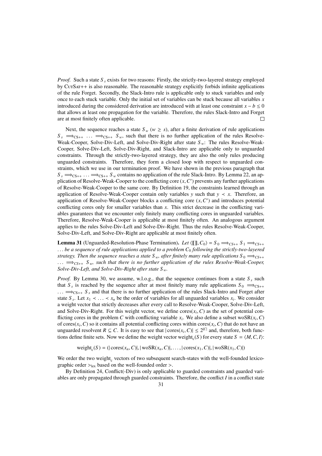*Proof.* Such a state *S*<sub>*s*</sub> exists for two reasons: Firstly, the strictly-two-layered strategy employed by CutSat++ is also reasonable. The reasonable strategy explicitly forbids infinite applications of the rule Forget. Secondly, the Slack-Intro rule is applicable only to stuck variables and only once to each stuck variable. Only the initial set of variables can be stuck because all variables *x* introduced during the considered derivation are introduced with at least one constraint  $x - b \le 0$ that allows at least one propagation for the variable. Therefore, the rules Slack-Intro and Forget are at most finitely often applicable.  $\Box$ 

Next, the sequence reaches a state  $S_w$  ( $w \geq s$ ), after a finite derivation of rule applications  $S_s \implies_{\text{CS}++} S_{\text{w}}$ , such that there is no further application of the rules Resolve-Weak-Cooper, Solve-Div-Left, and Solve-Div-Right after state *S <sup>w</sup>*: The rules Resolve-Weak-Cooper, Solve-Div-Left, Solve-Div-Right, and Slack-Intro are applicable only to unguarded constraints. Through the strictly-two-layered strategy, they are also the only rules producing unguarded constraints. Therefore, they form a closed loop with respect to unguarded constraints, which we use in our termination proof. We have shown in the previous paragraph that  $S_s \implies_{\text{CS++}}$  ...  $\implies_{\text{CS++}}$  *S<sub>w</sub>* contains no application of the rule Slack-Intro. By Lemma 22, an application of Resolve-Weak-Cooper to the conflicting core  $(x, C')$  prevents any further applications<br>of Resolve-Weak-Cooper to the same core. By Definition 19, the constraints learned through an of Resolve-Weak-Cooper to the same core. By Definition 19, the constraints learned through an application of Resolve-Weak-Cooper contain only variables *y* such that  $y \lt x$ . Therefore, an application of Resolve-Weak-Cooper blocks a conflicting core  $(x, C')$  and introduces potential<br>conflicting cores only for smaller variables than  $x$ . This strict decrease in the conflicting variconflicting cores only for smaller variables than *x*. This strict decrease in the conflicting variables guarantees that we encounter only finitely many conflicting cores in unguarded variables. Therefore, Resolve-Weak-Cooper is applicable at most finitely often. An analogous argument applies to the rules Solve-Div-Left and Solve-Div-Right. Thus the rules Resolve-Weak-Cooper, Solve-Div-Left, and Solve-Div-Right are applicable at most finitely often.

**Lemma 31** (Unguarded-Resolution-Phase Termination). Let  $(\mathbb{I} \| \mathbf{I}, C_0) = S_0 \implies_{CS++} S_1 \implies_{CS++}$ . . . *be a sequence of rule applications applied to a problem C*<sup>0</sup> *following the strictly-two-layered strategy. Then the sequence reaches a state S<sub><i>w*</sub>, after finitely many rule applications  $S_0 \implies_{C\text{S}++}$ . . . <sup>=</sup>⇒*CS*++ *<sup>S</sup> <sup>w</sup>, such that there is no further application of the rules Resolve-Weak-Cooper, Solve-Div-Left, and Solve-Div-Right after state S <sup>w</sup>.*

*Proof.* By Lemma 30, we assume, w.l.o.g., that the sequence continues from a state  $S_s$  such that  $S_s$  is reached by the sequence after at most finitely many rule applications  $S_0 \implies_{CS++}$ ... ⇒<sub>CS++</sub> S<sub>s</sub> and that there is no further application of the rules Slack-Intro and Forget after state *S*<sub>*s*</sub>. Let  $x_1 \prec \ldots \prec x_n$  be the order of variables for all unguarded variables  $x_i$ . We consider a verified variable state of the strictly decreases after every call to Resolve-Weak-Cooper Solve-Div-Left a weight vector that strictly decreases after every call to Resolve-Weak-Cooper, Solve-Div-Left, and Solve-Div-Right. For this weight vector, we define cores( $x_i$ , C) as the set of potential con-<br>flicting cores in the problem C with conflicting variable x. We also define a subset wo SR(x, C) flicting cores in the problem *C* with conflicting variable  $x_i$ . We also define a subset woSR( $x_i$ , *C*) of cores  $(x_i, C)$  so it contains all potential conflicting cores within cores  $(x_i, C)$  that do not have an of cores( $x_i$ , C) so it contains all potential conflicting cores within cores( $x_i$ , C) that do not have an unquarded resolvent  $R \subseteq C$ . It is easy to see that  $|\text{cores}(x, C)| \le 2^{|C|}$  and therefore, both funcunguarded resolvent *R* ⊆ *C*. It is easy to see that  $|\text{cores}(x_i, C)| \le 2^{|C|}$  and, therefore, both functions define finite sets. Now we define the weight vector weight (*S*) for every state *S* – (*M C I*) tions define finite sets. Now we define the weight vector weight<sub>c</sub>(*S*) for every state  $S = \langle M, C, I \rangle$ :

 $weight_c(S) = (|\text{cores}(x_n, C)|, |\text{woSR}(x_n, C)|, ..., |\text{cores}(x_1, C)|, |\text{woSR}(x_1, C)|)$ 

We order the two weight $_{c}$  vectors of two subsequent search-states with the well-founded lexicographic order  $>_{lex}$  based on the well-founded order  $>$ .

By Definition 24, Conflict(-Div) is only applicable to guarded constraints and guarded variables are only propagated through guarded constraints. Therefore, the conflict *I* in a conflict state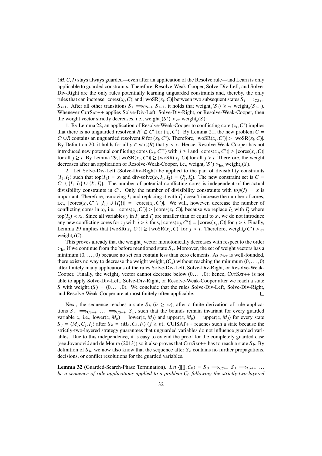$\langle M, C, I \rangle$  stays always guarded—even after an application of the Resolve rule—and Learn is only applicable to guarded constraints. Therefore, Resolve-Weak-Cooper, Solve-Div-Left, and Solve-Div-Right are the only rules potentially learning unguarded constraints and, thereby, the only rules that can increase  $|\text{cores}(x_i, C)|$  and  $|\text{woSR}(x_i, C)|$  between two subsequent states  $S_i \implies_{\text{CS}++} S_{\text{CS}++}$ *S*<sub>*i*+1</sub>. After all other transitions  $S_i \implies_{CS^{++}} S_{i+1}$ , it holds that weight<sub>c</sub>( $S_i$ ) ≥<sub>lex</sub> weight<sub>c</sub>( $S_{i+1}$ ). Whenever CutSat++ applies Solve-Div-Left, Solve-Div-Right, or Resolve-Weak-Cooper, then the weight vector strictly decreases, i.e., weight<sub>c</sub>( $S'$ ) ><sub>lex</sub> weight<sub>c</sub>( $S$ ):<br>
1 By Lemma 22 an application of Resolve-Weak-Cooper to conf

1. By Lemma 22, an application of Resolve-Weak-Cooper to conflicting core  $(x_i, C^*)$  implies<br>there is no unquarded resolvent  $R' \subseteq C'$  for  $(x, C^*)$ . By Lemma 21, the new problem  $C =$ that there is no unguarded resolvent  $R' \subseteq C'$  for  $(x_i, C^*)$ . By Lemma 21, the new problem  $C = C' \cup R$  contains an unguarded resolvent *R* for  $(x, C^*)$ . Therefore,  $|\text{woSR}(x, C')| > |\text{woSR}(x, C)|$ *C*<sup>'</sup>∪*R* contains an unguarded resolvent *R* for (*x<sub>i</sub>*, *C*<sup>\*</sup>). Therefore, | woSR(*x<sub>i</sub>*, *C*<sup>'</sup>)| > | woSR(*x<sub>i</sub>*, *C*)|.<br>By Definition 20, it holds for all  $y \in \text{vars}(R)$  that  $y \neq x$ . Hence, Resolve-Weak-Cooper has By Definition 20, it holds for all  $y \in \text{vars}(R)$  that  $y \prec x$ . Hence, Resolve-Weak-Cooper has not introduced new potential conflicting cores  $(x_j, C^*)$  with *j* ≥ *i* and  $|\text{cores}(x_j, C')|$  ≥  $|\text{cores}(x_j, C)|$  for all *i* > *i*. By I emma 29  $|\text{wasR}(x, C')|$  >  $|\text{wasR}(x, C)|$  for all *i* > *i*. Therefore, the weight for all  $j \ge i$ . By Lemma 29,  $|wosR(x_j, C')| \ge |wosR(x_j, C)|$  for all  $j > i$ . Therefore, the weight decreases after an application of Resolve-Weak-Cooper i.e. weight  $(S') > u$ , weight  $(S)$ decreases after an application of Resolve-Weak-Cooper, i.e., weight<sub>c</sub>( $S'$ ) ><sub>lex</sub> weight<sub>c</sub>( $S$ ).<br>
2 Let Solve-Div-Left (Solve-Div-Right) be applied to the pair of divisibility cons

2. Let Solve-Div-Left (Solve-Div-Right) be applied to the pair of divisibility constraints  $(I_1, I_2)$  such that top $(I_1) = x_i$  and div-solve $(x_i, I_1, I_2) = (I'_1, I'_2)$ . The new constraint set is  $C = C' \setminus \{I_1, I_2\}$ . The number of potential conflicting cores is independent of the actual  $C' \setminus \{I_1, I_2\} \cup \{I'_1, I'_2\}$ . The number of potential conflicting cores is independent of the actual divisibility constraints in  $C'$ . Only the number of divisibility constraints with  $tan(D - x)$  is divisibility constraints in *C'*. Only the number of divisibility constraints with  $top(I) = x$  is important. Therefore, removing  $I_1$  and replacing it with  $I'_1$  doesn't increase the number of cores, i.e.,  $|\text{cores}(x_i, C' \setminus \{I_1\} \cup \{I'_1\})| = |\text{cores}(x_i, C')|$ . We will, however, decrease the number of conflicting cores in x, i.e.,  $|\text{cores}(x, C')| \ge |\text{cores}(x, C)|$ , because we replace *L* with *I'* where conflicting cores in  $x_i$ , i.e.,  $|\text{cores}(x_i, C')| > |\text{cores}(x_i, C)|$ , because we replace  $I_2$  with  $I'_2$  where<br>ton(*I'*)  $\leq x$ . Since all variables *y* in *I'* and *I'* are smaller than or equal to *x*, we do not introduce  $\text{top}(I_2') \prec x_i$ . Since all variables *y* in  $I_1'$  and  $I_2'$  are smaller than or equal to  $x_i$ , we do not introduce any new conflicting cores for  $x_j$  with  $j > i$ ; thus,  $|\text{cores}(x_j, C')| = |\text{cores}(x_j, C)|$  for  $j > i$ . Finally, I emma 29 implies that  $|\text{woSR}(x, C')| > |\text{woSR}(x, C)|$  for  $j > i$ . Therefore, weight  $(C') > i$ . Lemma 29 implies that  $|wosR(x_j, C')| \ge |wosR(x_j, C)|$  for  $j > i$ . Therefore, weight<sub>c</sub>(*C'*) > lex  $weight_c(C)$ .

This proves already that the weight<sub>c</sub> vector monotonically decreases with respect to the order  $\geq$ <sub>lex</sub> if we continue from the before mentioned state *S*<sub>*s*</sub>. Moreover, the set of weight vectors has a minimum (0 0 0) because no set can contain less than zero elements. As  $\geq$  is well-founded minimum  $(0, \ldots, 0)$  because no set can contain less than zero elements. As  $>_{\text{lex}}$  is well-founded, there exists no way to decrease the weight weight<sub>c</sub>( $C_s$ ) without reaching the minimum (0, ..., 0)<br>after finitely many applications of the rules Solve-Div-Left, Solve-Div-Right, or Resolve-Weakafter finitely many applications of the rules Solve-Div-Left, Solve-Div-Right, or Resolve-Weak-Cooper. Finally, the weight, vector cannot decrease below  $(0, \ldots, 0)$ ; hence, CutSat++ is not able to apply Solve-Div-Left. Solve-Div-Right, or Resolve-Weak-Cooper after we reach a state able to apply Solve-Div-Left, Solve-Div-Right, or Resolve-Weak-Cooper after we reach a state *S* with weight<sub>c</sub>(*S*) = (0, ..., 0). We conclude that the rules Solve-Div-Left, Solve-Div-Right, and Resolve-Weak-Cooper are at most finitely often applicable and Resolve-Weak-Cooper are at most finitely often applicable.

Next, the sequence reaches a state  $S_b$  ( $b \geq w$ ), after a finite derivation of rule applications  $S_w \implies_{CS++} \ldots \implies_{CS++} S_b$ , such that the bounds remain invariant for every guarded variable *x*, i.e., lower(*x*,  $M_b$ ) = lower(*x*,  $M_i$ ) and upper(*x*,  $M_b$ ) = upper(*x*,  $M_i$ ) for every state  $S_j = \langle M_j, C_j, I_j \rangle$  after  $S_b = \langle M_b, C_b, I_b \rangle$  ( $j \ge b$ ). CUISAT++ reaches such a state because the strictly-two-layered strategy guarantees that unguarded variables do not influence guarded varistrictly-two-layered strategy guarantees that unguarded variables do not influence guarded variables. Due to this independence, it is easy to extend the proof for the completely guarded case (see Jovanovic and de Moura (2013)) so it also proves that C $UTSAT++$  has to reach a state  $S_b$ . By definition of  $S_b$ , we now also know that the sequence after  $S_b$  contains no further propagations, decisions, or conflict resolutions for the guarded variables.

**Lemma 32** (Guarded-Search-Phase Termination). *Let*  $\langle \llbracket \rrbracket$ ,  $C_0 \rangle = S_0 \implies_{CS++} S_1 \implies_{CS++} \ldots$ *be a sequence of rule applications applied to a problem C*<sup>0</sup> *following the strictly-two-layered*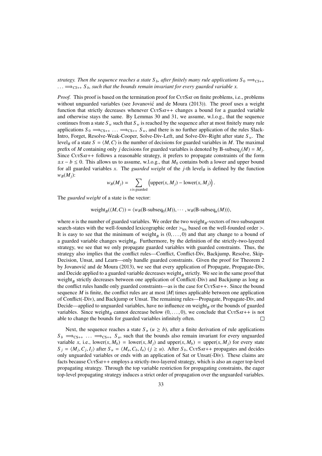*strategy. Then the sequence reaches a state*  $S_b$ , after finitely many rule applications  $S_0 \implies_{C\{S_{+}\}}$  $\ldots \Longrightarrow_{CS_{++}} S_{b}$ , such that the bounds remain invariant for every guarded variable x.

*Proof.* This proof is based on the termination proof for CurSAT on finite problems, i.e., problems without unguarded variables (see Jovanović and de Moura (2013)). The proof uses a weight function that strictly decreases whenever  $CUTSAT++$  changes a bound for a guarded variable and otherwise stays the same. By Lemmas 30 and 31, we assume, w.l.o.g., that the sequence continues from a state  $S_w$  such that  $S_w$  is reached by the sequence after at most finitely many rule applications  $S_0 \implies_{CS_{++}} \ldots \implies_{CS_{++}} S_w$ , and there is no further application of the rules Slack-Intro, Forget, Resolve-Weak-Cooper, Solve-Div-Left, and Solve-Div-Right after state *S <sup>w</sup>*. The level<sub>*B*</sub> of a state  $S = \langle M, C \rangle$  is the number of decisions for guarded variables in *M*. The maximal prefix of *M* containing only *j* decisions for guarded variables is denoted by B-subseq<sub>*j*</sub>(*M*) = *M<sub>j</sub>*. Since CurSAT++ follows a reasonable strategy, it prefers to propagate constraints of the form  $\pm x - b \leq 0$ . This allows us to assume, w.l.o.g., that  $M_0$  contains both a lower and upper bound for all guarded variables *x*. The *guarded weight* of the *j*-th level<sub>*B*</sub> is defined by the function  $w_B(M_i)$ :

$$
w_B(M_j) = \sum_{x \text{ is guarded}} \left( \text{upper}(x, M_j) - \text{lower}(x, M_j) \right).
$$

The *guarded weight* of a state is the vector:

$$
weight_B(\langle M, C \rangle) = \langle w_B(B\text{-subseq}_0(M)), \cdots, w_B(B\text{-subseq}_n(M)) \rangle,
$$

where  $n$  is the number of guarded variables. We order the two weight<sub> $B$ </sub>-vectors of two subsequent search-states with the well-founded lexicographic order  $>_{lex}$  based on the well-founded order  $>$ . It is easy to see that the minimum of weight<sub>B</sub> is  $(0, \ldots, 0)$  and that any change to a bound of a gradied variable changes weight. Furthermore, by the definition of the strictly-two-layered a guarded variable changes weight<sub>B</sub>. Furthermore, by the definition of the strictly-two-layered strategy, we see that we only propagate guarded variables with guarded constraints. Thus, the strategy also implies that the conflict rules—Conflict, Conflict-Div, Backjump, Resolve, Skip-Decision, Unsat, and Learn—only handle guarded constraints. Given the proof for Theorem 2 by Jovanovic and de Moura (2013), we see that every application of Propagate, Propagate-Div, ´ and Decide applied to a guarded variable decreases weight<sub> $B$ </sub> strictly. We see in the same proof that weight<sub>B</sub> strictly decreases between one application of Conflict(-Div) and Backjump as long as the conflict rules handle only guarded constraints—as is the case for CurSAT++. Since the bound sequence  $M$  is finite, the conflict rules are at most  $|M|$  times applicable between one application of Conflict(-Div), and Backjump or Unsat. The remaining rules—Propagate, Propagate-Div, and Decide—applied to unguarded variables, have no influence on weight<sub> $B$ </sub> or the bounds of guarded variables. Since weight<sub>*B*</sub> cannot decrease below  $(0, \ldots, 0)$ , we conclude that CurSat++ is not able to change the bounds for quarded variables infinitely often able to change the bounds for guarded variables infinitely often.

Next, the sequence reaches a state  $S_u$  ( $u \ge b$ ), after a finite derivation of rule applications  $S_b \implies_{CS++}$  ...  $\implies_{CS++}$  *S<sub>u</sub>*, such that the bounds also remain invariant for every unguarded variable *x*, i.e., lower(*x*,  $M_b$ ) = lower(*x*,  $M_i$ ) and upper(*x*,  $M_b$ ) = upper(*x*,  $M_j$ ) for every state  $S_j = \langle M_j, C_j, I_j \rangle$  after  $S_u = \langle M_u, C_b, I_u \rangle$   $(j \ge u)$ . After  $S_b$ , CUTSAT++ propagates and decides only unguarded variables or ends with an application of Sat or Unsat(-Div). These claims are facts because CurSAT++ employs a strictly-two-layered strategy, which is also an eager top-level propagating strategy. Through the top variable restriction for propagating constraints, the eager top-level propagating strategy induces a strict order of propagation over the unguarded variables.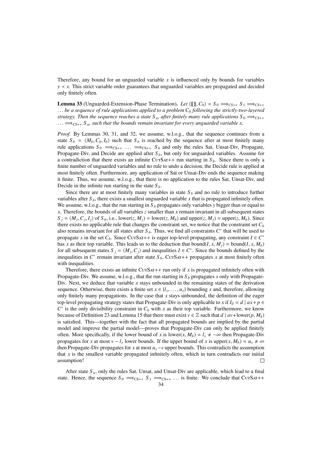Therefore, any bound for an unguarded variable  $x$  is influenced only by bounds for variables *y* ≺ *x*. This strict variable order guarantees that unguarded variables are propagated and decided only finitely often.

**Lemma 33** (Unguarded-Extension-Phase Termination). *Let*  $\langle \llbracket \rrbracket, C_0 \rangle = S_0 \implies_{CS++} S_1 \implies_{CS++} S_2$ . . . *be a sequence of rule applications applied to a problem C*<sup>0</sup> *following the strictly-two-layered strategy. Then the sequence reaches a state S<sub>u</sub>, after finitely many rule applications S<sub>0</sub>*  $\Rightarrow$ *<i>CS*++  $\ldots \Longrightarrow_{CS++} S_u$ , such that the bounds remain invariant for every unguarded variable x.

*Proof.* By Lemmas 30, 31, and 32, we assume, w.l.o.g., that the sequence continues from a state  $S_b = \langle M_b, C_b, I_b \rangle$  such that  $S_b$  is reached by the sequence after at most finitely many rule applications  $S_0 \implies_{CS++} \ldots \implies_{CS++} S_b$  and only the rules Sat, Unsat-Div, Propagate, Propagate-Div, and Decide are applied after *S <sup>b</sup>*, but only for unguarded variables. Assume for a contradiction that there exists an infinite CurSAT++ run starting in  $S_b$ . Since there is only a finite number of unguarded variables and no rule to undo a decision, the Decide rule is applied at most finitely often. Furthermore, any application of Sat or Unsat-Div ends the sequence making it finite. Thus, we assume, w.l.o.g., that there is no application to the rules Sat, Unsat-Div, and Decide in the infinite run starting in the state  $S_b$ .

Since there are at most finitely many variables in state  $S_b$  and no rule to introduce further variables after  $S_b$ , there exists a smallest unguarded variable x that is propagated infinitely often. We assume, w.l.o.g., that the run starting in  $S_b$  propagates only variables *y* bigger than or equal to *x*. Therefore, the bounds of all variables *z* smaller than *x* remain invariant in all subsequent states  $S_j = \langle M_j, C_j, I_j \rangle$  of  $S_b$ , i.e., lower(*z*,  $M_j$ ) = lower(*z*,  $M_b$ ) and upper(*z*,  $M_j$ ) = upper(*z*,  $M_b$ ). Since there exists no applicable rule that changes the constraint set, we notice that the constraint set  $C_b$ also remains invariant for all states after  $S_b$ . Thus, we find all constraints  $C^*$  that will be used to propagate *x* in the set  $C_b$ . Since CurSAT++ is eager top-level propagating, any constraint  $I \in C^*$ has *x* as their top variable. This leads us to the deduction that bound(*I*, *x*, *M<sub>i</sub>*) = bound(*I*, *x*, *M<sub>b</sub>*) for all subsequent states  $S_j = \langle M_j, C_j \rangle$  and inequalities  $I \in C^*$ . Since the bounds defined by the inequalities in  $C^*$  remain invariant after state  $S_j$ . Curs  $S_{j+1}$  propagates x at most finitely often inequalities in  $C^*$  remain invariant after state  $S_b$ , CurSAT++ propagates x at most finitely often with inequalities.

Therefore, there exists an infinite CurSAT++ run only if  $x$  is propagated infinitely often with Propagate-Div. We assume, w.l.o.g., that the run starting in  $S_b$  propagates *x* only with Propagate-Div. Next, we deduce that variable *x* stays unbounded in the remaining states of the derivation sequence. Otherwise, there exists a finite set  $x \in \{l_x, \ldots, u_x\}$  bounding *x* and, therefore, allowing only finitely many propagations. In the case that  $x$  stays unbounded, the definition of the eager top-level propagating strategy states that Propagate-Div is only applicable to *x* if  $I_d = d | a x + p \in$  $C^*$  is the only divisibility constraint in  $C_b$  with  $x$  as their top variable. Furthermore, we know because of Definition 23 and Lemma 15 that there must exist  $v \in \mathbb{Z}$  such that  $d \mid av+lower(p, M_k)$ is satisfied. This—together with the fact that all propagated bounds are implied by the partial model and improve the partial model—proves that Propagate-Div can only be applied finitely often. More specifically, if the lower bound of *x* is lower(*x*,  $M_b$ ) =  $l_x \neq -\infty$  then Propagate-Div propagates for *x* at most  $v - l_x$  lower bounds. If the upper bound of *x* is upper $(x, M_b) = u_x \neq \infty$ then Propagate-Div propagates for *x* at most  $u_x - v$  upper bounds. This contradicts the assumption that  $x$  is the smallest variable propagated infinitely often, which in turn contradicts our initial assumption!  $\Box$ 

After state *S <sup>u</sup>*, only the rules Sat, Unsat, and Unsat-Div are applicable, which lead to a final state. Hence, the sequence  $S_0 \implies_{CS_{++}} S_1 \implies_{CS_{++}} \ldots$  is finite. We conclude that CurSAT++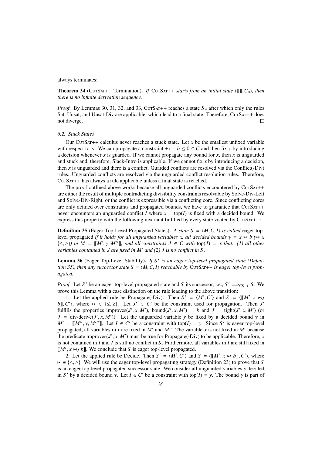## always terminates:

**Theorem 34** (CurSat++ Termination). *If* CurSat++ *starts from an initial state*  $\langle \llbracket \rrbracket$ , *C*<sub>0</sub>*), then there is no infinite derivation sequence.*

*Proof.* By Lemmas 30, 31, 32, and 33, C $UTSAT++$  reaches a state  $S<sub>u</sub>$  after which only the rules Sat, Unsat, and Unsat-Div are applicable, which lead to a final state. Therefore, CurSAT++ does not diverge.  $\Box$ 

## *6.2. Stuck States*

Our CutSat++ calculus never reaches a stuck state. Let  $x$  be the smallest unfixed variable with respect to  $\lt$ . We can propagate a constraint  $\pm x - b \leq 0 \in C$  and then fix *x* by introducing a decision whenever  $x$  is guarded. If we cannot propagate any bound for  $x$ , then  $x$  is unguarded and stuck and, therefore, Slack-Intro is applicable. If we cannot fix *x* by introducing a decision, then  $x$  is unguarded and there is a conflict. Guarded conflicts are resolved via the Conflict(-Div) rules. Unguarded conflicts are resolved via the unguarded conflict resolution rules. Therefore, CUTSAT++ has always a rule applicable unless a final state is reached.

The proof outlined above works because all unguarded conflicts encountered by CurSAT++ are either the result of multiple contradicting divisibility constraints resolvable by Solve-Div-Left and Solve-Div-Right, or the conflict is expressible via a conflicting core. Since conflicting cores are only defined over constraints and propagated bounds, we have to guarantee that  $CUTSAT++$ never encounters an unguarded conflict *I* where  $x = \text{top}(I)$  is fixed with a decided bound. We express this property with the following invariant fulfilled by every state visited by CutSat++:

**Definition 35** (Eager Top-Level Propagated States). A state  $S = \langle M, C, I \rangle$  is called eager toplevel propagated *if it holds for all unguarded variables x, all decided bounds*  $\gamma = x \Join b$  ( $\Join \in$  $\{\leq,\geq\}$ *) in M* = [[*M'*,  $\gamma$ , *M''*]], and all constraints  $J \in C$  with top( $J$ ) = *x that: (1) all other* variables contained in *L* are fixed in *M'* and (2) *L* is no conflict in *S variables contained in J are fixed in M' and (2) J is no conflict in S.* 

Lemma 36 (Eager Top-Level Stability). If S' is an eager top-level propagated state (Defini*tion 35), then any successor state*  $S = \langle M, C, I \rangle$  *reachable by* CurSAT++ *is eager top-level propagated.*

*Proof.* Let *S*<sup> $\prime$ </sup> be an eager top-level propagated state and *S* its successor, i.e.,  $S' \implies_{CS++} S$ . We prove this Lemma with a case distinction on the rule leading to the above transition:

1. Let the applied rule be Propagate(-Div). Then  $S' = \langle M', C' \rangle$  and  $S = \langle [M', x \bowtie J, C'] \rangle$  where  $\bowtie \in \{S \succ \}$ . Let  $I' \in C'$  be the constraint used for propagation. Then *I' b*<sub>[</sub>], *C'*), where  $\bowtie \in \{\leq, \geq\}$ . Let *J'*  $\in C'$  be the constraint used for propagation. Then *J'* fulfills the properties improves  $(I' \times M')$  bound  $(I' \times M') = b$  and  $I = \text{tight}(I' \times M')$  (or fulfills the properties improves(*J'*, *x*, *M'*), bound(*J'*, *x*, *M'*) = *b* and *J* = tight(*J'*, *x*, *M'*) (or *I* = div-derive(*I'*, *x*, *M'*)). Let the unquarded variable *y* be fixed by a decided bound  $\gamma$  in *J* = div-derive(*J'*, *x*, *M'*)). Let the unguarded variable *y* be fixed by a decided bound  $\gamma$  in  $M' = \mathbb{I}M''$ ,  $\gamma M'''$  Let  $I \in C'$  be a constraint with top(*I*) = *y*. Since *S'* is eager top-level  $M' = [[M'', \gamma, M'']]$ . Let  $I \in C'$  be a constraint with top( $I$ ) = *y*. Since *S'* is eager top-level proposated all variables in *L* are fixed in *M'* and *M''*. The variable *x* is not fixed in *M'* because propagated, all variables in *I* are fixed in  $M'$  and  $M''$ . The variable *x* is not fixed in  $M'$  because the predicate improves(*J'*, *x*, *M'*) must be true for Propagate(-Div) to be applicable. Therefore, *x* is not contained in *L* and *L* is still no conflict in *S*. Furthermore, all variables in *L* are still fixed in is not contained in *I* and *I* is still no conflict in *S* . Furthermore, all variables in *I* are still fixed in  $[M', x \approx_J b$ ]. We conclude that *S* is eager top-level propagated.<br>2. Let the applied rule be Decide. Then  $S' = \langle M', C' \rangle$  and

2. Let the applied rule be Decide. Then  $S' = \langle M', C' \rangle$  and  $S = \langle [M', x \bowtie b] \rangle$ ,  $C' \rangle$ , where  $\bowtie \in \{\leq, \geq\}$ . We will use the eager top-level propagating strategy (Definition 23) to prove that *S* is an eager top-level propagated successor state. We consider all unguarded variables *y* decided in *S'* by a decided bound  $\gamma$ . Let  $I \in C'$  be a constraint with top(*I*) = *y*. The bound  $\gamma$  is part of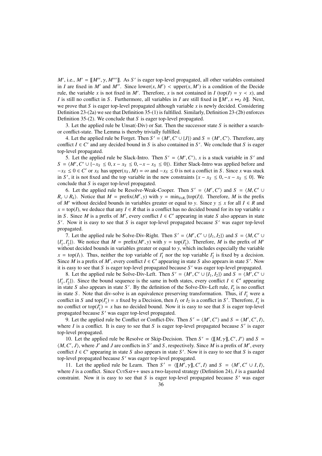*M'*, i.e.,  $M' = [[M'', \gamma, M'']']$ . As *S'* is eager top-level propagated, all other variables contained<br>in *L* are fixed in *M'* and *M''*. Since lower(x *M'*)  $\lt$  upper(x *M'*) is a condition of the Decide in *I* are fixed in *M'* and *M''*. Since lower(*x*, *M'*) < upper(*x*, *M'*) is a condition of the Decide rule, the variable *x* is not fixed in *M'*. Therefore, *x* is not contained in *I* (top(*I*) = *x* < *x*) and rule, the variable *x* is not fixed in *M'*. Therefore, *x* is not contained in *I* (top(*I*) =  $y \lt x$ ), and *I* is still no conflict in *S*. Furthermore, all variables in *I* are still fixed in  $[M', x \approx_J b]$ . Next, we prove that *S* is eager top-level propagated although variable *x* is newly decided. Considering we prove that *S* is eager top-level propagated although variable  $x$  is newly decided. Considering Definition 23-(2a) we see that Definition 35-(1) is fulfilled. Similarly, Definition 23-(2b) enforces Definition 35-(2). We conclude that *S* is eager top-level propagated.

3. Let the applied rule be Unsat(-Div) or Sat. Then the successor state *S* is neither a searchor conflict-state. The Lemma is thereby trivially fulfilled.

4. Let the applied rule be Forget. Then  $S' = \langle M', C' \cup \{J\} \rangle$  and  $S = \langle M', C' \rangle$ . Therefore, any flict  $I \in C'$  and any decided bound in *S* is also contained in *S'*. We conclude that *S* is eager conflict  $I \in C'$  and any decided bound in *S* is also contained in *S'*. We conclude that *S* is eager top-level propagated.

5. Let the applied rule be Slack-Intro. Then  $S' = \langle M', C' \rangle$ , x is a stuck variable in *S'* and  $\langle M', C' \rangle + 1 - r_0 \le 0$ ,  $r - r_0 \le 0$ ,  $r - r_0 \le 0$ . Fither Slack-Intro was applied before and  $S = \langle M', C' \cup \{-x_S \le 0, x - x_S \le 0, -x - x_S \le 0\}\rangle$ . Either Slack-Intro was applied before and  $-x_S \le 0 \in C'$  or  $x_S$  has upper $(x_S, M) = \infty$  and  $-x_S \le 0$  is not a conflict in S. Since x was stuck  $-x_s \le 0 \in C'$  or  $x_s$  has upper $(x_s, M) = \infty$  and  $-x_s \le 0$  is not a conflict in *S*. Since *x* was stuck in *S'* it is not fixed and the top variable in the new constraints  $\{x - x_s \le 0, -x - x_s \le 0\}$ . We in *S*<sup> $\prime$ </sup>, it is not fixed and the top variable in the new constraints {*x* − *x<sub>S</sub>* ≤ 0, −*x* − *x<sub>S</sub>* ≤ 0}. We conclude that *S* is eager top-level propagated conclude that *S* is eager top-level propagated.

6. Let the applied rule be Resolve-Weak-Cooper. Then  $S' = \langle M', C' \rangle$  and  $S = \langle M, C' \cup R \rangle$ . Notice that  $M = \text{prefix}(M')$  with  $y = \min_{\lambda} f(\text{top}(D))$ . Therefore, M is the prefix  $R_c \cup R_k$ . Notice that  $M = \text{prefix}(M', y)$  with  $y = \min_{I \in R_c} \{\text{top}(I)\}\)$ . Therefore, *M* is the prefixed bounds in variables greater or equal to *y*. Since  $y \leq x$  for all  $I \in R$  and of *M*<sup> $\prime$ </sup> without decided bounds in variables greater or equal to *y*. Since  $y \leq x$  for all  $I \in R$  and  $x = \text{top}(I)$ , we deduce that any  $I \in R$  that is a conflict has no decided bound for its top variable *x* in *S*. Since *M* is a prefix of *M'*, every conflict  $I \in C'$  appearing in state *S* also appears in state S<sup>'</sup>. Now it is easy to see that *S* is eager top-level propagated because S' was eager top-level propagated.

7. Let the applied rule be Solve-Div-Right. Then  $S' = \langle M', C' \cup \{I_1, I_2\} \rangle$  and  $S = \langle M, C' \cup I' \rangle$ . We notice that  $M = \text{prefix}(M')$  with  $y = \text{top}(I')$ . Therefore, M is the prefix of  $M'$ .  $\{I'_1, I'_2\}$ . We notice that  $M = \text{prefix}(M', y)$  with  $y = \text{top}(I'_2)$ . Therefore, *M* is the prefix of *M'* without decided bounds in variables greater or equal to *y* which includes especially the variable without decided bounds in variables greater or equal to *y*, which includes especially the variable  $x = \text{top}(I_1)$ . Thus, neither the top variable of  $I'_1$  nor the top variable  $I'_2$  is fixed by a decision. Since *M* is a prefix of *M'*, every conflict  $I \in C'$  appearing in state *S* also appears in state *S'*. Now it is easy to see that *S* is eager top-level propagated because *S'* was eager top-level propagated.

8. Let the applied rule be Solve-Div-Left. Then  $S' = \langle M', C' \cup \{I_1, I_2\} \rangle$  and  $S = \langle M', C' \cup I' \rangle$ . Since the bound sequence is the same in both states, every conflict  $I \in C'$  appearing  $\{I_1', I_2'\}\)$ . Since the bound sequence is the same in both states, every conflict  $I \in C'$  appearing in state *S* also appears in state *S'*. By the definition of the Solve-Div-Left rule *I'* is no conflict in state *S* also appears in state *S'*. By the definition of the Solve-Div-Left rule,  $I'_2$  is no conflict in state *S*. Note that div-solve is an equivalence preserving transformation. Thus, if  $I'_1$  were a conflict in *S* and top( $I'_1$ ) = *x* fixed by a Decision, then  $I_1$  or  $I_2$  is a conflict in *S'*. Therefore,  $I'_1$  is no conflict or top( $I'_1$ ) = *x* has no decided bound. Now it is easy to see that *S* is eager top-level propagated because S' was eager top-level propagated.

9. Let the applied rule be Conflict or Conflict-Div. Then  $S' = \langle M', C' \rangle$  and  $S = \langle M', C', I \rangle$ , ree *L* is a conflict. It is easy to see that *S* is easer top-level propagated because *S'* is easer where  $I$  is a conflict. It is easy to see that  $S$  is eager top-level propagated because  $S'$  is eager top-level propagated.

10. Let the applied rule be Resolve or Skip-Decision. Then  $S' = \langle [M, \gamma], C', J' \rangle$  and  $S = C'$ . *D* where *I'* and *I* are conflicts in *S'* and *S* respectively. Since *M* is a prefix of *M'* every  $\langle M, C', J \rangle$ , where *J'* and *J* are conflicts in *S'* and *S*, respectively. Since *M* is a prefix of *M'*, every conflict  $I \in C'$  appearing in state *S* also appears in state *S'*. Now it is easy to see that *S* is eager conflict  $I \in C'$  appearing in state *S* also appears in state *S'*. Now it is easy to see that *S* is eager top-level propagated because S' was eager top-level propagated.

11. Let the applied rule be Learn. Then  $S' = \langle [[M', \gamma]], C', I \rangle$  and  $S = \langle M', C' \cup I, I \rangle$ ,<br>ree *I* is a conflict. Since Curs at the a two-layered strategy (Definition 24), *I* is a guarded where *I* is a conflict. Since CurSat++ uses a two-layered strategy (Definition 24), *I* is a guarded constraint. Now it is easy to see that  $S$  is eager top-level propagated because  $S'$  was eager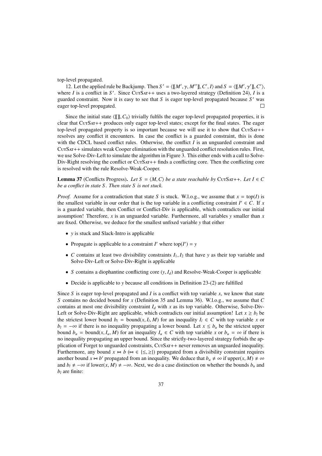top-level propagated.

12. Let the applied rule be Backjump. Then  $S' = \langle [[M', \gamma, M'']], C', I \rangle$  and  $S = \langle [[M', \gamma'']], C' \rangle$ , ree *I* is a conflict in  $S'$ . Since Curs at the absolute strategy (Definition 24), *I* is a where *I* is a conflict in *S'*. Since CurSAT++ uses a two-layered strategy (Definition 24), *I* is a guarded constraint. Now it is easy to see that  $S$  is eager top-level propagated because  $S'$  was eager top-level propagated.  $\Box$ 

Since the initial state  $\langle \llbracket \rrbracket, C_0 \rangle$  trivially fulfils the eager top-level propagated properties, it is clear that CutSat++ produces only eager top-level states; except for the final states. The eager top-level propagated property is so important because we will use it to show that  $CUTSAT++$ resolves any conflict it encounters. In case the conflict is a guarded constraint, this is done with the CDCL based conflict rules. Otherwise, the conflict *I* is an unguarded constraint and CutSat++ simulates weak Cooper elimination with the unguarded conflict resolution rules. First, we use Solve-Div-Left to simulate the algorithm in Figure 3. This either ends with a call to Solve-Div-Right resolving the conflict or  $CUTSAT++$  finds a conflicting core. Then the conflicting core. is resolved with the rule Resolve-Weak-Cooper.

**Lemma 37** (Conflicts Progress). Let  $S = \langle M, C \rangle$  be a state reachable by CutSat++. Let  $I \in C$ *be a conflict in state S . Then state S is not stuck.*

*Proof.* Assume for a contradiction that state *S* is stuck. W.l.o.g., we assume that  $x = \text{top}(I)$  is the smallest variable in our order that is the top variable in a conflicting constraint  $I' \in C$ . If x is a guarded variable, then Conflict or Conflict-Div is applicable, which contradicts our initial assumption! Therefore, *x* is an unguarded variable. Furthermore, all variables *y* smaller than *x* are fixed. Otherwise, we deduce for the smallest unfixed variable *y* that either

- *y* is stuck and Slack-Intro is applicable
- Propagate is applicable to a constraint *I'* where top( $I'$ ) = *y*
- *C* contains at least two divisibility constraints  $I_1, I_2$  that have *y* as their top variable and Solve-Div-Left or Solve-Div-Right is applicable
- *<sup>S</sup>* contains a diophantine conflicting core (*y*, *<sup>I</sup>d*) and Resolve-Weak-Cooper is applicable
- Decide is applicable to *y* because all conditions in Definition 23-(2) are fulfilled

Since *S* is eager top-level propagated and *I* is a conflict with top variable *x*, we know that state *S* contains no decided bound for *x* (Definition 35 and Lemma 36). W.l.o.g., we assume that *C* contains at most one divisibility constraint  $I_d$  with x as its top variable. Otherwise, Solve-Div-Left or Solve-Div-Right are applicable, which contradicts our initial assumption! Let  $x \ge b_l$  be the strictest lower bound  $b_l$  = bound(*x*,  $I_l$ ,  $M$ ) for an inequality  $I_l \in C$  with top variable *x* or  $b_l$  =  $-\infty$  if there is no inequality propagating a lower bound. Let  $x < b_l$  be the strictest upper  $b_l$  = −∞ if there is no inequality propagating a lower bound. Let  $x \leq b_u$  be the strictest upper bound  $b_u = \text{bound}(x, I_u, M)$  for an inequality  $I_u \in C$  with top variable x or  $b_u = \infty$  if there is no inequality propagating an upper bound. Since the strictly-two-layered strategy forbids the application of Forget to unguarded constraints, CurSAT++ never removes an unguarded inequality. Furthermore, any bound  $x \bowtie b$  ( $\bowtie \in \{\leq, \geq\}$ ) propagated from a divisibility constraint requires another bound  $x \approx b'$  propagated from an inequality. We deduce that  $b_u \neq \infty$  if upper $(x, M) \neq \infty$ <br>and  $b_t \neq -\infty$  if lower(*x*, *M*)  $\neq -\infty$ . Next, we do a case distinction on whether the bounds *b*, and and  $b_l \neq -\infty$  if lower(*x*, *M*)  $\neq -\infty$ . Next, we do a case distinction on whether the bounds  $b_u$  and  $b_l$  are finite: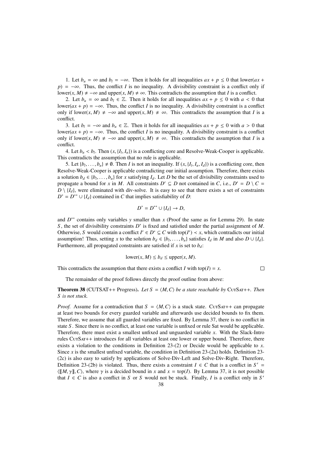1. Let  $b_u = \infty$  and  $b_l = -\infty$ . Then it holds for all inequalities  $ax + p \le 0$  that lower( $ax +$  $p$ ) =  $-\infty$ . Thus, the conflict *I* is no inequality. A divisibility constraint is a conflict only if lower(*x*, *M*)  $\neq -\infty$  and upper(*x*, *M*)  $\neq \infty$ . This contradicts the assumption that *I* is a conflict.

2. Let  $b_u = \infty$  and  $b_l \in \mathbb{Z}$ . Then it holds for all inequalities  $ax + p \le 0$  with  $a < 0$  that lower( $ax + p$ ) =  $-\infty$ . Thus, the conflict *I* is no inequality. A divisibility constraint is a conflict only if lower(*x*, *M*)  $\neq$  −∞ and upper(*x*, *M*)  $\neq$  ∞. This contradicts the assumption that *I* is a conflict.

3. Let *b*<sub>*l*</sub> = −∞ and *b*<sub>*u*</sub> ∈  $\mathbb{Z}$ . Then it holds for all inequalities  $ax + p \le 0$  with  $a > 0$  that lower( $ax + p$ ) = −∞. Thus, the conflict *I* is no inequality. A divisibility constraint is a conflict only if lower(*x*, *M*)  $\neq$  −∞ and upper(*x*, *M*)  $\neq$  ∞. This contradicts the assumption that *I* is a conflict.

4. Let  $b_u < b_l$ . Then  $(x, {I_l}, {I_u})$  is a conflicting core and Resolve-Weak-Cooper is applicable. This contradicts the assumption that no rule is applicable.

5. Let  $\{b_l, \ldots, b_u\} \neq \emptyset$ . Then *I* is not an inequality. If  $(x, \{I_l, I_u, I_d\})$  is a conflicting core, then obve-Weak-Cooper is applicable contradicting our initial assumption. Therefore, there exists Resolve-Weak-Cooper is applicable contradicting our initial assumption. Therefore, there exists a solution *b<sub>d</sub>* ∈ {*b*<sub>*l*</sub>,...,*b<sub>u</sub>*} for *x* satisfying *I<sub>d</sub>*. Let *D* be the set of divisibility constraints used to propose the abound for *x* in *M* All constraints *D'* ⊂ *D* not contained in *C* i.e. *D'* − *D* propagate a bound for *x* in *M*. All constraints  $D' \subseteq D$  not contained in *C*, i.e.,  $D' = D \setminus C =$  $D \setminus \{I_d\}$ , were eliminated with div-solve. It is easy to see that there exists a set of constraints  $D^* = D^{**} \cup \{I_d\}$  contained in *C* that implies satisfiability of *D*:

$$
D^* = D^{**} \cup \{I_d\} \to D,
$$

and  $D^{**}$  contains only variables *y* smaller than *x* (Proof the same as for Lemma 29). In state *S* , the set of divisibility constraints *D* ∗ is fixed and satisfied under the partial assignment of *M*. Otherwise, *S* would contain a conflict  $I' \in D^* \subseteq C$  with top( $I'$ )  $\prec x$ , which contradicts our initial assumption! Thus, setting *x* to the solution  $b_d \in \{b_l, \ldots, b_u\}$  satisfies  $I_d$  in *M* and also  $D \cup \{I_d\}$ .<br>Furthermore, all propagated constraints are satisfied if *x* is set to *b x*. Furthermore, all propagated constraints are satisfied if  $x$  is set to  $b_d$ :

$$
lower(x, M) \le b_d \le upper(x, M).
$$

 $\Box$ 

This contradicts the assumption that there exists a conflict *I* with top( $I$ ) =  $x$ .

The remainder of the proof follows directly the proof outline from above:

**Theorem 38** (CUTSAT++ Progress). Let  $S = \langle M, C \rangle$  be a state reachable by CutSat++. Then *S is not stuck.*

*Proof.* Assume for a contradiction that  $S = \langle M, C \rangle$  is a stuck state. CutSat++ can propagate at least two bounds for every guarded variable and afterwards use decided bounds to fix them. Therefore, we assume that all guarded variables are fixed. By Lemma 37, there is no conflict in state *S* . Since there is no conflict, at least one variable is unfixed or rule Sat would be applicable. Therefore, there must exist a smallest unfixed and unguarded variable *x*. With the Slack-Intro rules CutSat++ introduces for all variables at least one lower or upper bound. Therefore, there exists a violation to the conditions in Definition 23-(2) or Decide would be applicable to *x*. Since *x* is the smallest unfixed variable, the condition in Definition 23-(2a) holds. Definition 23- (2c) is also easy to satisfy by applications of Solve-Div-Left and Solve-Div-Right. Therefore, Definition 23-(2b) is violated. Thus, there exists a constraint  $I \in C$  that is a conflict in  $S' =$  $\langle [[M, \gamma]], C \rangle$ , where  $\gamma$  is a decided bound in *x* and  $x = \text{top}(I)$ . By Lemma 37, it is not possible that  $I \in C$  is also a conflict in *S* or *S* would not be stuck. Finally, *I* is a conflict only in *S'*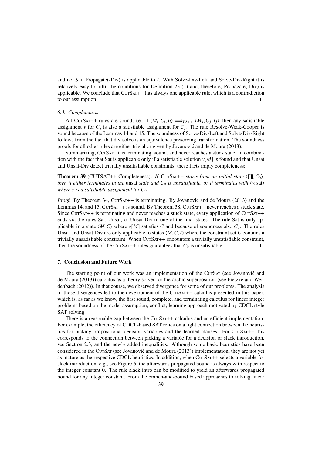and not *S* if Propagate(-Div) is applicable to *I*. With Solve-Div-Left and Solve-Div-Right it is relatively easy to fulfil the conditions for Definition 23-(1) and, therefore, Propagate(-Div) is applicable. We conclude that  $CUTSAT++$  has always one applicable rule, which is a contradiction to our assumption!  $\Box$ 

## *6.3. Completeness*

All CutSat++ rules are sound, i.e., if  $\langle M_i, C_i, I_i \rangle \implies_{CS++} \langle M_j, C_j, I_j \rangle$ , then any satisfiable<br>gament *y* for *C*, is also a satisfiable assignment for *C*. The rule Resolve-Weak-Cooper is assignment  $\nu$  for  $C_j$  is also a satisfiable assignment for  $C_i$ . The rule Resolve-Weak-Cooper is<br>sound because of the Lemmas 14 and 15. The soundness of Solve-Div-Left and Solve-Div-Right sound because of the Lemmas 14 and 15. The soundness of Solve-Div-Left and Solve-Div-Right follows from the fact that div-solve is an equivalence preserving transformation. The soundness proofs for all other rules are either trivial or given by Jovanovic and de Moura (2013). ´

Summarizing, CurSAT++ is terminating, sound, and never reaches a stuck state. In combination with the fact that Sat is applicable only if a satisfiable solution ν[*M*] is found and that Unsat and Unsat-Div detect trivially unsatisfiable constraints, these facts imply completeness:

**Theorem 39** (CUTSAT++ Completeness). *If* CurSar++ *starts from an initial state*  $\langle \llbracket \rrbracket, C_0 \rangle$ , *then it either terminates in the unsat state and*  $C_0$  *is unsatisfiable, or it terminates with*  $\langle v, sat \rangle$ *where*  $\nu$  *is a satisfiable assignment for*  $C_0$ *.* 

*Proof.* By Theorem 34, CUTSAT++ is terminating. By Jovanovic and de Moura (2013) and the Lemmas 14, and 15, CurSat++ is sound. By Theorem 38, CurSat++ never reaches a stuck state. Since CurSar++ is terminating and never reaches a stuck state, every application of CurSar++ ends via the rules Sat, Unsat, or Unsat-Div in one of the final states. The rule Sat is only applicable in a state  $\langle M, C \rangle$  where  $\nu[M]$  satisfies *C* and because of soundness also  $C_0$ . The rules Unsat and Unsat-Div are only applicable to states  $\langle M, C, I \rangle$  where the constraint set *C* contains a trivially unsatisfiable constraint. When CurSAT++ encounters a trivially unsatisfiable constraint, then the soundness of the CurSat + rules guarantees that  $C_0$  is unsatisfiable.  $\Box$ 

## 7. Conclusion and Future Work

The starting point of our work was an implementation of the CurSar (see Jovanovic and de Moura (2013)) calculus as a theory solver for hierarchic superposition (see Fietzke and Weidenbach (2012)). In that course, we observed divergence for some of our problems. The analysis of those divergences led to the development of the CutSat++ calculus presented in this paper, which is, as far as we know, the first sound, complete, and terminating calculus for linear integer problems based on the model assumption, conflict, learning approach motivated by CDCL style SAT solving.

There is a reasonable gap between the CurSAT++ calculus and an efficient implementation. For example, the efficiency of CDCL-based SAT relies on a tight connection between the heuristics for picking propositional decision variables and the learned clauses. For CurSAT++ this corresponds to the connection between picking a variable for a decision or slack introduction, see Section 2.3, and the newly added inequalities. Although some basic heuristics have been considered in the CutSat (see Jovanović and de Moura  $(2013)$ ) implementation, they are not yet as mature as the respective CDCL heuristics. In addition, when CurSAT++ selects a variable for slack introduction, e.g., see Figure 6, the afterwards propagated bound is always with respect to the integer constant 0. The rule slack intro can be modified to yield an afterwards propagated bound for any integer constant. From the branch-and-bound based approaches to solving linear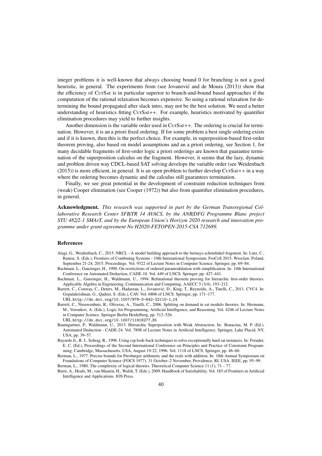integer problems it is well-known that always choosing bound 0 for branching is not a good heuristic, in general. The experiments from (see Jovanovic and de Moura (2013)) show that the efficiency of CutSat is in particular superior to branch-and-bound based approaches if the computation of the rational relaxation becomes expensive. So using a rational relaxation for determining the bound propagated after slack intro, may not be the best solution. We need a better understanding of heuristics fitting  $CUTSAT++$ . For example, heuristics motivated by quantifier elimination procedures may yield to further insights.

Another dimension is the variable order used in CutSat + The ordering is crucial for termination. However, it is an a priori fixed ordering. If for some problem a best single ordering exists and if it is known, then this is the perfect choice. For example, in superposition-based first-order theorem proving, also based on model assumptions and an a priori ordering, see Section 1, for many decidable fragments of first-order logic a priori orderings are known that guarantee termination of the superposition calculus on the fragment. However, it seems that the lazy, dynamic and problem driven way CDCL-based SAT solving develops the variable order (see Weidenbach  $(2015)$ ) is more efficient, in general. It is an open problem to further develop CurS $AT++$  in a way where the ordering becomes dynamic and the calculus still guarantees termination.

Finally, we see great potential in the development of constraint reduction techniques from (weak) Cooper elimination (see Cooper (1972)) but also from quantifier elimination procedures, in general.

Acknowledgment. *This research was supported in part by the German Transregional Collaborative Research Center SFB*/*TR 14 AVACS, by the ANR*/*DFG Programme Blanc project STU 482*/*2-1 SMArT, and by the European Union's Horizon 2020 research and innovation programme under grant agreement No H2020-FETOPEN-2015-CSA 712689.*

## References

- Alagi, G., Weidenbach, C., 2015. NRCL A model building approach to the bernays-schönfinkel fragment. In: Lutz, C., Ranise, S. (Eds.), Frontiers of Combining Systems - 10th International Symposium, FroCoS 2015, Wroclaw, Poland, September 21-24, 2015. Proceedings. Vol. 9322 of Lecture Notes in Computer Science. Springer, pp. 69–84.
- Bachmair, L., Ganzinger, H., 1990. On restrictions of ordered paramodulation with simplification. In: 10th International Conference on Automated Deduction, CADE-10. Vol. 449 of LNCS. Springer, pp. 427–441.
- Bachmair, L., Ganzinger, H., Waldmann, U., 1994. Refutational theorem proving for hierarchic first-order theories. Applicable Algebra in Engineering, Communication and Computing, AAECC 5 (3/4), 193–212.
- Barrett, C., Conway, C., Deters, M., Hadarean, L., Jovanovic, D., King, T., Reynolds, A., Tinelli, C., 2011. CVC4. In: ´ Gopalakrishnan, G., Qadeer, S. (Eds.), CAV. Vol. 6806 of LNCS. Springer, pp. 171–177. URL http://dx.doi.org/10.1007/978-3-642-22110-1 14
- Barrett, C., Nieuwenhuis, R., Oliveras, A., Tinelli, C., 2006. Splitting on demand in sat modulo theories. In: Hermann, M., Voronkov, A. (Eds.), Logic for Programming, Artificial Intelligence, and Reasoning. Vol. 4246 of Lecture Notes in Computer Science. Springer Berlin Heidelberg, pp. 512–526. URL http://dx.doi.org/10.1007/11916277 35
- Baumgartner, P., Waldmann, U., 2013. Hierarchic Superposition with Weak Abstraction. In: Bonacina, M. P. (Ed.), Automated Deduction - CADE-24. Vol. 7898 of Lecture Notes in Artificial Intelligence. Springer, Lake Placid, NY, USA, pp. 39–57.
- Bayardo Jr., R. J., Schrag, R., 1996. Using csp look-back techniques to solve exceptionally hard sat instances. In: Freuder, E. C. (Ed.), Proceedings of the Second International Conference on Principles and Practice of Constraint Programming, Cambridge, Massachusetts, USA, August 19-22, 1996. Vol. 1118 of LNCS. Springer, pp. 46–60.
- Berman, L., 1977. Precise bounds for Presburger arithmetic and the reals with addition. In: 18th Annual Symposium on Foundations of Computer Science (FOCS 1977), 31 October–2 November, Providence, RI, USA. IEEE, pp. 95–99. Berman, L., 1980. The complexity of logical theories. Theoretical Computer Science 11 (1), 71 – 77.
- Biere, A., Heule, M., van Maaren, H., Walsh, T. (Eds.), 2009. Handbook of Satisfiability. Vol. 185 of Frontiers in Artificial Intelligence and Applications. IOS Press.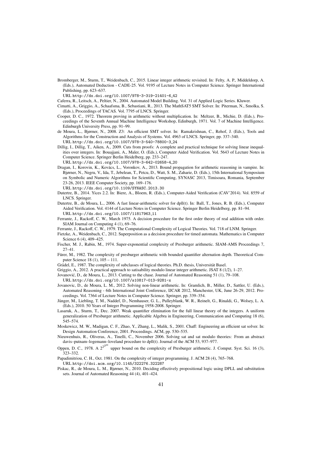Bromberger, M., Sturm, T., Weidenbach, C., 2015. Linear integer arithmetic revisited. In: Felty, A. P., Middeldorp, A. (Eds.), Automated Deduction - CADE-25. Vol. 9195 of Lecture Notes in Computer Science. Springer International Publishing, pp. 623–637.

URL http://dx.doi.org/10.1007/978-3-319-21401-6 42

- Caferra, R., Leitsch, A., Peltier, N., 2004. Automated Model Building. Vol. 31 of Applied Logic Series. Kluwer.
- Cimatti, A., Griggio, A., Schaafsma, B., Sebastiani, R., 2013. The MathSAT5 SMT Solver. In: Piterman, N., Smolka, S. (Eds.), Proceedings of TACAS. Vol. 7795 of LNCS. Springer.
- Cooper, D. C., 1972. Theorem proving in arithmetic without multiplication. In: Meltzer, B., Michie, D. (Eds.), Proceedings of the Seventh Annual Machine Intelligence Workshop, Edinburgh, 1971. Vol. 7 of Machine Intelligence. Edinburgh University Press, pp. 91–99.
- de Moura, L., Bjørner, N., 2008. Z3: An efficient SMT solver. In: Ramakrishnan, C., Rehof, J. (Eds.), Tools and Algorithms for the Construction and Analysis of Systems. Vol. 4963 of LNCS. Springer, pp. 337–340. URL http://dx.doi.org/10.1007/978-3-540-78800-3 24
- Dillig, I., Dillig, T., Aiken, A., 2009. Cuts from proofs: A complete and practical technique for solving linear inequalities over integers. In: Bouajjani, A., Maler, O. (Eds.), Computer Aided Verification. Vol. 5643 of Lecture Notes in Computer Science. Springer Berlin Heidelberg, pp. 233–247.
- URL http://dx.doi.org/10.1007/978-3-642-02658-4 20
- Dragan, I., Korovin, K., Kovács, L., Voronkov, A., 2013. Bound propagation for arithmetic reasoning in vampire. In: Bjørner, N., Negru, V., Ida, T., Jebelean, T., Petcu, D., Watt, S. M., Zaharie, D. (Eds.), 15th International Symposium on Symbolic and Numeric Algorithms for Scientific Computing, SYNASC 2013, Timisoara, Romania, September 23-26, 2013. IEEE Computer Society, pp. 169–176.
	- URL http://dx.doi.org/10.1109/SYNASC.2013.30
- Dutertre, B., 2014. Yices 2.2. In: Biere, A., Bloem, R. (Eds.), Computer-Aided Verification (CAV'2014). Vol. 8559 of LNCS. Springer.
- Dutertre, B., de Moura, L., 2006. A fast linear-arithmetic solver for dpll(t). In: Ball, T., Jones, R. B. (Eds.), Computer Aided Verification. Vol. 4144 of Lecture Notes in Computer Science. Springer Berlin Heidelberg, pp. 81–94. URL http://dx.doi.org/10.1007/11817963 11
- Ferrante, J., Rackoff, C. W., March 1975. A decision procedure for the first order theory of real addition with order. SIAM Journal on Computing 4 (1), 69–76.
- Ferrante, J., Rackoff, C. W., 1979. The Computational Complexity of Logical Theories. Vol. 718 of LNM. Springer.
- Fietzke, A., Weidenbach, C., 2012. Superposition as a decision procedure for timed automata. Mathematics in Computer Science 6 (4), 409–425.
- Fischer, M. J., Rabin, M., 1974. Super-exponential complexity of Presburger arithmetic. SIAM-AMS Proceedings 7, 27–41.
- Fürer, M., 1982. The complexity of presburger arithmetic with bounded quantifier alternation depth. Theoretical Computer Science 18 (1), 105 – 111.
- Grädel, E., 1987. The complexity of subclasses of logical theories. Ph.D. thesis, Universität Basel.
- Griggio, A., 2012. A practical approach to satisability modulo linear integer arithmetic. JSAT 8 (1/2), 1–27.
- Jovanovic, D., de Moura, L., 2013. Cutting to the chase. Journal of Automated Reasoning 51 (1), 79–108. ´
	- URL http://dx.doi.org/10.1007/s10817-013-9281-x
- Jovanovic, D., de Moura, L. M., 2012. Solving non-linear arithmetic. In: Gramlich, B., Miller, D., Sattler, U. (Eds.), Automated Reasoning - 6th International Joint Conference, IJCAR 2012, Manchester, UK, June 26-29, 2012. Proceedings. Vol. 7364 of Lecture Notes in Computer Science. Springer, pp. 339–354.
- Jünger, M., Liebling, T. M., Naddef, D., Nemhauser, G. L., Pulleyblank, W. R., Reinelt, G., Rinaldi, G., Wolsey, L. A. (Eds.), 2010. 50 Years of Integer Programming 1958-2008. Springer.
- Lasaruk, A., Sturm, T., Dec. 2007. Weak quantifier elimination for the full linear theory of the integers. A uniform generalization of Presburger arithmetic. Applicable Algebra in Engineering, Communication and Computing 18 (6), 545–574.
- Moskewicz, M. W., Madigan, C. F., Zhao, Y., Zhang, L., Malik, S., 2001. Chaff: Engineering an efficient sat solver. In: Design Automation Conference, 2001. Proceedings. ACM, pp. 530–535.
- Nieuwenhuis, R., Oliveras, A., Tinelli, C., November 2006. Solving sat and sat modulo theories: From an abstract davis–putnam–logemann–loveland procedure to dpll(t). Journal of the ACM 53, 937–977.
- Oppen, D. C., 1978. A 2<sup>2<sup>pm</sup></sup> upper bound on the complexity of Presburger arithmetic. J. Comput. Syst. Sci. 16 (3), 323–332.
- Papadimitriou, C. H., Oct. 1981. On the complexity of integer programming. J. ACM 28 (4), 765–768.
	- URL http://doi.acm.org/10.1145/322276.322287
- Piskac, R., de Moura, L. M., Bjørner, N., 2010. Deciding effectively propositional logic using DPLL and substitution sets. Journal of Automated Reasoning 44 (4), 401–424.